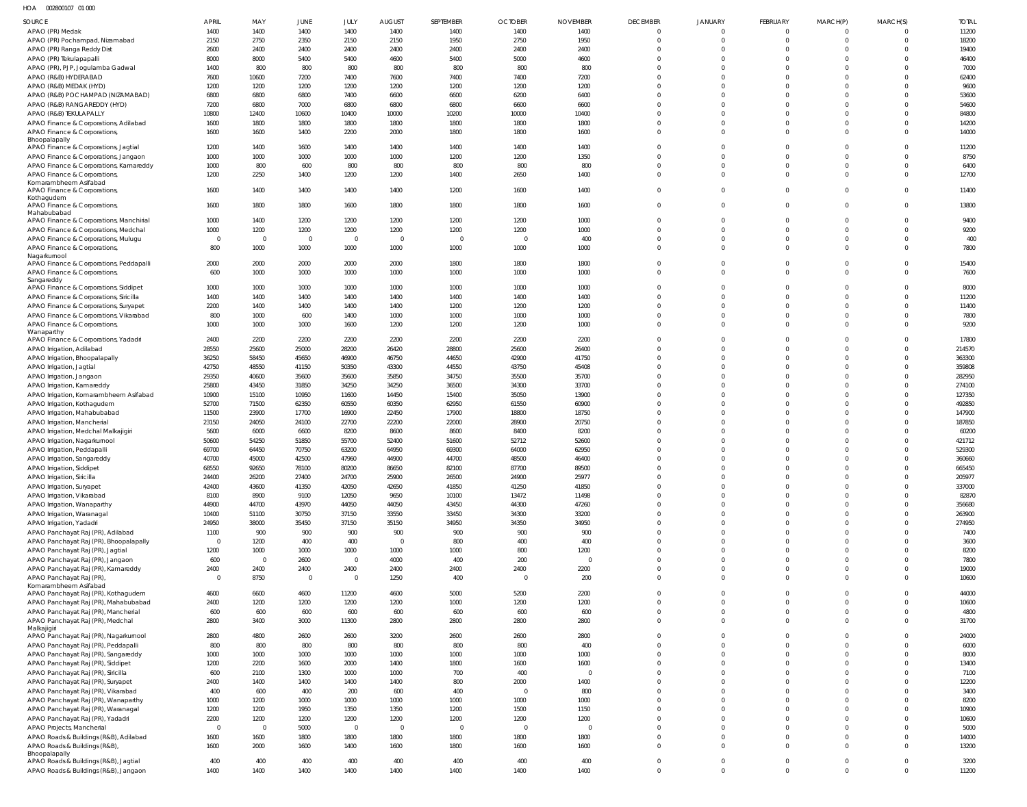HOA 002800107 01 000

| SOURCE                                                                                 | APRIL                  | MAY            | JUNE                    | JULY                     | <b>AUGUST</b>  | SEPTEMBER      | <b>OCTOBER</b>         | <b>NOVEMBER</b> | <b>DECEMBER</b>         | JANUARY                 | <b>FEBRUARY</b>      | MARCH(P)                         | MARCH(S)             | <b>TOTAL</b>     |
|----------------------------------------------------------------------------------------|------------------------|----------------|-------------------------|--------------------------|----------------|----------------|------------------------|-----------------|-------------------------|-------------------------|----------------------|----------------------------------|----------------------|------------------|
| APAO (PR) Medak                                                                        | 1400                   | 1400           | 1400                    | 1400                     | 1400           | 1400           | 1400                   | 1400            | $\Omega$                | $\Omega$                | $\Omega$             | $\Omega$                         |                      | 11200            |
| APAO (PR) Pochampad, Nizamabad                                                         | 2150                   | 2750           | 2350                    | 2150                     | 2150           | 1950           | 2750                   | 1950            | $\Omega$                | $\Omega$                | $\Omega$             | $\Omega$                         | $\Omega$             | 18200            |
| APAO (PR) Ranga Reddy Dist                                                             | 2600<br>8000           | 2400           | 2400                    | 2400                     | 2400           | 2400           | 2400<br>5000           | 2400            | $\Omega$                | $\Omega$                | $\Omega$<br>$\Omega$ | $\Omega$<br>$\Omega$             | $\Omega$             | 19400<br>46400   |
| APAO (PR) Tekulapapalli<br>APAO (PR), PJP, Jogulamba Gadwal                            | 1400                   | 8000<br>800    | 5400<br>800             | 5400<br>800              | 4600<br>800    | 5400<br>800    | 800                    | 4600<br>800     |                         | $\Omega$                | $\Omega$             | $\Omega$                         |                      | 7000             |
| APAO (R&B) HYDERABAD                                                                   | 7600                   | 10600          | 7200                    | 7400                     | 7600           | 7400           | 7400                   | 7200            |                         |                         | $\Omega$             | $\Omega$                         |                      | 62400            |
| APAO (R&B) MEDAK (HYD)                                                                 | 1200                   | 1200           | 1200                    | 1200                     | 1200           | 1200           | 1200                   | 1200            |                         | $\Omega$                | $\Omega$             | $\Omega$                         |                      | 9600             |
| APAO (R&B) POCHAMPAD (NIZAMABAD)                                                       | 6800                   | 6800           | 6800                    | 7400                     | 6600           | 6600           | 6200                   | 6400            |                         |                         | $\Omega$             | $\Omega$                         |                      | 53600            |
| APAO (R&B) RANGAREDDY (HYD)<br>APAO (R&B) TEKULAPALLY                                  | 7200<br>10800          | 6800<br>12400  | 7000<br>10600           | 6800<br>10400            | 6800<br>10000  | 6800<br>10200  | 6600<br>10000          | 6600<br>10400   |                         | $\Omega$<br>$\Omega$    | $\Omega$<br>$\Omega$ | $\Omega$<br>$\Omega$             |                      | 54600<br>84800   |
| APAO Finance & Corporations, Adilabad                                                  | 1600                   | 1800           | 1800                    | 1800                     | 1800           | 1800           | 1800                   | 1800            | $\Omega$                | $\Omega$                | $\Omega$             | $\Omega$                         | $\Omega$             | 14200            |
| APAO Finance & Corporations,                                                           | 1600                   | 1600           | 1400                    | 2200                     | 2000           | 1800           | 1800                   | 1600            | $\Omega$                | $\Omega$                | $\Omega$             | $\Omega$                         | $\Omega$             | 14000            |
| Bhoopalapally<br>APAO Finance & Corporations, Jagtial                                  | 1200                   | 1400           | 1600                    | 1400                     | 1400           | 1400           | 1400                   | 1400            |                         | $\Omega$                | $\Omega$             | $\Omega$                         | $\Omega$             | 11200            |
| APAO Finance & Corporations, Jangaon                                                   | 1000                   | 1000           | 1000                    | 1000                     | 1000           | 1200           | 1200                   | 1350            | $\Omega$                | $\Omega$                | $\Omega$             | $\Omega$                         | $\Omega$             | 8750             |
| APAO Finance & Corporations, Kamareddy                                                 | 1000                   | 800            | 600                     | 800                      | 800            | 800            | 800                    | 800             | $\Omega$                | $\Omega$                | $\Omega$             | $\overline{0}$                   | $\Omega$             | 6400             |
| APAO Finance & Corporations,<br>Komarambheem Asifabad                                  | 1200                   | 2250           | 1400                    | 1200                     | 1200           | 1400           | 2650                   | 1400            | $\Omega$                | $\Omega$                | $\Omega$             | $\Omega$                         | $\Omega$             | 12700            |
| APAO Finance & Corporations,<br>Kothagudem                                             | 1600                   | 1400           | 1400                    | 1400                     | 1400           | 1200           | 1600                   | 1400            | $\Omega$                | $\Omega$                | $\Omega$             | $\Omega$                         | $\Omega$             | 11400            |
| APAO Finance & Corporations,<br>Mahabubabad<br>APAO Finance & Corporations, Manchirial | 1600<br>1000           | 1800<br>1400   | 1800<br>1200            | 1600<br>1200             | 1800<br>1200   | 1800<br>1200   | 1800<br>1200           | 1600<br>1000    | $\Omega$                | $\Omega$<br>$\Omega$    | $\Omega$<br>$\Omega$ | $\Omega$<br>$\Omega$             | $\Omega$<br>$\Omega$ | 13800<br>9400    |
| APAO Finance & Corporations, Medchal                                                   | 1000                   | 1200           | 1200                    | 1200                     | 1200           | 1200           | 1200                   | 1000            | $\Omega$                | $\Omega$                | $\Omega$             | $\Omega$                         | $\Omega$             | 9200             |
| APAO Finance & Corporations, Mulugu                                                    | $\overline{0}$         | $\overline{0}$ | $\overline{\mathbf{0}}$ | $\overline{\phantom{0}}$ | $\overline{0}$ | $\overline{0}$ | $\overline{0}$         | 400             | $\Omega$                | $\Omega$                | $\Omega$             | $\Omega$                         | $\Omega$             | 400              |
| APAO Finance & Corporations,<br>Nagarkurnool                                           | 800                    | 1000           | 1000                    | 1000                     | 1000           | 1000           | 1000                   | 1000            | $\Omega$                | $\Omega$                | $\Omega$             | $\Omega$                         | $\Omega$             | 7800             |
| APAO Finance & Corporations, Peddapalli                                                | 2000                   | 2000           | 2000                    | 2000                     | 2000           | 1800           | 1800                   | 1800            | $\Omega$                | $\Omega$                | $\Omega$             | $\overline{0}$                   | $\Omega$             | 15400            |
| APAO Finance & Corporations,<br>Sangareddy                                             | 600                    | 1000           | 1000                    | 1000                     | 1000           | 1000           | 1000                   | 1000            | $\Omega$                | $\Omega$                | $\Omega$             | $\Omega$                         | $\Omega$             | 7600             |
| APAO Finance & Corporations, Siddipet                                                  | 1000                   | 1000           | 1000                    | 1000                     | 1000           | 1000           | 1000                   | 1000            | $\Omega$                | $\Omega$                | $\Omega$             | $\Omega$                         | $\Omega$             | 8000             |
| APAO Finance & Corporations, Siricilla                                                 | 1400                   | 1400           | 1400                    | 1400                     | 1400           | 1400           | 1400                   | 1400            | $\Omega$                | $\Omega$                | $\Omega$             | $\Omega$                         | $\Omega$             | 11200            |
| APAO Finance & Corporations, Suryapet<br>APAO Finance & Corporations, Vikarabad        | 2200<br>800            | 1400<br>1000   | 1400<br>600             | 1400<br>1400             | 1400<br>1000   | 1200<br>1000   | 1200<br>1000           | 1200<br>1000    | $\Omega$                | $\Omega$<br>$\Omega$    | $\Omega$<br>$\Omega$ | $\Omega$<br>$\Omega$             | $\Omega$<br>$\Omega$ | 11400<br>7800    |
| APAO Finance & Corporations,                                                           | 1000                   | 1000           | 1000                    | 1600                     | 1200           | 1200           | 1200                   | 1000            | $\Omega$                | $\Omega$                | $\Omega$             | $\Omega$                         | $\Omega$             | 9200             |
| Wanaparthy                                                                             |                        |                |                         |                          |                |                |                        |                 |                         |                         |                      |                                  |                      |                  |
| APAO Finance & Corporations, Yadadri<br>APAO Irrigation, Adilabad                      | 2400<br>28550          | 2200<br>25600  | 2200<br>25000           | 2200<br>28200            | 2200<br>26420  | 2200<br>28800  | 2200<br>25600          | 2200<br>26400   |                         | $\Omega$<br>$\Omega$    | $\Omega$<br>$\Omega$ | $\Omega$<br>$\Omega$             |                      | 17800<br>214570  |
| APAO Irrigation, Bhoopalapally                                                         | 36250                  | 58450          | 45650                   | 46900                    | 46750          | 44650          | 42900                  | 41750           |                         | $\Omega$                | $\Omega$             | $\Omega$                         | $\Omega$             | 363300           |
| APAO Irrigation, Jagtial                                                               | 42750                  | 48550          | 41150                   | 50350                    | 43300          | 44550          | 43750                  | 45408           |                         | $\Omega$                | $\Omega$             | $\Omega$                         |                      | 359808           |
| APAO Irrigation, Jangaon                                                               | 29350                  | 40600          | 35600                   | 35600                    | 35850          | 34750          | 35500                  | 35700           |                         |                         | $\Omega$             | $\Omega$                         |                      | 282950           |
| APAO Irrigation, Kamareddy                                                             | 25800                  | 43450          | 31850                   | 34250                    | 34250          | 36500          | 34300                  | 33700           |                         | $\Omega$                | $\Omega$             | $\Omega$                         |                      | 274100           |
| APAO Irrigation, Komarambheem Asifabad                                                 | 10900                  | 15100          | 10950                   | 11600                    | 14450          | 15400          | 35050                  | 13900           |                         | $\Omega$                | $\Omega$             | $\Omega$                         |                      | 127350           |
| APAO Irrigation, Kothagudem<br>APAO Irrigation, Mahabubabad                            | 52700<br>11500         | 71500<br>23900 | 62350<br>17700          | 60550<br>16900           | 60350<br>22450 | 62950<br>17900 | 61550<br>18800         | 60900<br>18750  |                         | $\Omega$                | $\Omega$<br>$\Omega$ | $\Omega$<br>$\Omega$             |                      | 492850<br>147900 |
| APAO Irrigation, Mancherial                                                            | 23150                  | 24050          | 24100                   | 22700                    | 22200          | 22000          | 28900                  | 20750           |                         | $\Omega$                | $\Omega$             | $\Omega$                         |                      | 187850           |
| APAO Irrigation, Medchal Malkajigiri                                                   | 5600                   | 6000           | 6600                    | 8200                     | 8600           | 8600           | 8400                   | 8200            |                         |                         | $\Omega$             | $\Omega$                         |                      | 60200            |
| APAO Irrigation, Nagarkurnool                                                          | 50600                  | 54250          | 51850                   | 55700                    | 52400          | 51600          | 52712                  | 52600           |                         |                         | $\Omega$             | $\Omega$                         |                      | 421712           |
| APAO Irrigation, Peddapalli                                                            | 69700                  | 64450          | 70750                   | 63200                    | 64950          | 69300          | 64000                  | 62950           | $\Omega$                | $\Omega$                | $\Omega$<br>$\Omega$ | $\Omega$<br>$\Omega$             | $\Omega$             | 529300           |
| APAO Irrigation, Sangareddy<br>APAO Irrigation, Siddipet                               | 40700<br>68550         | 45000<br>92650 | 42500<br>78100          | 47960<br>80200           | 44900<br>86650 | 44700<br>82100 | 48500<br>87700         | 46400<br>89500  |                         | $\Omega$                | $\Omega$             | $\Omega$                         |                      | 360660<br>665450 |
| APAO Irrigation, Siricilla                                                             | 24400                  | 26200          | 27400                   | 24700                    | 25900          | 26500          | 24900                  | 25977           |                         |                         | $\Omega$             | $\Omega$                         |                      | 205977           |
| APAO Irrigation, Suryapet                                                              | 42400                  | 43600          | 41350                   | 42050                    | 42650          | 41850          | 41250                  | 41850           | $\Omega$                | $\Omega$                | $\Omega$             | $\overline{0}$                   | $\Omega$             | 337000           |
| APAO Irrigation, Vikarabad                                                             | 8100                   | 8900           | 9100                    | 12050                    | 9650           | 10100          | 13472                  | 11498           | $\Omega$                | $\Omega$                | $\Omega$             | $\Omega$                         |                      | 82870            |
| APAO Irrigation, Wanaparthy                                                            | 44900                  | 44700          | 43970                   | 44050                    | 44050          | 43450          | 44300                  | 47260           | $\Omega$                | $\Omega$                | $\Omega$             | $\Omega$                         |                      | 356680           |
| APAO Irrigation, Waranagal<br>APAO Irrigation, Yadadri                                 | 10400<br>24950         | 51100<br>38000 | 30750<br>35450          | 37150<br>37150           | 33550<br>35150 | 33450<br>34950 | 34300<br>34350         | 33200<br>34950  |                         | $\Omega$<br>$\Omega$    | $\Omega$<br>$\Omega$ | $\Omega$<br>$\overline{0}$       | $\Omega$<br>$\Omega$ | 263900<br>274950 |
| APAO Panchayat Raj (PR), Adilabad                                                      | 1100                   | 900            | 900                     | 900                      | 900            | 900            | 900                    | 900             |                         | $\Omega$                | $\Omega$             | $\Omega$                         | $\Omega$             | 7400             |
| APAO Panchayat Raj (PR), Bhoopalapally                                                 | $\overline{0}$         | 1200           | 400                     | 400                      | $\overline{0}$ | 800            | 400                    | 400             | $\Omega$                | $\Omega$                | $\Omega$             | $\Omega$                         | $\Omega$             | 3600             |
| APAO Panchayat Raj (PR), Jagtial                                                       | 1200                   | 1000           | 1000                    | 1000                     | 1000           | 1000           | 800                    | 1200            |                         | $\Omega$                | $\Omega$             | $\Omega$                         | $\Omega$             | 8200             |
| APAO Panchayat Raj (PR), Jangaon                                                       | 600                    | $\overline{0}$ | 2600                    | $\overline{0}$           | 4000           | 400            | 200                    | $\overline{0}$  | $\Omega$                | $\Omega$                | $\Omega$             | $\overline{0}$                   | $\Omega$             | 7800             |
| APAO Panchayat Raj (PR), Kamareddy<br>APAO Panchayat Raj (PR)                          | 2400<br>$\overline{0}$ | 2400<br>8750   | 2400<br>$\overline{0}$  | 2400<br>$\overline{0}$   | 2400<br>1250   | 2400<br>400    | 2400<br>$\overline{0}$ | 2200<br>200     | $\Omega$<br>$\Omega$    | $\Omega$<br>$\Omega$    | $\Omega$<br>$\Omega$ | $\Omega$<br>$\overline{0}$       | $\Omega$<br>$\Omega$ | 19000<br>10600   |
| Komarambheem Asifabad                                                                  |                        |                |                         |                          |                |                |                        |                 |                         |                         |                      |                                  |                      |                  |
| APAO Panchayat Raj (PR), Kothagudem                                                    | 4600                   | 6600           | 4600                    | 11200                    | 4600           | 5000           | 5200                   | 2200            | $\Omega$                | $\Omega$                | $\Omega$             | $\Omega$                         | $\Omega$             | 44000            |
| APAO Panchayat Raj (PR), Mahabubabad<br>APAO Panchayat Raj (PR), Mancherial            | 2400<br>600            | 1200<br>600    | 1200<br>600             | 1200<br>600              | 1200<br>600    | 1000<br>600    | 1200<br>600            | 1200<br>600     | $\Omega$<br>$\mathbf 0$ | $\Omega$<br>$\mathbf 0$ | $\Omega$<br>$\Omega$ | $\overline{0}$<br>$\overline{0}$ | $\Omega$<br>$\Omega$ | 10600<br>4800    |
| APAO Panchayat Raj (PR), Medchal                                                       | 2800                   | 3400           | 3000                    | 11300                    | 2800           | 2800           | 2800                   | 2800            | $\Omega$                | $\Omega$                | $\Omega$             | $\overline{0}$                   | $\Omega$             | 31700            |
| Malkajigiri                                                                            |                        |                |                         |                          |                |                |                        |                 |                         |                         |                      |                                  |                      |                  |
| APAO Panchayat Raj (PR), Nagarkurnool                                                  | 2800                   | 4800           | 2600                    | 2600                     | 3200           | 2600           | 2600                   | 2800            |                         | $\Omega$                | $\Omega$             | $\overline{0}$                   |                      | 24000            |
| APAO Panchayat Raj (PR), Peddapalli<br>APAO Panchayat Raj (PR), Sangareddy             | 800<br>1000            | 800<br>1000    | 800<br>1000             | 800<br>1000              | 800<br>1000    | 800<br>1000    | 800<br>1000            | 400<br>1000     | $\Omega$<br>$\Omega$    | $\Omega$<br>$\Omega$    | $\Omega$<br>$\Omega$ | $\overline{0}$<br>$\overline{0}$ | $\Omega$<br>$\Omega$ | 6000<br>8000     |
| APAO Panchayat Raj (PR), Siddipet                                                      | 1200                   | 2200           | 1600                    | 2000                     | 1400           | 1800           | 1600                   | 1600            | $\Omega$                | $\Omega$                | $\Omega$             | $\Omega$                         | $\Omega$             | 13400            |
| APAO Panchayat Raj (PR), Siricilla                                                     | 600                    | 2100           | 1300                    | 1000                     | 1000           | 700            | 400                    | $\overline{0}$  | $\Omega$                | $\Omega$                | $\Omega$             | $\Omega$                         | $\Omega$             | 7100             |
| APAO Panchayat Raj (PR), Suryapet                                                      | 2400                   | 1400           | 1400                    | 1400                     | 1400           | 800            | 2000                   | 1400            | $\Omega$                | $\Omega$                | $\Omega$             | $\overline{0}$                   | $\Omega$             | 12200            |
| APAO Panchayat Raj (PR), Vikarabad                                                     | 400                    | 600            | 400                     | 200                      | 600            | 400            | $\overline{0}$         | 800             | $\Omega$                | $\Omega$                | $\Omega$             | $\Omega$                         |                      | 3400             |
| APAO Panchayat Raj (PR), Wanaparthy                                                    | 1000<br>1200           | 1200<br>1200   | 1000<br>1950            | 1000<br>1350             | 1000<br>1350   | 1000<br>1200   | 1000<br>1500           | 1000<br>1150    | $\Omega$<br>$\Omega$    | $\Omega$<br>$\Omega$    | $\Omega$<br>$\Omega$ | $\Omega$<br>$\Omega$             | $\Omega$             | 8200<br>10900    |
| APAO Panchayat Raj (PR), Waranagal<br>APAO Panchayat Raj (PR), Yadadri                 | 2200                   | 1200           | 1200                    | 1200                     | 1200           | 1200           | 1200                   | 1200            | $\Omega$                | $\Omega$                | $\Omega$             | $\Omega$                         | $\Omega$             | 10600            |
| APAO Projects, Mancherial                                                              | $\overline{0}$         | $\Omega$       | 5000                    | $\overline{0}$           | $\overline{0}$ | $\overline{0}$ | $\overline{0}$         | $\overline{0}$  | $\Omega$                | $\Omega$                | $\Omega$             | $\overline{0}$                   | $\Omega$             | 5000             |
| APAO Roads & Buildings (R&B), Adilabad                                                 | 1600                   | 1600           | 1800                    | 1800                     | 1800           | 1800           | 1800                   | 1800            | $\Omega$                | $\Omega$                | $\Omega$             | $\overline{0}$                   | $\Omega$             | 14000            |
| APAO Roads & Buildings (R&B),<br>Bhoopalapally                                         | 1600                   | 2000           | 1600                    | 1400                     | 1600           | 1800           | 1600                   | 1600            | $\Omega$                | $\Omega$                | $\Omega$             | $\Omega$                         | $\Omega$             | 13200            |
| APAO Roads & Buildings (R&B), Jagtial                                                  | 400                    | 400            | 400                     | 400                      | 400            | 400            | 400                    | 400             | $\Omega$                | $\mathbf{0}$            | $^{\circ}$           | $\overline{0}$                   | $\overline{0}$       | 3200             |
| APAO Roads & Buildings (R&B), Jangaon                                                  | 1400                   | 1400           | 1400                    | 1400                     | 1400           | 1400           | 1400                   | 1400            | $\Omega$                | $\Omega$                | $\Omega$             | $\overline{0}$                   | $\mathbf 0$          | 11200            |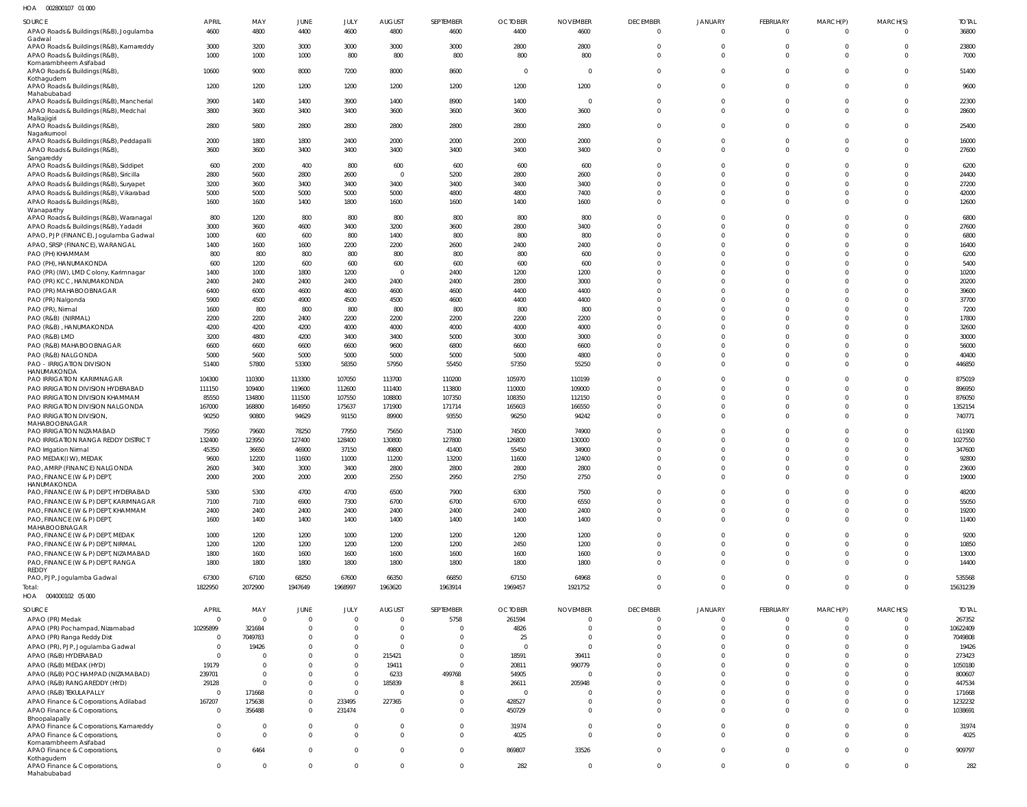| HOA 002800107 01 000                                                                    |                               |                  |                      |                               |                            |                      |                        |                         |                                |                               |                                |                      |                            |                       |
|-----------------------------------------------------------------------------------------|-------------------------------|------------------|----------------------|-------------------------------|----------------------------|----------------------|------------------------|-------------------------|--------------------------------|-------------------------------|--------------------------------|----------------------|----------------------------|-----------------------|
| SOURCE<br>APAO Roads & Buildings (R&B), Jogulamba                                       | <b>APRIL</b><br>4600          | MAY<br>4800      | JUNE<br>4400         | JULY<br>4600                  | <b>AUGUST</b><br>4800      | SEPTEMBER<br>4600    | <b>OCTOBER</b><br>4400 | <b>NOVEMBER</b><br>4600 | <b>DECEMBER</b><br>$\mathbf 0$ | <b>JANUARY</b><br>$\mathbf 0$ | <b>FEBRUARY</b><br>$\mathbf 0$ | MARCH(P)<br>$\Omega$ | MARCH(S)<br>$\overline{0}$ | <b>TOTAL</b><br>36800 |
| Gadwal<br>APAO Roads & Buildings (R&B), Kamareddy                                       | 3000                          | 3200             | 3000                 | 3000                          | 3000                       | 3000                 | 2800                   | 2800                    | $\Omega$<br>$\Omega$           | $\mathbf 0$                   | $\Omega$                       | $\Omega$             | $\mathbf{0}$               | 23800                 |
| APAO Roads & Buildings (R&B),<br>Komarambheem Asifabad<br>APAO Roads & Buildings (R&B), | 1000<br>10600                 | 1000<br>9000     | 1000<br>8000         | 800<br>7200                   | 800<br>8000                | 800<br>8600          | 800<br>$\Omega$        | 800<br>- 0              | $\Omega$                       | $\Omega$<br>$\Omega$          | $\Omega$<br>$\Omega$           | $\Omega$<br>$\Omega$ | $\mathbf 0$<br>$\mathbf 0$ | 7000<br>51400         |
| Kothagudem<br>APAO Roads & Buildings (R&B),                                             | 1200                          | 1200             | 1200                 | 1200                          | 1200                       | 1200                 | 1200                   | 1200                    | $\Omega$                       | $\Omega$                      | $\Omega$                       | $\Omega$             | $\mathbf{0}$               | 9600                  |
| Mahabubabad<br>APAO Roads & Buildings (R&B), Mancherial                                 | 3900                          | 1400             | 1400                 | 3900                          | 1400                       | 8900                 | 1400                   | $\Omega$                | $\Omega$                       | 0                             | $\Omega$                       | $\Omega$             | $\mathbf 0$                | 22300                 |
| APAO Roads & Buildings (R&B), Medchal<br>Malkajigiri                                    | 3800                          | 3600             | 3400                 | 3400                          | 3600                       | 3600                 | 3600                   | 3600                    | $\Omega$                       | $\Omega$                      | $\Omega$                       | $\cap$               | $\mathbf 0$                | 28600                 |
| APAO Roads & Buildings (R&B),<br>Nagarkurnool                                           | 2800                          | 5800             | 2800                 | 2800                          | 2800                       | 2800                 | 2800                   | 2800                    | 0                              | $\Omega$<br>$\Omega$          | $\Omega$                       | $\Omega$             | $\mathbf 0$                | 25400                 |
| APAO Roads & Buildings (R&B), Peddapalli<br>APAO Roads & Buildings (R&B),<br>Sangareddy | 2000<br>3600                  | 1800<br>3600     | 1800<br>3400         | 2400<br>3400                  | 2000<br>3400               | 2000<br>3400         | 2000<br>3400           | 2000<br>3400            | $\Omega$                       | $\Omega$                      | 0<br>$\Omega$                  | $\Omega$             | $\mathbf 0$<br>$\mathbf 0$ | 16000<br>27600        |
| APAO Roads & Buildings (R&B), Siddipet                                                  | 600                           | 2000             | 400                  | 800                           | 600                        | 600                  | 600                    | 600                     |                                |                               |                                |                      | $\mathbf 0$                | 6200                  |
| APAO Roads & Buildings (R&B), Siricilla                                                 | 2800                          | 5600             | 2800                 | 2600<br>3400                  | $\overline{0}$             | 5200                 | 2800                   | 2600                    |                                |                               |                                | $\cap$<br>$\Omega$   | $\Omega$<br>$\mathbf 0$    | 24400                 |
| APAO Roads & Buildings (R&B), Suryapet<br>APAO Roads & Buildings (R&B), Vikarabad       | 3200<br>5000                  | 3600<br>5000     | 3400<br>5000         | 5000                          | 3400<br>5000               | 3400<br>4800         | 3400<br>4800           | 3400<br>7400            |                                |                               | $\Omega$                       | $\Omega$             | $\Omega$                   | 27200<br>42000        |
| APAO Roads & Buildings (R&B),<br>Wanaparthy                                             | 1600                          | 1600             | 1400                 | 1800                          | 1600                       | 1600                 | 1400                   | 1600                    | $\Omega$                       | $\Omega$                      | $\Omega$                       | $\cap$               | $\Omega$                   | 12600                 |
| APAO Roads & Buildings (R&B), Waranagal                                                 | 800                           | 1200             | 800                  | 800                           | 800                        | 800                  | 800                    | 800                     |                                |                               |                                |                      | $\Omega$                   | 6800                  |
| APAO Roads & Buildings (R&B), Yadadri<br>APAO, PJP (FINANCE), Jogulamba Gadwal          | 3000<br>1000                  | 3600<br>600      | 4600<br>600          | 3400<br>800                   | 3200<br>1400               | 3600<br>800          | 2800<br>800            | 3400<br>800             |                                |                               | $\Omega$                       |                      | $\Omega$<br>$\Omega$       | 27600<br>6800         |
| APAO, SRSP (FINANCE), WARANGAL                                                          | 1400                          | 1600             | 1600                 | 2200                          | 2200                       | 2600                 | 2400                   | 2400                    |                                |                               |                                |                      | $\Omega$                   | 16400                 |
| PAO (PH) KHAMMAM                                                                        | 800                           | 800              | 800                  | 800                           | 800                        | 800                  | 800                    | 600                     |                                |                               |                                |                      | $\Omega$                   | 6200                  |
| PAO (PH), HANUMAKONDA                                                                   | 600                           | 1200             | 600                  | 600                           | 600                        | 600                  | 600                    | 600                     |                                |                               |                                |                      | $\Omega$                   | 5400                  |
| PAO (PR) (IW), LMD Colony, Karimnagar                                                   | 1400                          | 1000             | 1800                 | 1200                          | $\Omega$                   | 2400                 | 1200                   | 1200                    |                                |                               |                                |                      | $\Omega$                   | 10200                 |
| PAO (PR) KCC, HANUMAKONDA                                                               | 2400                          | 2400             | 2400                 | 2400                          | 2400                       | 2400                 | 2800                   | 3000                    |                                |                               |                                |                      | $\Omega$                   | 20200                 |
| PAO (PR) MAHABOOBNAGAR                                                                  | 6400<br>5900                  | 6000<br>4500     | 4600<br>4900         | 4600<br>4500                  | 4600<br>4500               | 4600<br>4600         | 4400<br>4400           | 4400<br>4400            |                                |                               |                                |                      | $\Omega$<br>$\Omega$       | 39600<br>37700        |
| PAO (PR) Nalgonda<br>PAO (PR), Nirmal                                                   | 1600                          | 800              | 800                  | 800                           | 800                        | 800                  | 800                    | 800                     |                                |                               |                                |                      | $\Omega$                   | 7200                  |
| PAO (R&B) (NIRMAL)                                                                      | 2200                          | 2200             | 2400                 | 2200                          | 2200                       | 2200                 | 2200                   | 2200                    |                                |                               |                                |                      | $\Omega$                   | 17800                 |
| PAO (R&B), HANUMAKONDA                                                                  | 4200                          | 4200             | 4200                 | 4000                          | 4000                       | 4000                 | 4000                   | 4000                    |                                |                               |                                |                      | $\Omega$                   | 32600                 |
| PAO (R&B) LMD                                                                           | 3200                          | 4800             | 4200                 | 3400                          | 3400                       | 5000                 | 3000                   | 3000                    |                                |                               |                                |                      | $\Omega$                   | 30000                 |
| PAO (R&B) MAHABOOBNAGAR                                                                 | 6600                          | 6600             | 6600                 | 6600                          | 9600                       | 6800                 | 6600                   | 6600                    |                                |                               | U                              |                      | $\Omega$                   | 56000                 |
| PAO (R&B) NALGONDA<br><b>PAO - IRRIGATION DIVISION</b><br>HANUMAKONDA                   | 5000<br>51400                 | 5600<br>57800    | 5000<br>53300        | 5000<br>58350                 | 5000<br>57950              | 5000<br>55450        | 5000<br>57350          | 4800<br>55250           | $\Omega$                       | $\Omega$                      | $\Omega$<br>$\Omega$           |                      | $\mathbf 0$<br>$\Omega$    | 40400<br>446850       |
| PAO IRRIGATION KARIMNAGAR                                                               | 104300                        | 110300           | 113300               | 107050                        | 113700                     | 110200               | 105970                 | 110199                  |                                |                               |                                |                      | $\mathbf 0$                | 875019                |
| PAO IRRIGATION DIVISION HYDERABAD                                                       | 111150                        | 109400           | 119600               | 112600                        | 111400                     | 113800               | 110000                 | 109000                  |                                |                               | $\Omega$                       |                      | $\Omega$                   | 896950                |
| PAO IRRIGATION DIVISION KHAMMAM                                                         | 85550                         | 134800           | 111500               | 107550                        | 108800                     | 107350               | 108350                 | 112150                  |                                |                               | $\Omega$                       |                      | $\mathbf 0$                | 876050                |
| PAO IRRIGATION DIVISION NALGONDA<br>PAO IRRIGATION DIVISION,<br>MAHABOOBNAGAR           | 167000<br>90250               | 168800<br>90800  | 164950<br>94629      | 175637<br>91150               | 171900<br>89900            | 171714<br>93550      | 165603<br>96250        | 166550<br>94242         | $\Omega$                       | U<br>U                        | $\Omega$<br>$\Omega$           |                      | $\mathbf 0$<br>$\Omega$    | 1352154<br>740771     |
| PAO IRRIGATION NIZAMABAD                                                                | 75950                         | 79600            | 78250                | 77950                         | 75650                      | 75100                | 74500                  | 74900                   |                                |                               |                                |                      | $\Omega$                   | 611900                |
| PAO IRRIGATION RANGA REDDY DISTRICT                                                     | 132400                        | 123950           | 127400               | 128400                        | 130800                     | 127800               | 126800                 | 130000                  |                                |                               |                                |                      | $\Omega$                   | 1027550               |
| PAO Irrigation Nirmal<br>PAO MEDAK(IW), MEDAK                                           | 45350<br>9600                 | 36650<br>12200   | 46900<br>11600       | 37150<br>11000                | 49800<br>11200             | 41400<br>13200       | 55450<br>11600         | 34900<br>12400          | $\Omega$                       | $\Omega$                      | U<br>$\Omega$                  | $\cap$               | $\Omega$<br>$\Omega$       | 347600<br>92800       |
| PAO, AMRP (FINANCE) NALGONDA                                                            | 2600                          | 3400             | 3000                 | 3400                          | 2800                       | 2800                 | 2800                   | 2800                    | $\Omega$                       |                               | $\Omega$                       | $\Omega$             | $\Omega$                   | 23600                 |
| PAO, FINANCE (W & P) DEPT,<br>HANUMAKONDA                                               | 2000                          | 2000             | 2000                 | 2000                          | 2550                       | 2950                 | 2750                   | 2750                    | $\Omega$                       | $\Omega$                      | $\Omega$                       | $\Omega$             | $\Omega$                   | 19000                 |
| PAO, FINANCE (W & P) DEPT, HYDERABAD<br>PAO, FINANCE (W & P) DEPT, KARIMNAGAR           | 5300                          | 5300             | 4700<br>6900         | 4700                          | 6500                       | 7900<br>6700         | 6300<br>6700           | 7500<br>6550            | $\Omega$<br>$\Omega$           | $\Omega$                      | $\Omega$<br>$\Omega$           | $\Omega$<br>$\Omega$ | $\Omega$<br>$\Omega$       | 48200<br>55050        |
| PAO, FINANCE (W & P) DEPT, KHAMMAM                                                      | 7100<br>2400                  | 7100<br>2400     | 2400                 | 7300<br>2400                  | 6700<br>2400               | 2400                 | 2400                   | 2400                    | $\Omega$                       | $\Omega$                      | $\Omega$                       | $\Omega$             | $\Omega$                   | 19200                 |
| PAO, FINANCE (W & P) DEPT,<br>MAHABOOBNAGAR                                             | 1600                          | 1400             | 1400                 | 1400                          | 1400                       | 1400                 | 1400                   | 1400                    | 0                              | $\Omega$                      | $\Omega$                       | $\Omega$             | $\Omega$                   | 11400                 |
| PAO, FINANCE (W & P) DEPT, MEDAK                                                        | 1000                          | 1200             | 1200                 | 1000                          | 1200                       | 1200                 | 1200                   | 1200                    | $\Omega$                       | U                             | U                              | $\Omega$             | $\Omega$                   | 9200                  |
| PAO, FINANCE (W & P) DEPT, NIRMAL<br>PAO, FINANCE (W & P) DEPT, NIZAMABAD               | 1200<br>1800                  | 1200<br>1600     | 1200<br>1600         | 1200<br>1600                  | 1200<br>1600               | 1200<br>1600         | 2450<br>1600           | 1200<br>1600            | $\Omega$                       | $\Omega$                      | $\Omega$<br>$\Omega$           | $\Omega$<br>$\Omega$ | $\Omega$<br>$\Omega$       | 10850<br>13000        |
| PAO, FINANCE (W & P) DEPT, RANGA                                                        | 1800                          | 1800             | 1800                 | 1800                          | 1800                       | 1800                 | 1800                   | 1800                    | $\Omega$                       | $\Omega$                      | $\Omega$                       | $\Omega$             | $\Omega$                   | 14400                 |
| REDDY                                                                                   |                               |                  |                      |                               |                            |                      |                        |                         |                                |                               |                                |                      |                            |                       |
| PAO, PJP, Jogulamba Gadwal<br>Total:                                                    | 67300<br>1822950              | 67100<br>2072900 | 68250<br>1947649     | 67600<br>1968997              | 66350<br>1963620           | 66850<br>1963914     | 67150<br>1969457       | 64968<br>1921752        | $\Omega$<br>$\mathbf 0$        | $\Omega$<br>$\mathbf 0$       | $\Omega$<br>$\mathbf 0$        | $\Omega$<br>$\Omega$ | $\Omega$<br>$\overline{0}$ | 535568<br>15631239    |
| HOA   004000102   05   000                                                              |                               |                  |                      |                               |                            |                      |                        |                         |                                |                               |                                |                      |                            |                       |
| SOURCE                                                                                  | <b>APRIL</b>                  | MAY              | JUNE                 | JULY                          | <b>AUGUST</b>              | SEPTEMBER            | <b>OCTOBER</b>         | <b>NOVEMBER</b>         | <b>DECEMBER</b>                | JANUARY                       | <b>FEBRUARY</b>                | MARCH(P)             | MARCH(S)                   | <b>TOTAL</b>          |
| APAO (PR) Medak                                                                         | $\overline{0}$                | $\overline{0}$   | $\Omega$             | $\overline{0}$                | $\overline{0}$             | 5758                 | 261594                 | $\Omega$                | $\mathbf 0$                    | 0                             | $\mathbf 0$                    |                      | $\Omega$                   | 267352                |
| APAO (PR) Pochampad, Nizamabad                                                          | 10295899                      | 321684           | $\Omega$             | $\overline{0}$                | $\mathbf 0$                | $\Omega$             | 4826                   | $\Omega$                | $\mathbf 0$                    | $\Omega$                      | $\Omega$                       | $\Omega$             | $\overline{0}$             | 10622409              |
| APAO (PR) Ranga Reddy Dist                                                              | $\mathbf 0$<br>$\overline{0}$ | 7049783          | $\Omega$<br>$\Omega$ | $\overline{0}$                | $\mathbf 0$<br>$\mathbf 0$ | $\Omega$<br>$\Omega$ | 25<br>$\Omega$         | $\Omega$<br>$\Omega$    | $\Omega$<br>$\Omega$           | 0                             | U                              | $\Omega$<br>$\Omega$ | $\overline{0}$<br>$\Omega$ | 7049808               |
| APAO (PR), PJP, Jogulamba Gadwal<br>APAO (R&B) HYDERABAD                                | $\overline{0}$                | 19426<br>- 0     | $\Omega$             | $\mathbf 0$<br>$\overline{0}$ | 215421                     | $\Omega$             | 18591                  | 39411                   |                                |                               |                                | $\Omega$             | $\Omega$                   | 19426<br>273423       |
| APAO (R&B) MEDAK (HYD)                                                                  | 19179                         | $\overline{0}$   |                      | $\Omega$                      | 19411                      | $\Omega$             | 20811                  | 990779                  |                                |                               |                                | $\Omega$             | $\mathbf 0$                | 1050180               |
| APAO (R&B) POCHAMPAD (NIZAMABAD)                                                        | 239701                        | $\overline{0}$   | $\Omega$             | $\overline{0}$                | 6233                       | 499768               | 54905                  | $\Omega$                |                                |                               |                                | $\Omega$             | $\Omega$                   | 800607                |
| APAO (R&B) RANGAREDDY (HYD)                                                             | 29128                         | $\Omega$         | $\Omega$             | $\overline{0}$                | 185839                     |                      | 26611                  | 205948                  |                                |                               |                                | $\Omega$             | $\Omega$                   | 447534                |
| APAO (R&B) TEKULAPALLY                                                                  | $\mathbf 0$                   | 171668           | $\Omega$             | $\overline{0}$                | $\overline{0}$             | $\Omega$             | $\Omega$               | $\Omega$                | U                              | U                             | U                              | $\Omega$             | $\mathbf 0$                | 171668                |
| APAO Finance & Corporations, Adilabad                                                   | 167207<br>$\mathbf{0}$        | 175638<br>356488 | $\Omega$<br>$\Omega$ | 233495<br>231474              | 227365<br>$\mathbf 0$      | $\Omega$<br>$\Omega$ | 428527<br>450729       | $\Omega$<br>$\Omega$    | $\Omega$<br>0                  | $\Omega$<br>$\Omega$          | $\Omega$<br>$\Omega$           | $\Omega$<br>$\Omega$ | $\overline{0}$<br>$\Omega$ | 1232232<br>1038691    |
| APAO Finance & Corporations,<br>Bhoopalapally                                           |                               |                  |                      |                               |                            |                      |                        |                         |                                |                               |                                |                      |                            |                       |
| APAO Finance & Corporations, Kamareddy                                                  | $\overline{0}$                | $\overline{0}$   | $\overline{0}$       | $\overline{0}$                | $\mathbf 0$                | $\Omega$             | 31974                  | $\Omega$                | 0                              | $\Omega$                      | $\Omega$                       | $\Omega$             | $\overline{0}$             | 31974                 |
| APAO Finance & Corporations,                                                            | $\Omega$                      | $\Omega$         | $\Omega$             | $\overline{0}$                | $\mathbf 0$                | $\overline{0}$       | 4025                   | $\Omega$                | $\Omega$                       | $\Omega$                      | $\Omega$                       | $\Omega$             | $\Omega$                   | 4025                  |
| Komarambheem Asifabad<br>APAO Finance & Corporations,                                   | $\Omega$                      | 6464             | $\Omega$             | $\overline{0}$                | $\mathbf 0$                | $\overline{0}$       | 869807                 | 33526                   | $\mathbf 0$                    | $\mathbf 0$                   | $\mathbf 0$                    | $\Omega$             | $\overline{0}$             | 909797                |
| Kothagudem<br>APAO Finance & Corporations,                                              | $\overline{0}$                | $\overline{0}$   | $\overline{0}$       | $\mathbf 0$                   | $\mathbf 0$                | $\mathbf 0$          | 282                    | $\overline{0}$          | $\mathbf 0$                    | $\pmb{0}$                     | 0                              | $\overline{0}$       | $\mathbf 0$                | 282                   |
| Mahabubabad                                                                             |                               |                  |                      |                               |                            |                      |                        |                         |                                |                               |                                |                      |                            |                       |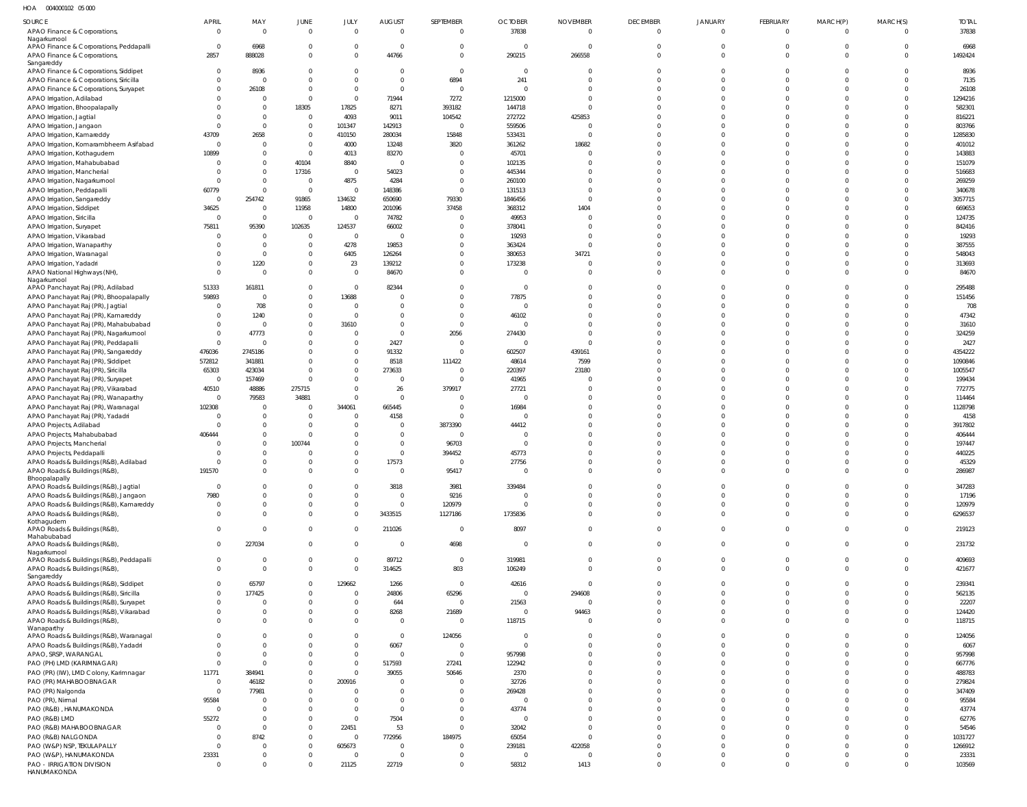HOA 004000102 05 000

| SOURCE                                                                     | <b>APRIL</b>               | MAY                                                | JUNE                             | JULY              | <b>AUGUST</b>           | SEPTEMBER            | <b>OCTOBER</b>        | <b>NOVEMBER</b>      | <b>DECEMBER</b>      | <b>JANUARY</b>       | FEBRUARY                | MARCH(P)             | MARCH(S)                         | <b>TOTAL</b>      |
|----------------------------------------------------------------------------|----------------------------|----------------------------------------------------|----------------------------------|-------------------|-------------------------|----------------------|-----------------------|----------------------|----------------------|----------------------|-------------------------|----------------------|----------------------------------|-------------------|
| APAO Finance & Corporations,                                               | $\overline{0}$             | $\overline{\mathbf{0}}$                            | $\circ$                          |                   | $\mathbf 0$             | $\Omega$             | 37838                 | $\Omega$             | $\mathbf{0}$         | $\mathbf 0$          | $\overline{0}$          | $\Omega$             | $\overline{0}$                   | 37838             |
| Nagarkurnool                                                               |                            |                                                    |                                  |                   |                         |                      |                       |                      |                      |                      |                         |                      |                                  |                   |
| APAO Finance & Corporations, Peddapalli                                    | $\overline{0}$<br>2857     | 6968<br>888028                                     | - 0<br>$\Omega$                  |                   | $\mathbf 0$<br>44766    | $\Omega$<br>$\Omega$ | $\Omega$<br>290215    | 266558               | $\Omega$             | $\Omega$             | $\Omega$                | $\Omega$             | $\Omega$<br>$\overline{0}$       | 6968<br>1492424   |
| APAO Finance & Corporations,<br>Sangareddy                                 |                            |                                                    |                                  |                   |                         |                      |                       |                      |                      |                      |                         |                      |                                  |                   |
| APAO Finance & Corporations, Siddipet                                      | $\overline{0}$             | 8936                                               | $\mathbf{0}$                     |                   | 0                       | $\Omega$             | $\Omega$              |                      |                      |                      |                         |                      | $\Omega$                         | 8936              |
| APAO Finance & Corporations, Siricilla                                     | $\Omega$                   | $\overline{0}$                                     | $\Omega$                         |                   | $\Omega$                | 6894                 | 241                   |                      |                      |                      |                         |                      | $\Omega$                         | 7135              |
| APAO Finance & Corporations, Suryapet                                      | $\overline{0}$             | 26108                                              | $\overline{0}$                   |                   | $\Omega$                | $\Omega$             | $\Omega$              |                      |                      |                      |                         |                      | $\Omega$                         | 26108             |
| APAO Irrigation, Adilabad                                                  |                            | $\overline{0}$                                     | $\circ$                          |                   | 71944                   | 7272                 | 1215000               |                      |                      |                      |                         |                      | $\Omega$                         | 1294216           |
| APAO Irrigation, Bhoopalapally                                             |                            | $\overline{\mathbf{0}}$                            | 18305                            | 17825             | 8271                    | 393182               | 144718                |                      |                      |                      |                         |                      | $\Omega$                         | 582301            |
| APAO Irrigation, Jagtial                                                   | $\Omega$                   | $\overline{0}$<br>$\overline{\mathbf{0}}$          | $\overline{0}$<br>$\overline{0}$ | 4093<br>101347    | 9011<br>142913          | 104542<br>$\Omega$   | 272722<br>559506      | 425853               |                      |                      |                         |                      | $\Omega$<br>$\Omega$             | 816221<br>803766  |
| APAO Irrigation, Jangaon<br>APAO Irrigation, Kamareddy                     | 43709                      | 2658                                               | $\overline{0}$                   | 410150            | 280034                  | 15848                | 533431                | $\sqrt{ }$           |                      |                      |                         |                      | $\Omega$                         | 1285830           |
| APAO Irrigation, Komarambheem Asifabad                                     | $\Omega$                   | $\overline{0}$                                     | $\overline{0}$                   | 4000              | 13248                   | 3820                 | 361262                | 18682                |                      |                      |                         |                      | $\Omega$                         | 401012            |
| APAO Irrigation, Kothagudem                                                | 10899                      | $\overline{0}$                                     | $\overline{0}$                   | 4013              | 83270                   |                      | 45701                 |                      |                      |                      |                         |                      | $\Omega$                         | 143883            |
| APAO Irrigation, Mahabubabad                                               | $\Omega$                   | $\overline{0}$                                     | 40104                            | 8840              | $\Omega$                | $\Omega$             | 102135                |                      |                      |                      |                         |                      | $\Omega$                         | 151079            |
| APAO Irrigation, Mancherial                                                | $\Omega$                   | $\overline{0}$                                     | 17316                            | - 0               | 54023                   | $\Omega$             | 445344                |                      |                      |                      |                         |                      | $\Omega$                         | 516683            |
| APAO Irrigation, Nagarkurnool                                              | $\Omega$                   | $\overline{\mathbf{0}}$                            | $\overline{0}$                   | 4875              | 4284                    | $\Omega$             | 260100                |                      |                      |                      |                         |                      | $\Omega$                         | 269259            |
| APAO Irrigation, Peddapalli                                                | 60779                      | $\overline{\mathbf{0}}$                            | $\overline{0}$                   | $\Omega$          | 148386                  | $\Omega$             | 131513                |                      |                      |                      |                         |                      | $\Omega$                         | 340678            |
| APAO Irrigation, Sangareddy                                                | $\overline{0}$             | 254742                                             | 91865                            | 134632            | 650690                  | 79330                | 1846456               | $\cap$               |                      |                      |                         |                      | $\Omega$                         | 3057715           |
| APAO Irrigation, Siddipet                                                  | 34625                      | $\overline{\mathbf{0}}$                            | 11958                            | 14800             | 201096                  | 37458                | 368312                | 1404                 |                      |                      |                         |                      | $\Omega$                         | 669653            |
| APAO Irrigation, Siricilla                                                 | $\overline{0}$<br>75811    | $\overline{\mathbf{0}}$<br>95390                   | $\overline{0}$<br>102635         | 124537            | 74782<br>66002          | - 0                  | 49953<br>378041       | $\Omega$             |                      |                      |                         |                      | $\Omega$<br>$\Omega$             | 124735<br>842416  |
| APAO Irrigation, Suryapet<br>APAO Irrigation, Vikarabad                    | $\Omega$                   | $\overline{\mathbf{0}}$                            | $\circ$                          | $\Omega$          |                         | $\Omega$             | 19293                 | - 0                  |                      |                      |                         |                      | $\Omega$                         | 19293             |
| APAO Irrigation, Wanaparthy                                                |                            | $\overline{\mathbf{0}}$                            | $\Omega$                         | 4278              | 19853                   |                      | 363424                |                      |                      |                      |                         |                      | $\Omega$                         | 387555            |
| APAO Irrigation, Waranagal                                                 |                            | $\overline{\mathbf{0}}$                            | $\overline{0}$                   | 6405              | 126264                  |                      | 380653                | 34721                |                      |                      |                         |                      | $\Omega$                         | 548043            |
| APAO Irrigation, Yadadri                                                   |                            | 1220                                               | $\mathbf{0}$                     | 23                | 139212                  |                      | 173238                |                      |                      |                      |                         |                      | $\Omega$                         | 313693            |
| APAO National Highways (NH),                                               | $\Omega$                   | $\Omega$                                           | $\Omega$                         |                   | 84670                   | $\Omega$             | - 0                   |                      |                      |                      |                         |                      | $\Omega$                         | 84670             |
| Nagarkurnool                                                               |                            |                                                    |                                  |                   |                         |                      |                       |                      |                      |                      |                         |                      |                                  |                   |
| APAO Panchayat Raj (PR), Adilabad                                          | 51333<br>59893             | 161811<br>$\overline{0}$                           | $\Omega$<br>$\mathbf 0$          | $\Omega$<br>13688 | 82344                   | $\Omega$             | $\Omega$<br>77875     |                      |                      |                      |                         |                      | $\Omega$<br>$\Omega$             | 295488            |
| APAO Panchayat Raj (PR), Bhoopalapally<br>APAO Panchayat Raj (PR), Jagtial | $\Omega$                   | 708                                                | $\mathbf 0$                      |                   |                         |                      | $\Omega$              |                      |                      |                      |                         |                      | $\Omega$                         | 151456<br>708     |
| APAO Panchayat Raj (PR), Kamareddy                                         | $\Omega$                   | 1240                                               | $\mathbf 0$                      |                   |                         | $\Omega$             | 46102                 |                      |                      |                      |                         |                      | $\Omega$                         | 47342             |
| APAO Panchayat Raj (PR), Mahabubabad                                       | $\Omega$                   | $\overline{\mathbf{0}}$                            | $\Omega$                         | 31610             | $\Omega$                | $\Omega$             | $\Omega$              |                      |                      |                      |                         |                      | $\Omega$                         | 31610             |
| APAO Panchayat Raj (PR), Nagarkurnool                                      | $\overline{0}$             | 47773                                              | $\mathbf{0}$                     |                   | $\Omega$                | 2056                 | 274430                |                      |                      |                      |                         |                      | $\Omega$                         | 324259            |
| APAO Panchayat Raj (PR), Peddapalli                                        | $\overline{0}$             | $\overline{\phantom{0}}$                           | $\Omega$                         |                   | 2427                    | $\sqrt{ }$           | $\Omega$              |                      |                      |                      |                         |                      | $\Omega$                         | 2427              |
| APAO Panchayat Raj (PR), Sangareddy                                        | 476036                     | 2745186                                            | $\overline{0}$                   |                   | 91332                   | $\Omega$             | 602507                | 439161               |                      |                      |                         |                      | $\Omega$                         | 4354222           |
| APAO Panchayat Raj (PR), Siddipet                                          | 572812                     | 341881                                             | $\Omega$                         |                   | 8518                    | 111422               | 48614                 | 7599                 |                      |                      |                         |                      | $\Omega$                         | 1090846           |
| APAO Panchayat Raj (PR), Siricilla                                         | 65303                      | 423034                                             | $\overline{0}$                   |                   | 273633                  |                      | 220397                | 23180                |                      |                      |                         |                      | $\Omega$                         | 1005547           |
| APAO Panchayat Raj (PR), Suryapet                                          | $\overline{0}$             | 157469                                             | $\circ$                          |                   | 0                       |                      | 41965                 |                      |                      |                      |                         |                      | $\Omega$                         | 199434            |
| APAO Panchayat Raj (PR), Vikarabad                                         | 40510<br>$\overline{0}$    | 48886                                              | 275715                           |                   | 26<br>$\Omega$          | 379917               | 27721<br>$\mathsf{C}$ |                      |                      |                      |                         |                      | $\Omega$<br>$\Omega$             | 772775            |
| APAO Panchayat Raj (PR), Wanaparthy<br>APAO Panchayat Raj (PR), Waranagal  | 102308                     | 79583<br>$\overline{\mathbf{0}}$                   | 34881<br>$\circ$                 | 344061            | 665445                  | - 0                  | 16984                 |                      |                      |                      |                         |                      | $\Omega$                         | 114464<br>1128798 |
| APAO Panchayat Raj (PR), Yadadri                                           | $\Omega$                   | $\overline{\mathbf{0}}$                            | $\overline{0}$                   |                   | 4158                    | $\Omega$             | $\sqrt{ }$            |                      |                      |                      |                         |                      | $\Omega$                         | 4158              |
| APAO Projects, Adilabad                                                    | $\Omega$                   | $\overline{\mathbf{0}}$                            | $\overline{0}$                   |                   | 0                       | 3873390              | 44412                 |                      |                      |                      |                         |                      | $\Omega$                         | 3917802           |
| APAO Projects, Mahabubabad                                                 | 406444                     | $\overline{0}$                                     | $\overline{0}$                   |                   | 0                       |                      | $\Omega$              |                      |                      |                      |                         |                      | $\Omega$                         | 406444            |
| APAO Projects, Mancherial                                                  |                            | $\Omega$                                           | 100744                           |                   | 0                       | 96703                | $\Omega$              |                      |                      |                      |                         |                      |                                  | 197447            |
| APAO Projects, Peddapalli                                                  |                            | $\Omega$                                           |                                  |                   | 0                       | 394452               | 45773                 |                      |                      |                      |                         |                      |                                  | 440225            |
| APAO Roads & Buildings (R&B), Adilabad                                     | $\Omega$                   | $\Omega$                                           | $\Omega$                         | $\Omega$          | 17573                   | $\Omega$             | 27756                 | $\Omega$             |                      |                      |                         |                      | $\Omega$                         | 45329             |
| APAO Roads & Buildings (R&B),                                              | 191570                     |                                                    |                                  |                   |                         | 95417                |                       |                      |                      |                      |                         |                      | $\cap$                           | 286987            |
| Bhoopalapally<br>APAO Roads & Buildings (R&B), Jagtial                     | $\overline{0}$             | $\overline{\mathbf{0}}$                            | - 0                              |                   | 3818                    | 3981                 | 339484                |                      | $\Omega$             | 0                    | 0                       | $\Omega$             | $\mathbf{0}$                     | 347283            |
| APAO Roads & Buildings (R&B), Jangaon                                      | 7980                       | $\overline{0}$                                     | $\Omega$                         |                   | $\mathbf 0$             | 9216                 | $\Omega$              | $\Omega$             | $\Omega$             | $\Omega$             | $\Omega$                | $\Omega$             | $\Omega$                         | 17196             |
| APAO Roads & Buildings (R&B), Kamareddy                                    | $\overline{0}$             | $\mathbf 0$                                        | $\mathbf{0}$                     |                   | $\mathbf 0$             | 120979               | $\Omega$              | $\Omega$             | $\Omega$             |                      | $\Omega$                | $\Omega$             | $\Omega$                         | 120979            |
| APAO Roads & Buildings (R&B),                                              | $\Omega$                   | $\overline{0}$                                     | $\Omega$                         |                   | 3433515                 | 1127186              | 1735836               | $\Omega$             | $\Omega$             | $\Omega$             | $\Omega$                | $\Omega$             | $\overline{0}$                   | 6296537           |
| Kothagudem                                                                 |                            |                                                    |                                  |                   |                         |                      |                       |                      |                      |                      |                         |                      |                                  |                   |
| APAO Roads & Buildings (R&B),<br>Mahabubabad                               | $\Omega$                   | $\overline{0}$                                     | $\mathbf 0$                      |                   | 211026                  | $\Omega$             | 8097                  | $\Omega$             | $\Omega$             | $\Omega$             | $\Omega$                | $\Omega$             | $\Omega$                         | 219123            |
| APAO Roads & Buildings (R&B),                                              | $\mathbf{0}$               | 227034                                             | $\mathbf 0$                      | $\Omega$          | $\mathbf 0$             | 4698                 | $\Omega$              | $\Omega$             | $\Omega$             | $\Omega$             | $\Omega$                | $\Omega$             | $\overline{0}$                   | 231732            |
| Nagarkurnool                                                               |                            |                                                    |                                  |                   |                         |                      |                       |                      |                      |                      |                         |                      |                                  |                   |
| APAO Roads & Buildings (R&B), Peddapalli<br>APAO Roads & Buildings (R&B),  | $\overline{0}$<br>$\Omega$ | $\overline{\mathbf{0}}$<br>$\overline{\mathbf{0}}$ | $\overline{0}$<br>$\mathbf 0$    |                   | 89712<br>314625         | $\Omega$<br>803      | 319981<br>106249      | $\Omega$<br>$\Omega$ | $\Omega$<br>$\Omega$ | $\Omega$<br>$\Omega$ | $\mathbf 0$<br>$\Omega$ | $\Omega$<br>$\Omega$ | $\overline{0}$<br>$\overline{0}$ | 409693<br>421677  |
| Sangareddy                                                                 |                            |                                                    |                                  |                   |                         |                      |                       |                      |                      |                      |                         |                      |                                  |                   |
| APAO Roads & Buildings (R&B), Siddipet                                     | $\overline{0}$             | 65797                                              | $\overline{0}$                   | 129662            | 1266                    | $\Omega$             | 42616                 | $\Omega$             |                      |                      | $\Omega$                | $\Omega$             | $\overline{0}$                   | 239341            |
| APAO Roads & Buildings (R&B), Siricilla                                    | $\overline{0}$             | 177425                                             | $\mathbf 0$                      | $\Omega$          | 24806                   | 65296                | $\mathbf{0}$          | 294608               |                      |                      | $\Omega$                | $\Omega$             | $\overline{0}$                   | 562135            |
| APAO Roads & Buildings (R&B), Suryapet                                     | $\overline{0}$             | $\overline{0}$                                     | $\mathbf 0$                      |                   | 644                     | $\Omega$             | 21563                 | $\Omega$             |                      |                      | $\Omega$                | $\Omega$             | $\mathbf 0$                      | 22207             |
| APAO Roads & Buildings (R&B), Vikarabad                                    | $\Omega$<br>$\Omega$       | $\overline{0}$                                     | $\mathbf 0$                      | $\Omega$          | 8268                    | 21689                | $\mathbf{0}$          | 94463                |                      |                      |                         | $\Omega$<br>$\Omega$ | $\overline{0}$                   | 124420            |
| APAO Roads & Buildings (R&B),<br>Wanaparthy                                |                            | $\overline{0}$                                     | $\mathbf 0$                      | $\Omega$          | $\mathbf 0$             | $\Omega$             | 118715                | $\Omega$             |                      | $\Omega$             | $\Omega$                |                      | $\Omega$                         | 118715            |
| APAO Roads & Buildings (R&B), Waranaga                                     | $\Omega$                   | $\overline{0}$                                     | $\Omega$                         |                   | $\mathbf 0$             | 124056               | $\Omega$              | $\Omega$             | $\Omega$             |                      | $\Omega$                | $\cap$               | $\Omega$                         | 124056            |
| APAO Roads & Buildings (R&B), Yadadri                                      | $\Omega$                   | $\overline{0}$                                     | $\mathbf 0$                      | $\Omega$          | 6067                    | $\Omega$             | $\Omega$              | $\Omega$             |                      |                      |                         | $\Omega$             | $\Omega$                         | 6067              |
| APAO, SRSP, WARANGAL                                                       | $\Omega$                   | $\overline{0}$                                     | $\Omega$                         | $\Omega$          | $\mathbf 0$             | $\overline{0}$       | 957998                | $\Omega$             |                      |                      |                         | $\Omega$             | $\Omega$                         | 957998            |
| PAO (PH) LMD (KARIMNAGAR)                                                  | $\overline{0}$             | $\overline{\mathbf{0}}$                            | $\mathbf 0$                      |                   | 517593                  | 27241                | 122942                | $\Omega$             |                      |                      |                         | $\Omega$             | $\Omega$                         | 667776            |
| PAO (PR) (IW), LMD Colony, Karimnagar                                      | 11771                      | 384941                                             | $\mathbf 0$                      | $\Omega$          | 39055                   | 50646                | 2370                  | $\Omega$             |                      |                      |                         | $\Omega$             | $\Omega$                         | 488783            |
| PAO (PR) MAHABOOBNAGAR                                                     | $\overline{0}$             | 46182                                              | $\mathbf 0$                      | 200916            | 0                       |                      | 32726                 | $\Omega$             |                      |                      |                         | $\Omega$             | $\Omega$                         | 279824            |
| PAO (PR) Nalgonda<br>PAO (PR), Nirmal                                      | $\overline{0}$<br>95584    | 77981<br>$\overline{\mathbf{0}}$                   | $\mathbf 0$<br>$\mathbf 0$       |                   | $\Omega$<br>$\mathbf 0$ | $\Omega$<br>$\cap$   | 269428<br>$\Omega$    | $\Omega$<br>$\Omega$ |                      |                      |                         | $\Omega$             | $\Omega$<br>$\Omega$             | 347409<br>95584   |
| PAO (R&B), HANUMAKONDA                                                     | $\overline{0}$             | $\overline{0}$                                     | $\overline{0}$                   |                   | $\mathbf 0$             | $\Omega$             | 43774                 | $\Omega$             |                      |                      |                         | $\Omega$             | $\Omega$                         | 43774             |
| PAO (R&B) LMD                                                              | 55272                      | $\overline{\mathbf{0}}$                            | $\mathbf 0$                      | $\Omega$          | 7504                    | $\Omega$             | $\Omega$              | $\Omega$             |                      |                      |                         | $\Omega$             | $\Omega$                         | 62776             |
| PAO (R&B) MAHABOOBNAGAR                                                    | $\Omega$                   | $\overline{\mathbf{0}}$                            | $\mathbf 0$                      | 22451             | 53                      | $\Omega$             | 32042                 | $\Omega$             |                      |                      |                         | $\Omega$             | $\Omega$                         | 54546             |
| PAO (R&B) NALGONDA                                                         | $\overline{0}$             | 8742                                               | $\mathbf 0$                      | $\Omega$          | 772956                  | 184975               | 65054                 | $\Omega$             |                      |                      |                         | $\Omega$             | $\Omega$                         | 1031727           |
| PAO (W&P) NSP, TEKULAPALLY                                                 | $\overline{0}$             | $\overline{0}$                                     | $\mathbf 0$                      | 605673            | $\mathbf 0$             | $\Omega$             | 239181                | 422058               |                      |                      |                         | $\Omega$             | $\overline{0}$                   | 1266912           |
| PAO (W&P), HANUMAKONDA                                                     | 23331                      | $\overline{0}$                                     | $\mathbf 0$                      | $\Omega$          | $\mathbf 0$             | $\Omega$             | $\Omega$              | $\sqrt{ }$           |                      |                      |                         | $\Omega$             | $\overline{0}$                   | 23331             |
| PAO - IRRIGATION DIVISION                                                  | $\overline{0}$             | $\overline{0}$                                     | $\mathbf 0$                      | 21125             | 22719                   | $\Omega$             | 58312                 | 1413                 | $\Omega$             | $\Omega$             | $\Omega$                | $\Omega$             | $\overline{0}$                   | 103569            |
| HANUMAKONDA                                                                |                            |                                                    |                                  |                   |                         |                      |                       |                      |                      |                      |                         |                      |                                  |                   |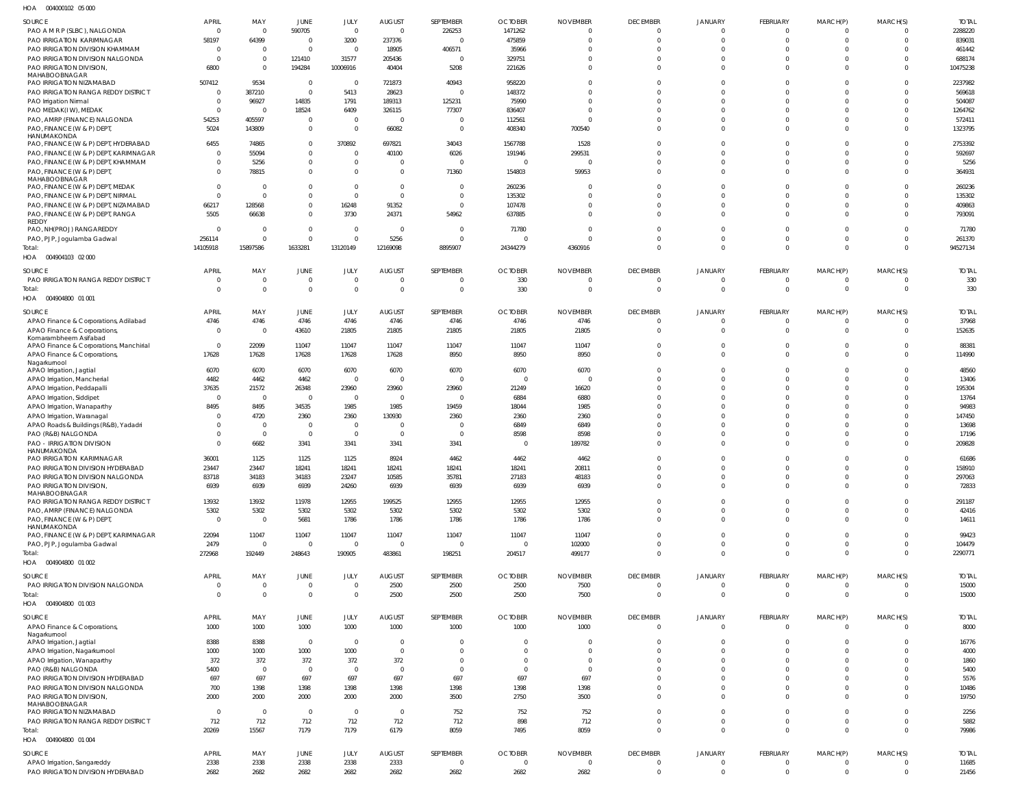004000102 05 000 HOA

| SOURCE                                                                        | <b>APRIL</b>     | MAY                   | JUNE                       | JULY                   | <b>AUGUST</b>          | SEPTEMBER        | <b>OCTOBER</b>         | <b>NOVEMBER</b>  | <b>DECEMBER</b>                   | <b>JANUARY</b>                   | FEBRUARY                   | MARCH(P)                         | MARCH(S)                   | <b>TOTAL</b>    |
|-------------------------------------------------------------------------------|------------------|-----------------------|----------------------------|------------------------|------------------------|------------------|------------------------|------------------|-----------------------------------|----------------------------------|----------------------------|----------------------------------|----------------------------|-----------------|
| PAO A M R P (SLBC), NALGONDA                                                  | $\mathbf{0}$     | $\overline{0}$        | 590705                     | $\mathbf{0}$           | $\overline{0}$         | 226253           | 1471262                | $\overline{0}$   | $\Omega$                          | $\Omega$                         | $\Omega$                   | $\overline{0}$                   | $\Omega$                   | 2288220         |
| PAO IRRIGATION KARIMNAGAR                                                     | 58197            | 64399                 | $\Omega$                   | 3200                   | 237376                 | $\Omega$         | 475859                 | $\Omega$         | $\Omega$                          | $\Omega$                         | $\Omega$                   | $\Omega$                         | $\Omega$                   | 839031          |
| PAO IRRIGATION DIVISION KHAMMAM                                               | $\Omega$         | $\Omega$              | $\mathbf 0$                | $\overline{0}$         | 18905                  | 406571           | 35966                  | $\Omega$         | $\Omega$                          | $\Omega$                         | $\Omega$                   | $\Omega$                         | $\Omega$                   | 461442          |
| PAO IRRIGATION DIVISION NALGONDA                                              | $\Omega$         | $\overline{0}$        | 121410                     | 31577                  | 205436                 | $\Omega$         | 329751                 | $\Omega$         | $\Omega$                          | $\Omega$                         | $\Omega$                   | $\Omega$                         | $\Omega$                   | 688174          |
| PAO IRRIGATION DIVISION,                                                      | 6800             | $\overline{0}$        | 194284                     | 10006916               | 40404                  | 5208             | 221626                 | $\Omega$         | $\Omega$                          | $\Omega$                         | $\Omega$                   | $\Omega$                         | $\Omega$                   | 10475238        |
| MAHABOOBNAGAR<br>PAO IRRIGATION NIZAMABAD                                     | 507412           | 9534                  | $\mathbf{0}$               | $\overline{0}$         | 721873                 | 40943            | 958220                 | $\Omega$         | $\Omega$                          | $\Omega$                         | $\Omega$                   | $\Omega$                         | $\Omega$                   | 2237982         |
| PAO IRRIGATION RANGA REDDY DISTRICT                                           | $\Omega$         | 387210                | $\mathbf 0$                | 5413                   | 28623                  | $\Omega$         | 148372                 | $\Omega$         | $\Omega$                          | $\Omega$                         | $\Omega$                   | $\Omega$                         | $\Omega$                   | 569618          |
| PAO Irrigation Nirmal                                                         |                  | 96927                 | 14835                      | 1791                   | 189313                 | 125231           | 75990                  | $\Omega$         | $\Omega$                          | $\Omega$                         | $\Omega$                   | $\Omega$                         | $\Omega$                   | 504087          |
| PAO MEDAK(IW), MEDAK                                                          | $\Omega$         | $\Omega$              | 18524                      | 6409                   | 326115                 | 77307            | 836407                 | $\Omega$         | $\Omega$                          | $\Omega$                         | $\Omega$                   | $\Omega$                         | $\Omega$                   | 1264762         |
| PAO, AMRP (FINANCE) NALGONDA                                                  | 54253            | 405597                | $\mathbf 0$                | $\overline{0}$         | $\Omega$               | $\Omega$         | 112561                 | $\Omega$         | $\Omega$                          | $\Omega$                         | $\Omega$                   | $\Omega$                         | $\Omega$                   | 572411          |
| PAO, FINANCE (W & P) DEPT                                                     | 5024             | 143809                | $\mathbf 0$                | $\overline{0}$         | 66082                  | $\Omega$         | 408340                 | 700540           | $\Omega$                          | $\Omega$                         | $\Omega$                   | $\Omega$                         | $\Omega$                   | 1323795         |
| HANUMAKONDA                                                                   | 6455             | 74865                 | $\mathbf{0}$               | 370892                 |                        | 34043            | 1567788                | 1528             | $\Omega$                          | $\Omega$                         | $\Omega$                   | $\Omega$                         | $\Omega$                   | 2753392         |
| PAO, FINANCE (W & P) DEPT, HYDERABAD<br>PAO, FINANCE (W & P) DEPT, KARIMNAGAR | $\Omega$         | 55094                 | $\mathbf 0$                | $\Omega$               | 697821<br>40100        | 6026             | 191946                 | 299531           | $\Omega$                          | $\Omega$                         | $\Omega$                   | $\Omega$                         | $\Omega$                   | 592697          |
| PAO, FINANCE (W & P) DEPT, KHAMMAM                                            |                  | 5256                  | $\mathbf{0}$               | $\overline{0}$         | $\Omega$               | $\sqrt{2}$       | $\overline{0}$         | C                | $\Omega$                          | $\Omega$                         | $\Omega$                   | $\Omega$                         | $\Omega$                   | 5256            |
| PAO, FINANCE (W & P) DEPT,                                                    |                  | 78815                 | $\Omega$                   | $\Omega$               | $\Omega$               | 71360            | 154803                 | 59953            | $\Omega$                          | $\Omega$                         | $\Omega$                   | $\Omega$                         | $\Omega$                   | 364931          |
| MAHABOOBNAGAR                                                                 |                  |                       |                            |                        |                        |                  |                        |                  |                                   |                                  |                            |                                  |                            |                 |
| PAO, FINANCE (W & P) DEPT, MEDAK                                              | $\Omega$         | $\Omega$              | $\Omega$                   | $\overline{0}$         | $\Omega$               | $\overline{0}$   | 260236                 | $\Omega$         | $\Omega$                          | $\Omega$                         | $\Omega$                   | $\Omega$                         | $\Omega$                   | 260236          |
| PAO, FINANCE (W & P) DEPT, NIRMAL                                             |                  | $\Omega$              | $\Omega$                   | $\mathbf 0$            | $\Omega$               | $\overline{0}$   | 135302                 | $\Omega$         | $\Omega$                          | $\Omega$                         | $\Omega$                   | $\Omega$                         | $\Omega$                   | 135302          |
| PAO, FINANCE (W & P) DEPT, NIZAMABAD                                          | 66217            | 128568                | $\mathbf{0}$               | 16248                  | 91352                  | $\Omega$         | 107478                 | $\Omega$         | $\Omega$                          | $\Omega$                         | $\Omega$                   | $\Omega$                         | $\Omega$                   | 409863          |
| PAO, FINANCE (W & P) DEPT, RANGA<br>REDDY                                     | 5505             | 66638                 | $\mathbf{0}$               | 3730                   | 24371                  | 54962            | 637885                 | $\Omega$         | $\Omega$                          | $\Omega$                         | $\Omega$                   | $\Omega$                         | $\Omega$                   | 793091          |
| PAO, NH(PROJ) RANGAREDDY                                                      |                  | $\Omega$              | $\mathbf 0$                | $\overline{0}$         | $\overline{0}$         | $\overline{0}$   | 71780                  | $\Omega$         | $\Omega$                          | $\Omega$                         | $\Omega$                   | $\Omega$                         | $\Omega$                   | 71780           |
| PAO, PJP, Jogulamba Gadwal                                                    | 256114           | $\Omega$              | $\mathbf 0$                | $\mathbf 0$            | 5256                   | $\overline{0}$   | $\overline{0}$         | $\Omega$         | $\Omega$                          | $\Omega$                         | $\Omega$                   | $\Omega$                         | $\Omega$                   | 261370          |
| Total:                                                                        | 14105918         | 15897586              | 1633281                    | 13120149               | 12169098               | 8895907          | 24344279               | 4360916          | $\Omega$                          | $\Omega$                         | $\Omega$                   | $\Omega$                         | $\Omega$                   | 94527134        |
| HOA  004904103  02  000                                                       |                  |                       |                            |                        |                        |                  |                        |                  |                                   |                                  |                            |                                  |                            |                 |
| SOURCE                                                                        | <b>APRIL</b>     | MAY                   | JUNE                       | <b>JULY</b>            | <b>AUGUST</b>          | SEPTEMBER        | <b>OCTOBER</b>         | <b>NOVEMBER</b>  | <b>DECEMBER</b>                   | <b>JANUARY</b>                   | FEBRUARY                   | MARCH(P)                         | MARCH(S)                   | <b>TOTAL</b>    |
| PAO IRRIGATION RANGA REDDY DISTRICT                                           | $\Omega$         | $\overline{0}$        | $\mathbf 0$                | $\overline{0}$         | $\Omega$               | $\overline{0}$   | 330                    | $\overline{0}$   | $\Omega$                          | $\Omega$                         | $\Omega$                   | $\overline{0}$                   | $\Omega$                   | 330             |
| Total:                                                                        |                  | $\overline{0}$        | $\overline{0}$             | $\mathbf 0$            | $\Omega$               | $\overline{0}$   | 330                    | $\overline{0}$   | $\Omega$                          | $\Omega$                         | $\Omega$                   | $\overline{0}$                   | $\Omega$                   | 330             |
| HOA  004904800  01  001                                                       |                  |                       |                            |                        |                        |                  |                        |                  |                                   |                                  |                            |                                  |                            |                 |
|                                                                               |                  |                       |                            |                        |                        |                  |                        |                  |                                   |                                  |                            |                                  |                            |                 |
| SOURCE                                                                        | <b>APRIL</b>     | MAY                   | JUNE                       | JULY                   | <b>AUGUST</b>          | SEPTEMBER        | <b>OCTOBER</b>         | <b>NOVEMBER</b>  | <b>DECEMBER</b>                   | <b>JANUARY</b>                   | FEBRUARY                   | MARCH(P)                         | MARCH(S)                   | <b>TOTAL</b>    |
| APAO Finance & Corporations, Adilabad                                         | 4746<br>$\Omega$ | 4746<br>$\Omega$      | 4746                       | 4746                   | 4746                   | 4746             | 4746                   | 4746             | $\Omega$<br>$\Omega$              | $\Omega$<br>$\Omega$             | $\Omega$<br>$\Omega$       | $\Omega$<br>$\Omega$             | $\Omega$<br>$\Omega$       | 37968<br>152635 |
| APAO Finance & Corporations<br>Komarambheem Asifabad                          |                  |                       | 43610                      | 21805                  | 21805                  | 21805            | 21805                  | 21805            |                                   |                                  |                            |                                  |                            |                 |
| APAO Finance & Corporations, Manchiria                                        | $\Omega$         | 22099                 | 11047                      | 11047                  | 11047                  | 11047            | 11047                  | 11047            | $\Omega$                          | $\Omega$                         | $\Omega$                   | $\Omega$                         | $\Omega$                   | 88381           |
| APAO Finance & Corporations                                                   | 17628            | 17628                 | 17628                      | 17628                  | 17628                  | 8950             | 8950                   | 8950             | $\Omega$                          | $\Omega$                         | $\Omega$                   | $\Omega$                         | $\Omega$                   | 114990          |
| Nagarkurnool                                                                  |                  |                       |                            |                        |                        |                  |                        |                  |                                   |                                  |                            |                                  |                            |                 |
| APAO Irrigation, Jagtial                                                      | 6070             | 6070                  | 6070                       | 6070<br>$\overline{0}$ | 6070<br>$\overline{0}$ | 6070<br>$\Omega$ | 6070<br>$\overline{0}$ | 6070<br>$\Omega$ | $\Omega$<br>$\Omega$              | $\Omega$<br>$\Omega$             | $\Omega$<br>$\Omega$       | $\Omega$<br>$\Omega$             | $\Omega$<br>$\Omega$       | 48560<br>13406  |
| APAO Irrigation, Mancherial<br>APAO Irrigation, Peddapalli                    | 4482<br>37635    | 4462<br>21572         | 4462<br>26348              | 23960                  | 23960                  | 23960            | 21249                  | 16620            | $\cap$                            | $\Omega$                         | $\Omega$                   | $\Omega$                         | $\Omega$                   | 195304          |
| APAO Irrigation, Siddipet                                                     | $\Omega$         | $\overline{0}$        | $\overline{0}$             | $\overline{0}$         | $\Omega$               | $\overline{0}$   | 6884                   | 6880             | $\Omega$                          | $\Omega$                         | $\Omega$                   | $\Omega$                         | $\Omega$                   | 13764           |
| APAO Irrigation, Wanaparthy                                                   | 8495             | 8495                  | 34535                      | 1985                   | 1985                   | 19459            | 18044                  | 1985             |                                   | $\Omega$                         | $\Omega$                   | $\Omega$                         | $\Omega$                   | 94983           |
| APAO Irrigation, Waranagal                                                    |                  | 4720                  | 2360                       | 2360                   | 130930                 | 2360             | 2360                   | 2360             |                                   | $\Omega$                         | $\Omega$                   | $\Omega$                         |                            | 147450          |
| APAO Roads & Buildings (R&B), Yadadri                                         |                  | $\Omega$              | $\mathbf{0}$               | $\overline{0}$         | $\Omega$               | $\Omega$         | 6849                   | 6849             | $\Omega$                          | $\Omega$                         | $\Omega$                   | $\Omega$                         | $\Omega$                   | 13698           |
| PAO (R&B) NALGONDA                                                            |                  | $\overline{0}$        | $\mathbf 0$                | $\overline{0}$         | $\overline{0}$         | $\overline{0}$   | 8598                   | 8598             | $\Omega$                          | $\Omega$                         | $\Omega$                   | $\Omega$                         | $\Omega$                   | 17196           |
| <b>PAO - IRRIGATION DIVISION</b>                                              |                  | 6682                  | 3341                       | 3341                   | 3341                   | 3341             | $\Omega$               | 189782           | $\Omega$                          | $\Omega$                         | $\Omega$                   | $\Omega$                         | $\Omega$                   | 209828          |
| HANUMAKONDA                                                                   |                  |                       |                            |                        |                        |                  |                        |                  |                                   |                                  |                            |                                  |                            |                 |
| PAO IRRIGATION KARIMNAGAR                                                     | 36001            | 1125                  | 1125                       | 1125                   | 8924                   | 4462             | 4462                   | 4462             | $\Omega$<br>$\Omega$              | $\Omega$                         | $\Omega$                   | $\Omega$                         | $\Omega$                   | 61686           |
| PAO IRRIGATION DIVISION HYDERABAD<br>PAO IRRIGATION DIVISION NALGONDA         | 23447            | 23447                 | 18241                      | 18241                  | 18241<br>10585         | 18241<br>35781   | 18241<br>27183         | 20811<br>48183   | $\Omega$                          | $\Omega$<br>$\Omega$             | $\Omega$<br>$\Omega$       | $\Omega$<br>$\overline{0}$       | $\Omega$<br>$\Omega$       | 158910          |
| PAO IRRIGATION DIVISION,                                                      | 83718<br>6939    | 34183<br>6939         | 34183<br>6939              | 23247<br>24260         | 6939                   | 6939             | 6939                   | 6939             | $\Omega$                          | $\Omega$                         | $\Omega$                   | $\Omega$                         | $\Omega$                   | 297063<br>72833 |
| MAHABOOBNAGAR                                                                 |                  |                       |                            |                        |                        |                  |                        |                  |                                   |                                  |                            |                                  |                            |                 |
| PAO IRRIGATION RANGA REDDY DISTRICT                                           | 13932            | 13932                 | 11978                      | 12955                  | 199525                 | 12955            | 12955                  | 12955            | $\Omega$                          | $\Omega$                         | $\Omega$                   | $\Omega$                         | $\Omega$                   | 291187          |
| PAO, AMRP (FINANCE) NALGONDA                                                  | 5302             | 5302                  | 5302                       | 5302                   | 5302                   | 5302             | 5302                   | 5302             | $\Omega$                          | $\Omega$                         | $\Omega$                   | $\Omega$                         | $\Omega$                   | 42416           |
| PAO, FINANCE (W & P) DEPT,                                                    | $\mathbf{0}$     | $\Omega$              | 5681                       | 1786                   | 1786                   | 1786             | 1786                   | 1786             | $\Omega$                          | $\Omega$                         | $\Omega$                   | $\Omega$                         | $\Omega$                   | 14611           |
| HANUMAKONDA<br>PAO, FINANCE (W & P) DEPT, KARIMNAGAR                          | 22094            | 11047                 | 11047                      | 11047                  | 11047                  | 11047            | 11047                  | 11047            | $\Omega$                          | $\Omega$                         | $\Omega$                   | $\Omega$                         | $\Omega$                   | 99423           |
| PAO, PJP, Jogulamba Gadwal                                                    | 2479             | $\Omega$              | $\mathbf 0$                | $\overline{0}$         | $\overline{0}$         | $\overline{0}$   | $\overline{0}$         | 102000           | $\Omega$                          | $\Omega$                         | $\Omega$                   | $\overline{0}$                   | $\Omega$                   | 104479          |
| Total:                                                                        | 272968           | 192449                | 248643                     | 190905                 | 483861                 | 198251           | 204517                 | 499177           | $\Omega$                          | $\Omega$                         | $\Omega$                   | $\Omega$                         | $\Omega$                   | 2290771         |
| HOA  004904800  01 002                                                        |                  |                       |                            |                        |                        |                  |                        |                  |                                   |                                  |                            |                                  |                            |                 |
|                                                                               |                  |                       |                            |                        |                        |                  |                        |                  |                                   |                                  |                            |                                  |                            |                 |
| SOURCE                                                                        | <b>APRIL</b>     | MAY<br>$\overline{0}$ | JUNE                       | JULY<br>$\overline{0}$ | <b>AUGUST</b>          | SEPTEMBER        | <b>OCTOBER</b>         | <b>NOVEMBER</b>  | <b>DECEMBER</b><br>$\overline{0}$ | <b>JANUARY</b><br>$\overline{0}$ | FEBRUARY<br>$\overline{0}$ | MARCH(P)                         | MARCH(S)<br>$\overline{0}$ | <b>TOTAL</b>    |
| PAO IRRIGATION DIVISION NALGONDA                                              | 0                | $\overline{0}$        | $\mathbf 0$<br>$\mathbf 0$ | $\overline{0}$         | 2500<br>2500           | 2500<br>2500     | 2500<br>2500           | 7500<br>7500     | $\overline{0}$                    | $\overline{0}$                   | $\overline{0}$             | $\overline{0}$<br>$\overline{0}$ | $\overline{0}$             | 15000<br>15000  |
| Total:<br>HOA  004904800  01 003                                              |                  |                       |                            |                        |                        |                  |                        |                  |                                   |                                  |                            |                                  |                            |                 |
|                                                                               |                  |                       |                            |                        |                        |                  |                        |                  |                                   |                                  |                            |                                  |                            |                 |
| SOURCE                                                                        | APRIL            | MAY                   | JUNE                       | JULY                   | <b>AUGUST</b>          | SEPTEMBER        | <b>OCTOBER</b>         | <b>NOVEMBER</b>  | <b>DECEMBER</b>                   | <b>JANUARY</b>                   | FEBRUARY                   | MARCH(P)                         | MARCH(S)                   | <b>TOTAL</b>    |
| APAO Finance & Corporations,                                                  | 1000             | 1000                  | 1000                       | 1000                   | 1000                   | 1000             | 1000                   | 1000             | $\Omega$                          | $\Omega$                         | $\Omega$                   | $\Omega$                         | $\Omega$                   | 8000            |
| Nagarkurnool<br>APAO Irrigation, Jagtial                                      | 8388             | 8388                  | $\overline{0}$             | $\overline{0}$         | $\Omega$               | $\overline{0}$   | $\Omega$               | $\Omega$         | $\Omega$                          | $\Omega$                         | $\Omega$                   | $\overline{0}$                   | $\Omega$                   | 16776           |
| APAO Irrigation, Nagarkurnool                                                 | 1000             | 1000                  | 1000                       | 1000                   | $\overline{0}$         | $\Omega$         | $\Omega$               | $\Omega$         | $\Omega$                          | $\Omega$                         | $\Omega$                   | $\Omega$                         | $\Omega$                   | 4000            |
| APAO Irrigation, Wanaparthy                                                   | 372              | 372                   | 372                        | 372                    | 372                    | $\overline{0}$   | $\overline{0}$         | $\overline{0}$   | $\Omega$                          | $\Omega$                         | $\Omega$                   | $\Omega$                         | $\Omega$                   | 1860            |
| PAO (R&B) NALGONDA                                                            | 5400             | $\Omega$              | $\overline{0}$             | $\overline{0}$         | $\overline{0}$         | $\overline{0}$   | $\overline{0}$         | $\overline{0}$   | $\Omega$                          | $\Omega$                         | $\Omega$                   | $\Omega$                         | $\Omega$                   | 5400            |
| PAO IRRIGATION DIVISION HYDERABAD                                             | 697              | 697                   | 697                        | 697                    | 697                    | 697              | 697                    | 697              | $\Omega$                          | $\Omega$                         | $\Omega$                   | $\Omega$                         | $\Omega$                   | 5576            |
| PAO IRRIGATION DIVISION NALGONDA                                              | 700              | 1398                  | 1398                       | 1398                   | 1398                   | 1398             | 1398                   | 1398             | $\Omega$                          | $\Omega$                         | $\Omega$                   | $\Omega$                         | $\Omega$                   | 10486           |
| PAO IRRIGATION DIVISION,                                                      | 2000             | 2000                  | 2000                       | 2000                   | 2000                   | 3500             | 2750                   | 3500             | $\Omega$                          | $\Omega$                         | $\Omega$                   | $\Omega$                         | $\Omega$                   | 19750           |
| MAHABOOBNAGAR                                                                 |                  |                       |                            |                        |                        |                  |                        |                  |                                   |                                  |                            |                                  |                            |                 |
| PAO IRRIGATION NIZAMABAD                                                      | $\Omega$         | $\Omega$              | $\overline{0}$             | $\overline{0}$         | $\overline{0}$         | 752              | 752                    | 752              | $\Omega$                          | $\Omega$                         | $\Omega$                   | $\overline{0}$                   | $\Omega$                   | 2256            |
| PAO IRRIGATION RANGA REDDY DISTRICT                                           | 712              | 712                   | 712                        | 712                    | 712                    | 712              | 898                    | 712              | $\Omega$                          | $\Omega$                         | $\Omega$                   | $\overline{0}$                   | $\Omega$                   | 5882            |
| Total:                                                                        | 20269            | 15567                 | 7179                       | 7179                   | 6179                   | 8059             | 7495                   | 8059             | $\Omega$                          | $\Omega$                         | $\Omega$                   | $\Omega$                         | $\Omega$                   | 79986           |
| HOA  004904800  01  004                                                       |                  |                       |                            |                        |                        |                  |                        |                  |                                   |                                  |                            |                                  |                            |                 |
| SOURCE                                                                        | <b>APRIL</b>     | MAY                   | JUNE                       | JULY                   | <b>AUGUST</b>          | SEPTEMBER        | <b>OCTOBER</b>         | <b>NOVEMBER</b>  | <b>DECEMBER</b>                   | <b>JANUARY</b>                   | FEBRUARY                   | MARCH(P)                         | MARCH(S)                   | <b>TOTAL</b>    |
| APAO Irrigation, Sangareddy                                                   | 2338             | 2338                  | 2338                       | 2338                   | 2333                   | $\overline{0}$   | $\mathbf 0$            | $\overline{0}$   | $\overline{0}$                    | $\overline{0}$                   | $\overline{0}$             | $\overline{0}$                   | $\overline{0}$             | 11685           |
| PAO IRRIGATION DIVISION HYDERABAD                                             | 2682             | 2682                  | 2682                       | 2682                   | 2682                   | 2682             | 2682                   | 2682             | $\mathbf{0}$                      | $\mathbf{0}$                     | $\mathbf{0}$               | $\overline{0}$                   | $\mathbf 0$                | 21456           |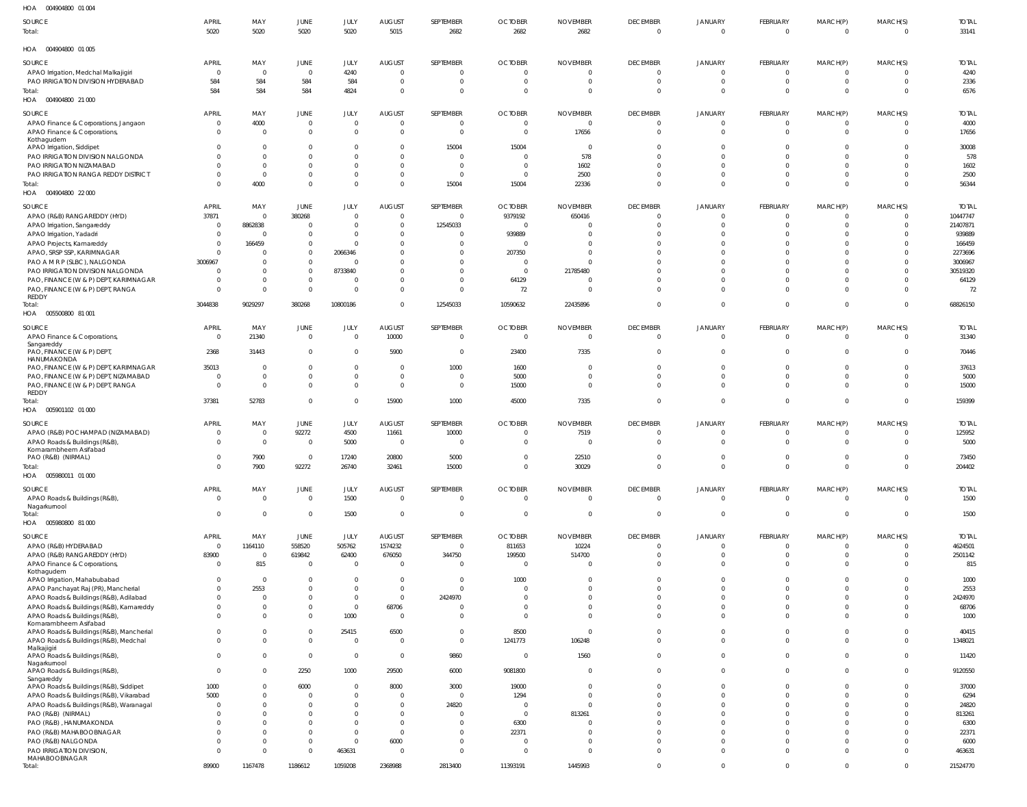| HOA   004904800  01  004                                                 |                                  |                    |                               |                      |                           |                             |                                  |                             |                             |                            |                       |                            |                            |                       |
|--------------------------------------------------------------------------|----------------------------------|--------------------|-------------------------------|----------------------|---------------------------|-----------------------------|----------------------------------|-----------------------------|-----------------------------|----------------------------|-----------------------|----------------------------|----------------------------|-----------------------|
| SOURCE<br>Total:                                                         | <b>APRIL</b><br>5020             | MAY<br>5020        | JUNE<br>5020                  | JULY<br>5020         | <b>AUGUST</b><br>5015     | SEPTEMBER<br>2682           | <b>OCTOBER</b><br>2682           | <b>NOVEMBER</b><br>2682     | <b>DECEMBER</b><br>$\Omega$ | <b>JANUARY</b><br>$\Omega$ | FEBRUARY<br>$\Omega$  | MARCH(P)<br>$\Omega$       | MARCH(S)<br>$\mathbf{0}$   | <b>TOTAL</b><br>33141 |
| HOA   004904800  01  005                                                 |                                  |                    |                               |                      |                           |                             |                                  |                             |                             |                            |                       |                            |                            |                       |
| SOURCE                                                                   | <b>APRIL</b>                     | MAY                | <b>JUNE</b>                   | JULY                 | <b>AUGUST</b>             | SEPTEMBER                   | <b>OCTOBER</b>                   | <b>NOVEMBER</b>             | <b>DECEMBER</b>             | <b>JANUARY</b>             | FEBRUARY              | MARCH(P)                   | MARCH(S)                   | <b>TOTAL</b>          |
| APAO Irrigation, Medchal Malkajigiri                                     | $\overline{0}$                   | $\overline{0}$     | $\overline{0}$                | 4240                 | $\Omega$                  | - 0                         | $\Omega$                         |                             | $\mathbf 0$                 | $^{\circ}$                 | - 0                   | $\overline{0}$             | $\overline{0}$             | 4240                  |
| PAO IRRIGATION DIVISION HYDERABAD                                        | 584                              | 584                | 584                           | 584                  | $\overline{0}$            | $\circ$                     | $\Omega$                         |                             | $\mathbf 0$                 | $\overline{0}$             |                       | $\mathbf 0$                | $\overline{0}$             | 2336                  |
| Total:<br>HOA   004904800   21   000                                     | 584                              | 584                | 584                           | 4824                 | $\overline{0}$            | $\overline{0}$              | $\Omega$                         | $\Omega$                    | $\mathbf 0$                 | $\Omega$                   |                       | $\mathbf 0$                | $\Omega$                   | 6576                  |
| SOURCE                                                                   | <b>APRIL</b>                     | MAY                | <b>JUNE</b>                   | JULY                 | <b>AUGUST</b>             | SEPTEMBER                   | <b>OCTOBER</b>                   | <b>NOVEMBER</b>             | <b>DECEMBER</b>             | JANUARY                    | FEBRUARY              | MARCH(P)                   | MARCH(S)                   | <b>TOTAL</b>          |
| APAO Finance & Corporations, Jangaon                                     | $\mathbf 0$                      | 4000               | $\mathbf 0$                   | $\mathbf{0}$         | $\Omega$                  | $\circ$                     | $\Omega$                         | $\Omega$                    | $\mathbf 0$                 | $^{\circ}$                 |                       | $\Omega$                   | $\overline{0}$             | 4000                  |
| APAO Finance & Corporations,                                             | $\overline{0}$                   | $\Omega$           | $\overline{0}$                | $\Omega$             | $\Omega$                  | - 0                         | $\Omega$                         | 17656                       | $\mathbf 0$                 | $^{\circ}$                 | - 0                   | $\mathbf 0$                | $\overline{0}$             | 17656                 |
| Kothagudem                                                               |                                  |                    |                               |                      |                           |                             |                                  |                             |                             |                            |                       |                            |                            |                       |
| APAO Irrigation, Siddipet<br>PAO IRRIGATION DIVISION NALGONDA            | $\Omega$<br>$\Omega$             | - 0<br>$\Omega$    | $\mathbf 0$<br>$\Omega$       | $\Omega$<br>$\Omega$ | $\Omega$<br>$\Omega$      | 15004<br>$\Omega$           | 15004<br>$\Omega$                | $\Omega$<br>578             | $\Omega$<br>$\Omega$        | $\Omega$<br>$\Omega$       |                       | $\Omega$<br>$\Omega$       | $\overline{0}$<br>$\Omega$ | 30008<br>578          |
| PAO IRRIGATION NIZAMABAD                                                 | $\Omega$                         | $\Omega$           | $\mathbf 0$                   | $\Omega$             | $\Omega$                  | $\Omega$                    | $\Omega$                         | 1602                        | $\Omega$                    | $\Omega$                   |                       | $\Omega$                   | $\overline{0}$             | 1602                  |
| PAO IRRIGATION RANGA REDDY DISTRICT                                      | $\Omega$                         | $\Omega$           | $\mathbf 0$                   | $\Omega$             | $\Omega$                  | $\overline{0}$              | $\Omega$                         | 2500                        | $\Omega$                    | $\Omega$                   |                       | $\Omega$                   | $\Omega$                   | 2500                  |
| Total:                                                                   | $\Omega$                         | 4000               | $\mathbf 0$                   | $\overline{0}$       | $\Omega$                  | 15004                       | 15004                            | 22336                       | $\Omega$                    | $\Omega$                   |                       | $\mathbf 0$                | $\Omega$                   | 56344                 |
| HOA  004904800  22 000                                                   |                                  |                    |                               |                      |                           |                             |                                  |                             |                             |                            |                       |                            |                            |                       |
| SOURCE                                                                   | <b>APRIL</b>                     | MAY                | <b>JUNE</b>                   | JULY                 | <b>AUGUST</b>             | SEPTEMBER                   | <b>OCTOBER</b>                   | <b>NOVEMBER</b>             | <b>DECEMBER</b>             | JANUARY                    | FEBRUARY              | MARCH(P)                   | MARCH(S)                   | <b>TOTAL</b>          |
| APAO (R&B) RANGAREDDY (HYD)                                              | 37871                            | $\overline{0}$     | 380268                        | $\mathbf{0}$         | $\overline{0}$            | $\overline{0}$              | 9379192                          | 650416                      | $\mathbf 0$                 | $\overline{0}$             | $\bigcap$             | $\overline{0}$             | $\overline{0}$             | 10447747              |
| APAO Irrigation, Sangareddy                                              | $\overline{0}$                   | 8862838            | $^{\circ}$                    | $\overline{0}$       | $\Omega$                  | 12545033                    | $\Omega$                         |                             | $\Omega$                    | $\Omega$                   |                       | 0                          | $\overline{0}$             | 21407871              |
| APAO Irrigation, Yadadri                                                 | $\overline{0}$                   | $\Omega$           | $\mathbf 0$                   | $\Omega$             | $\Omega$                  | $\overline{0}$              | 939889                           |                             | $\Omega$                    | $\Omega$                   |                       | $\Omega$                   | $\Omega$                   | 939889                |
| APAO Projects, Kamareddy                                                 | $\overline{0}$<br>$\overline{0}$ | 166459<br>$\Omega$ | $^{\circ}$<br>$\mathbf 0$     | $\Omega$             | $\Omega$<br>$\Omega$      | - 0<br>$\mathbf{0}$         | $\Omega$<br>207350               |                             | $\Omega$<br>$\Omega$        | $\Omega$<br>$\Omega$       |                       | $\Omega$<br>$\Omega$       | $\Omega$<br>$\Omega$       | 166459<br>2273696     |
| APAO, SRSP SSP, KARIMNAGAR<br>PAO A M R P (SLBC), NALGONDA               | 3006967                          | $\Omega$           | $\mathbf 0$                   | 2066346<br>$\Omega$  | $\Omega$                  | $\mathbf{0}$                | - 0                              |                             | $\sqrt{ }$                  | $\Omega$                   |                       | $\Omega$                   | $\Omega$                   | 3006967               |
| PAO IRRIGATION DIVISION NALGONDA                                         | $\overline{0}$                   | $\Omega$           | $\overline{0}$                | 8733840              | $\Omega$                  | $\overline{0}$              | $\Omega$                         | 21785480                    | $\sqrt{ }$                  | $\Omega$                   |                       | $\Omega$                   | $\Omega$                   | 30519320              |
| PAO, FINANCE (W & P) DEPT, KARIMNAGAR                                    | $\overline{0}$                   | $\Omega$           | $\mathbf 0$                   | 0                    | $\Omega$                  | $\overline{0}$              | 64129                            |                             | $\Omega$                    | $\Omega$                   |                       | $\overline{0}$             | $\overline{0}$             | 64129                 |
| PAO, FINANCE (W & P) DEPT, RANGA                                         | $\overline{0}$                   | - 0                | $\mathbf{0}$                  | $\mathbf{0}$         | $\Omega$                  | $\overline{0}$              | 72                               |                             | $\Omega$                    | $\Omega$                   |                       | $\mathbf 0$                | $\overline{0}$             | -72                   |
| REDDY                                                                    |                                  |                    |                               |                      | $\Omega$                  |                             |                                  |                             | $\Omega$                    | $\Omega$                   |                       | $\mathbf 0$                | $\mathbf{0}$               |                       |
| Total:                                                                   | 3044838                          | 9029297            | 380268                        | 10800186             |                           | 12545033                    | 10590632                         | 22435896                    |                             |                            |                       |                            |                            | 68826150              |
|                                                                          |                                  |                    |                               |                      |                           |                             |                                  |                             |                             |                            |                       |                            |                            |                       |
| SOURCE<br>APAO Finance & Corporations,                                   | <b>APRIL</b><br>$\overline{0}$   | MAY<br>21340       | <b>JUNE</b><br>$\overline{0}$ | JULY<br>$\Omega$     | <b>AUGUST</b><br>10000    | SEPTEMBER<br>$\overline{0}$ | <b>OCTOBER</b><br>$\overline{0}$ | <b>NOVEMBER</b><br>$\Omega$ | <b>DECEMBER</b><br>$\Omega$ | JANUARY<br>$\mathbf 0$     | FEBRUARY<br>$\bigcap$ | MARCH(P)<br>$\overline{0}$ | MARCH(S)<br>$\overline{0}$ | <b>TOTAL</b><br>31340 |
| Sangareddy                                                               |                                  |                    |                               |                      |                           |                             |                                  |                             |                             |                            |                       |                            |                            |                       |
| PAO, FINANCE (W & P) DEPT,                                               | 2368                             | 31443              | $\overline{0}$                | $^{\circ}$           | 5900                      | $\overline{0}$              | 23400                            | 7335                        | $\mathbf 0$                 | $^{\circ}$                 | $\bigcap$             | $\overline{0}$             | $\overline{0}$             | 70446                 |
| HANUMAKONDA<br>PAO, FINANCE (W & P) DEPT, KARIMNAGAR                     | 35013                            | $\Omega$           | $\mathbf 0$                   | $\mathbf{0}$         | $\Omega$                  | 1000                        | 1600                             | $\Omega$                    | $\mathbf 0$                 | $^{\circ}$                 |                       | $\Omega$                   | $\overline{0}$             | 37613                 |
| PAO, FINANCE (W & P) DEPT, NIZAMABAD                                     | $\overline{0}$                   | $\Omega$           | $\mathbf 0$                   | $\mathbf{0}$         | $\Omega$                  | $\overline{0}$              | 5000                             | $\Omega$                    | $\Omega$                    | $^{\circ}$                 |                       | $\Omega$                   | $\overline{0}$             | 5000                  |
| PAO, FINANCE (W & P) DEPT, RANGA                                         | $\overline{0}$                   | $\Omega$           | $\mathbf 0$                   | $\mathbf{0}$         | $\Omega$                  | $\overline{0}$              | 15000                            | $\Omega$                    | $\Omega$                    | $\Omega$                   |                       | $\Omega$                   | $\Omega$                   | 15000                 |
| REDDY                                                                    | 37381                            | 52783              | $\mathbf 0$                   | $\Omega$             | 15900                     | 1000                        | 45000                            | 7335                        | $\mathbf 0$                 | $\overline{0}$             |                       | $\overline{0}$             | $\mathbf{0}$               | 159399                |
| Total:<br>HOA   005901102   01   000                                     |                                  |                    |                               |                      |                           |                             |                                  |                             |                             |                            |                       |                            |                            |                       |
| SOURCE                                                                   | <b>APRIL</b>                     | MAY                |                               |                      | <b>AUGUST</b>             |                             | <b>OCTOBER</b>                   | <b>NOVEMBER</b>             | <b>DECEMBER</b>             |                            | FEBRUARY              |                            | MARCH(S)                   | <b>TOTAL</b>          |
| APAO (R&B) POCHAMPAD (NIZAMABAD)                                         | $\overline{0}$                   | $\overline{0}$     | JUNE<br>92272                 | JULY<br>4500         | 11661                     | SEPTEMBER<br>10000          | $\Omega$                         | 7519                        | 0                           | JANUARY<br>- 0             | - 0                   | MARCH(P)<br>0              | $\overline{0}$             | 125952                |
| APAO Roads & Buildings (R&B),                                            | $\overline{0}$                   | $\overline{0}$     | $\overline{0}$                | 5000                 | $\overline{0}$            | $\sqrt{ }$                  | $\Omega$                         |                             | $\mathbf 0$                 | $\overline{0}$             | $\bigcap$             | $\mathbf 0$                | $\overline{0}$             | 5000                  |
| Komarambheem Asifabad                                                    |                                  |                    |                               |                      |                           |                             |                                  |                             |                             |                            |                       |                            |                            |                       |
| PAO (R&B) (NIRMAL)                                                       | $\Omega$<br>$\Omega$             | 7900               | $\Omega$                      | 17240                | 20800                     | 5000                        | $\Omega$<br>$\Omega$             | 22510                       | $\Omega$                    | $\Omega$                   | $\Omega$              | $\Omega$<br>$\mathbf 0$    | $\Omega$                   | 73450                 |
| Total:<br>HOA<br>005980011 01 000                                        |                                  | 7900               | 92272                         | 26740                | 32461                     | 15000                       |                                  | 30029                       | $\mathbf 0$                 | $\mathbf 0$                |                       |                            | $\overline{0}$             | 204402                |
|                                                                          |                                  |                    |                               |                      |                           |                             |                                  |                             |                             |                            |                       |                            |                            |                       |
| SOURCE                                                                   | <b>APRIL</b>                     | MAY<br>$\Omega$    | <b>JUNE</b>                   | JULY                 | <b>AUGUST</b><br>$\Omega$ | SEPTEMBER                   | <b>OCTOBER</b><br>$\Omega$       | <b>NOVEMBER</b>             | <b>DECEMBER</b>             | JANUARY                    | FEBRUARY<br>- 0       | MARCH(P)                   | MARCH(S)                   | <b>TOTAL</b>          |
| APAO Roads & Buildings (R&B),<br>Nagarkurnool                            | $\overline{0}$                   |                    | $\overline{0}$                | 1500                 |                           | $\overline{0}$              |                                  | $\Omega$                    | $\overline{0}$              | $\mathbf 0$                |                       | $\overline{0}$             | $\overline{0}$             | 1500                  |
| Total:                                                                   | $\overline{0}$                   | $\Omega$           | $\mathbf 0$                   | 1500                 | $\Omega$                  | $\overline{0}$              | $\Omega$                         | $\Omega$                    | $\mathbf 0$                 | $\overline{0}$             |                       | $\overline{0}$             | $\overline{0}$             | 1500                  |
| HOA   005980800   81   000                                               |                                  |                    |                               |                      |                           |                             |                                  |                             |                             |                            |                       |                            |                            |                       |
| SOURCE                                                                   | <b>APRIL</b>                     | MAY                | <b>JUNE</b>                   | JULY                 | <b>AUGUST</b>             | SEPTEMBER                   | <b>OCTOBER</b>                   | <b>NOVEMBER</b>             | <b>DECEMBER</b>             | <b>JANUARY</b>             | FEBRUARY              | MARCH(P)                   | MARCH(S)                   | <b>TOTAL</b>          |
| APAO (R&B) HYDERABAD                                                     | $\overline{0}$                   | 1164110            | 558520                        | 505762               | 1574232                   | $\overline{0}$              | 811653                           | 10224                       | $\mathbf 0$                 | $\overline{0}$             | $\Omega$              | $\overline{0}$             | $\overline{0}$             | 4624501               |
| APAO (R&B) RANGAREDDY (HYD)                                              | 83900                            | $\overline{0}$     | 619842                        | 62400                | 676050                    | 344750                      | 199500                           | 514700                      | $\mathbf 0$                 | $\overline{0}$             |                       | $\mathbf 0$                | $\overline{0}$             | 2501142               |
| APAO Finance & Corporations,<br>Kothagudem                               | $\overline{0}$                   | 815                | $\overline{0}$                | $\overline{0}$       | $\overline{0}$            | $\overline{0}$              | $\Omega$                         |                             | $\mathbf 0$                 | $\overline{0}$             |                       | $\mathbf 0$                | $\overline{0}$             | 815                   |
| APAO Irrigation, Mahabubabad                                             | $\overline{0}$                   | $\overline{0}$     | $\mathbf 0$                   | $\overline{0}$       | $\Omega$                  | $\overline{0}$              | 1000                             |                             | $\mathbf 0$                 | - 0                        |                       | $\Omega$                   | $\overline{0}$             | 1000                  |
| APAO Panchayat Raj (PR), Mancherial                                      | $\Omega$                         | 2553               | $\mathbf 0$                   | $\mathbf{0}$         | $\Omega$                  | $\overline{0}$              | - 0                              |                             | $\Omega$                    | $\Omega$                   |                       | $\Omega$                   | $\Omega$                   | 2553                  |
| APAO Roads & Buildings (R&B), Adilabad                                   | $\Omega$                         | $\Omega$           | $\mathbf 0$                   | $\mathbf{0}$         | $\overline{0}$            | 2424970                     | $\Omega$                         |                             | $\Omega$                    | $\Omega$                   |                       | $\Omega$                   | $\Omega$                   | 2424970               |
| APAO Roads & Buildings (R&B), Kamareddy<br>APAO Roads & Buildings (R&B), | $\Omega$<br>$\Omega$             | $\Omega$           | $\mathbf 0$<br>$\mathbf 0$    | $\mathbf 0$<br>1000  | 68706<br>$\overline{0}$   | $\overline{0}$<br>$\Omega$  | $\Omega$                         |                             | $\Omega$<br>$\Omega$        | $\Omega$<br>$\Omega$       |                       | $\Omega$<br>$\Omega$       | $\Omega$<br>$\Omega$       | 68706<br>1000         |
| Komarambheem Asifabad                                                    |                                  |                    |                               |                      |                           |                             |                                  |                             |                             |                            |                       |                            |                            |                       |
| APAO Roads & Buildings (R&B), Mancherial                                 | $\Omega$                         | $\Omega$           | $\mathbf 0$                   | 25415                | 6500                      | $\Omega$                    | 8500                             | $\Omega$                    | $\Omega$                    | $\Omega$                   |                       | $\Omega$                   | $\Omega$                   | 40415                 |
| APAO Roads & Buildings (R&B), Medchal                                    | $\Omega$                         |                    | $\mathbf 0$                   | $\overline{0}$       | $\overline{0}$            | $\overline{0}$              | 1241773                          | 106248                      | $\Omega$                    | $\Omega$                   |                       | $\Omega$                   | $\Omega$                   | 1348021               |
| Malkajigiri<br>APAO Roads & Buildings (R&B),                             | $\Omega$                         | $\Omega$           | $\mathbf 0$                   | $\mathbf 0$          | $\overline{0}$            | 9860                        | - 0                              | 1560                        | $\Omega$                    | $\overline{0}$             |                       | $\mathbf 0$                | $\Omega$                   | 11420                 |
| Nagarkurnool                                                             |                                  |                    |                               |                      |                           |                             |                                  |                             |                             |                            |                       |                            |                            |                       |
| APAO Roads & Buildings (R&B),<br>Sangareddy                              | $\overline{0}$                   | $\Omega$           | 2250                          | 1000                 | 29500                     | 6000                        | 9081800                          | $\Omega$                    | $\Omega$                    | $\overline{0}$             |                       | $\mathbf 0$                | $\overline{0}$             | 9120550               |
| APAO Roads & Buildings (R&B), Siddipet                                   | 1000                             | $\Omega$           | 6000                          | $\mathbf{0}$         | 8000                      | 3000                        | 19000                            | $\Omega$                    | $\Omega$                    | $\Omega$                   |                       | $\Omega$                   | $\Omega$                   | 37000                 |
| APAO Roads & Buildings (R&B), Vikarabad                                  | 5000                             |                    | $^{\circ}$                    | $\mathbf{0}$         | $\Omega$                  | $\overline{0}$              | 1294                             |                             | $\Omega$                    | $\Omega$                   |                       | $\Omega$                   | $\Omega$                   | 6294                  |
| APAO Roads & Buildings (R&B), Waranagal                                  | $\Omega$                         |                    | $\mathbf 0$                   | $\overline{0}$       | $\Omega$                  | 24820                       | $\Omega$                         |                             | $\Omega$                    | $\Omega$                   |                       | $\Omega$                   | $\Omega$                   | 24820                 |
| PAO (R&B) (NIRMAL)                                                       | $\Omega$                         |                    | $\Omega$                      | $\Omega$             | $\Omega$                  | $\Omega$                    | $\Omega$                         | 813261                      | $\Omega$                    | $\Omega$                   |                       | $\Omega$                   | $\Omega$                   | 813261                |
| PAO (R&B), HANUMAKONDA                                                   | $\Omega$<br>$\Omega$             | $\Omega$           | $\Omega$<br>$\Omega$          | $\Omega$<br>$\Omega$ | $\Omega$<br>$\Omega$      | $\Omega$<br>$\Omega$        | 6300<br>22371                    |                             | $\Omega$<br>$\Omega$        | $\Omega$<br>$\Omega$       |                       | $\Omega$<br>$\Omega$       | $\Omega$<br>$\Omega$       | 6300                  |
| PAO (R&B) MAHABOOBNAGAR<br>PAO (R&B) NALGONDA                            | $\Omega$                         | $\bigcap$          | $\mathbf 0$                   | $\overline{0}$       | 6000                      | $\Omega$                    | - 0                              |                             | $\Omega$                    | $\Omega$                   |                       | $\Omega$                   | $\Omega$                   | 22371<br>6000         |
| PAO IRRIGATION DIVISION,                                                 | $\Omega$                         | $\bigcap$          | $\Omega$                      | 463631               | $\overline{0}$            | $\Omega$                    | $\sqrt{ }$                       |                             | $\Omega$                    | $\Omega$                   |                       | $\Omega$                   | $\Omega$                   | 463631                |
| MAHABOOBNAGAR                                                            |                                  |                    |                               |                      |                           |                             |                                  |                             |                             |                            |                       |                            |                            |                       |
| Total:                                                                   | 89900                            | 1167478            | 1186612                       | 1059208              | 2368988                   | 2813400                     | 11393191                         | 1445993                     | $\mathbf 0$                 | $\mathbf 0$                | $\Omega$              | $\mathbf 0$                | $\mathbf{0}$               | 21524770              |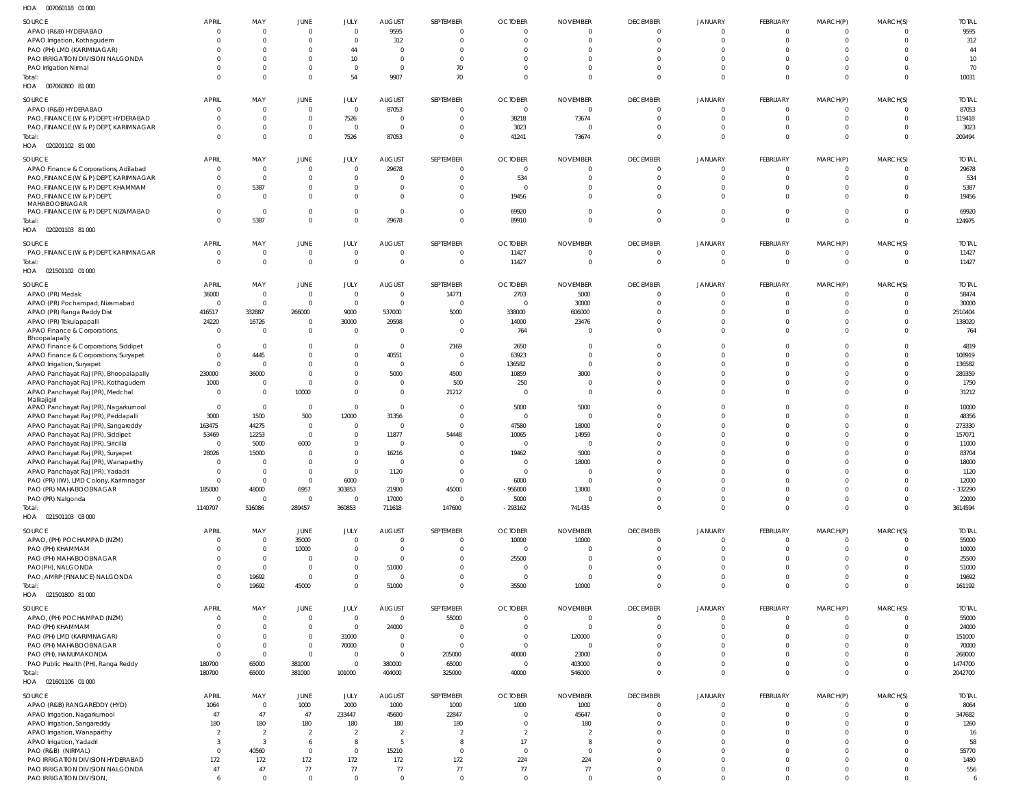| SOURCE                                                                        | <b>APRIL</b>             | MAY                        | JUNE                             | JULY                   | AUGUST                           | SEPTEMBER             | <b>OCTOBER</b>             | <b>NOVEMBER</b>       | <b>DECEMBER</b>             | JANUARY                          | FEBRUARY                    | MARCH(P) | MARCH(S)                | <b>TOTAL</b>          |
|-------------------------------------------------------------------------------|--------------------------|----------------------------|----------------------------------|------------------------|----------------------------------|-----------------------|----------------------------|-----------------------|-----------------------------|----------------------------------|-----------------------------|----------|-------------------------|-----------------------|
| APAO (R&B) HYDERABAD                                                          |                          | $\Omega$                   | $\Omega$                         | $\Omega$               | 9595                             |                       | $\Omega$                   |                       | $\Omega$                    | $\Omega$                         | $\Omega$                    |          | $\Omega$                | 9595                  |
| APAO Irrigation, Kothagudem                                                   |                          | $\Omega$                   | $\Omega$                         | $\Omega$               | 312                              |                       |                            |                       | $\Omega$                    | $\Omega$                         | $\Omega$                    |          | $\Omega$                | 312                   |
| PAO (PH) LMD (KARIMNAGAR)                                                     |                          | $\Omega$                   | $\Omega$                         | 44                     | $\Omega$                         |                       |                            |                       | $\Omega$                    | $\Omega$                         | $\Omega$                    |          |                         | 44                    |
| PAO IRRIGATION DIVISION NALGONDA                                              |                          | $\Omega$                   | $\Omega$                         | 10 <sup>1</sup>        | $\Omega$                         | $\Omega$              |                            |                       | $\Omega$                    | $\Omega$                         | $\Omega$                    |          | $\Omega$                | 10                    |
| PAO Irrigation Nirmal                                                         |                          | $\Omega$<br>$\Omega$       | $\Omega$<br>$\Omega$             | $\Omega$               | $\overline{0}$                   | 70<br>70              |                            |                       | $\Omega$<br>$\Omega$        | $\Omega$<br>$\Omega$             | $\Omega$<br>$\Omega$        | $\Omega$ | $\Omega$<br>$\Omega$    | 70                    |
| Total:<br>HOA  007060800  81  000                                             |                          |                            |                                  | 54                     | 9907                             |                       |                            |                       |                             |                                  |                             |          |                         | 10031                 |
|                                                                               |                          |                            |                                  |                        |                                  |                       |                            |                       |                             |                                  |                             |          |                         |                       |
| SOURCE                                                                        | <b>APRIL</b>             | MAY                        | JUNE                             | JULY                   | AUGUST                           | SEPTEMBER             | <b>OCTOBER</b>             | <b>NOVEMBER</b>       | <b>DECEMBER</b>             | JANUARY                          | FEBRUARY                    | MARCH(P) | MARCH(S)                | <b>TOTAL</b>          |
| APAO (R&B) HYDERABAD                                                          |                          | $\overline{0}$             | $\mathbf{0}$                     | $\overline{0}$         | 87053                            | $\Omega$              | $\overline{0}$             | $\Omega$              | $\Omega$                    | $\overline{0}$                   | $\Omega$                    | $\Omega$ | $\Omega$                | 87053                 |
| PAO, FINANCE (W & P) DEPT, HYDERABAD<br>PAO, FINANCE (W & P) DEPT, KARIMNAGAR |                          | $\overline{0}$<br>$\Omega$ | $\overline{0}$<br>$\overline{0}$ | 7526<br>$\overline{0}$ | $\overline{0}$<br>$\overline{0}$ | $\Omega$<br>$\Omega$  | 38218<br>3023              | 73674                 | $\overline{0}$<br>$\Omega$  | $\overline{0}$<br>$\overline{0}$ | $\overline{0}$<br>$\Omega$  | $\Omega$ | $\mathbf 0$<br>$\Omega$ | 119418<br>3023        |
| Total:                                                                        |                          | $\Omega$                   | $\mathbf{0}$                     | 7526                   | 87053                            | $\Omega$              | 41241                      | 73674                 | $\Omega$                    | $\Omega$                         | $\Omega$                    | $\Omega$ | $\mathbf 0$             | 209494                |
| HOA  020201102  81  000                                                       |                          |                            |                                  |                        |                                  |                       |                            |                       |                             |                                  |                             |          |                         |                       |
|                                                                               |                          |                            |                                  |                        |                                  |                       |                            |                       |                             |                                  |                             |          |                         |                       |
| SOURCE<br>APAO Finance & Corporations, Adilabad                               | <b>APRIL</b><br>$\Omega$ | MAY<br>$\overline{0}$      | <b>JUNE</b><br>$\Omega$          | JULY<br>$\Omega$       | <b>AUGUST</b><br>29678           | SEPTEMBER<br>$\Omega$ | <b>OCTOBER</b><br>$\Omega$ | <b>NOVEMBER</b>       | <b>DECEMBER</b><br>$\Omega$ | <b>JANUARY</b><br>$\overline{0}$ | <b>FEBRUARY</b><br>$\Omega$ | MARCH(P) | MARCH(S)<br>$\Omega$    | <b>TOTAL</b><br>29678 |
| PAO, FINANCE (W & P) DEPT, KARIMNAGAR                                         |                          | $\Omega$                   | $\Omega$                         | $\overline{0}$         | $\Omega$                         |                       | 534                        |                       | $\Omega$                    | $\Omega$                         | $\Omega$                    |          | $\Omega$                | 534                   |
| PAO, FINANCE (W & P) DEPT, KHAMMAM                                            |                          | 5387                       | $\Omega$                         | $\mathbf{0}$           | $\Omega$                         | $\Omega$              | $\Omega$                   |                       | $\Omega$                    | $\overline{0}$                   | $\Omega$                    |          | $\Omega$                | 5387                  |
| PAO, FINANCE (W & P) DEPT,                                                    |                          | $\Omega$                   | $\Omega$                         | $\overline{0}$         | $\Omega$                         | $\Omega$              | 19456                      |                       | $\Omega$                    | $\Omega$                         | $\Omega$                    |          | $\Omega$                | 19456                 |
| MAHABOOBNAGAR                                                                 |                          |                            |                                  |                        |                                  |                       |                            |                       |                             |                                  |                             |          |                         |                       |
| PAO, FINANCE (W & P) DEPT, NIZAMABAD                                          |                          | $\overline{0}$             | $\Omega$                         | $\mathbf{0}$           | $\overline{0}$                   |                       | 69920                      |                       | $\Omega$                    | $\overline{0}$                   | $\Omega$                    |          | $\Omega$                | 69920                 |
| Total:                                                                        |                          | 5387                       | $\Omega$                         | $\Omega$               | 29678                            | $\Omega$              | 89910                      | $\Omega$              | $\Omega$                    | $\Omega$                         | $\Omega$                    | $\Omega$ | $\Omega$                | 124975                |
| HOA  020201103  81  000                                                       |                          |                            |                                  |                        |                                  |                       |                            |                       |                             |                                  |                             |          |                         |                       |
| SOURCE                                                                        | <b>APRIL</b>             | MAY                        | JUNE                             | JULY                   | AUGUST                           | SEPTEMBER             | <b>OCTOBER</b>             | <b>NOVEMBER</b>       | <b>DECEMBER</b>             | JANUARY                          | <b>FEBRUARY</b>             | MARCH(P) | MARCH(S)                | <b>TOTAL</b>          |
| PAO, FINANCE (W & P) DEPT, KARIMNAGAR                                         | $\mathbf 0$              | $\mathbf 0$                | $\overline{0}$                   | $\overline{0}$         | $\overline{0}$                   | $\Omega$              | 11427                      | $\Omega$              | $\overline{0}$              | $\overline{0}$                   | $\overline{0}$              | $\Omega$ | $\mathbf 0$             | 11427                 |
| Total:                                                                        | $\Omega$                 | $\mathbf 0$                | $\overline{0}$                   | $\overline{0}$         | $\overline{0}$                   | $\Omega$              | 11427                      |                       | $\overline{0}$              | $\overline{0}$                   | $\overline{0}$              | $\Omega$ | $\mathbf 0$             | 11427                 |
| HOA  021501102  01  000                                                       |                          |                            |                                  |                        |                                  |                       |                            |                       |                             |                                  |                             |          |                         |                       |
| SOURCE                                                                        | <b>APRIL</b>             | MAY                        | JUNE                             | JULY                   | <b>AUGUST</b>                    | SEPTEMBER             | <b>OCTOBER</b>             | <b>NOVEMBER</b>       | <b>DECEMBER</b>             | JANUARY                          | <b>FEBRUARY</b>             | MARCH(P) | MARCH(S)                | <b>TOTAL</b>          |
| APAO (PR) Medak                                                               | 36000                    | $\overline{0}$             | $\overline{0}$                   | $\overline{0}$         | $\overline{0}$                   | 14771                 | 2703                       | 5000                  | $\Omega$                    | $\Omega$                         | $\Omega$                    |          | $\Omega$                | 58474                 |
| APAO (PR) Pochampad, Nizamabad                                                | $\mathbf{0}$             | $\overline{0}$             | $\overline{0}$                   | $\overline{0}$         | $\overline{0}$                   | $\Omega$              | $\Omega$                   | 30000                 | $\Omega$                    | $\Omega$                         | $\Omega$                    |          | $\Omega$                | 30000                 |
| APAO (PR) Ranga Reddy Dist                                                    | 416517                   | 332887                     | 266000                           | 9000                   | 537000                           | 5000                  | 338000                     | 606000                | $\Omega$                    | $\Omega$                         | $\Omega$                    |          | $\Omega$                | 2510404               |
| APAO (PR) Tekulapapalli                                                       | 24220                    | 16726                      | $\Omega$                         | 30000                  | 29598                            | $\Omega$              | 14000                      | 23476                 | $\Omega$                    | $\Omega$                         | $\Omega$                    |          | $\Omega$                | 138020                |
| APAO Finance & Corporations,                                                  | $\Omega$                 | $\Omega$                   | $\Omega$                         | $\overline{0}$         | $\Omega$                         | $\Omega$              | 764                        |                       | $\Omega$                    | $\Omega$                         | $\Omega$                    |          | $\Omega$                | 764                   |
| Bhoopalapally<br>APAO Finance & Corporations, Siddipet                        |                          | $\Omega$                   | $\Omega$                         | $\mathbf{0}$           | $\overline{0}$                   | 2169                  | 2650                       |                       | $\Omega$                    | $\Omega$                         | $\Omega$                    |          | $\Omega$                | 4819                  |
| APAO Finance & Corporations, Suryapet                                         | 0                        | 4445                       | $\Omega$                         | $\mathbf{0}$           | 40551                            |                       | 63923                      |                       |                             | $\Omega$                         | $\Omega$                    |          | $\Omega$                | 108919                |
| APAO Irrigation, Suryapet                                                     | <sup>0</sup>             | $\Omega$                   | $\Omega$                         | $\mathbf{0}$           | $\overline{0}$                   | $\Omega$              | 136582                     | $\Omega$              | $\Omega$                    | $\Omega$                         | $\Omega$                    |          | $\Omega$                | 136582                |
| APAO Panchayat Raj (PR), Bhoopalapally                                        | 230000                   | 36000                      | $\Omega$                         | $\mathbf{0}$           | 5000                             | 4500                  | 10859                      | 3000                  | $\Omega$                    | $\Omega$                         | $\Omega$                    |          | $\Omega$                | 289359                |
| APAO Panchayat Raj (PR), Kothagudem                                           | 1000                     | $\overline{0}$             | $\Omega$                         | $\mathbf{0}$           | $\overline{0}$                   | 500                   | 250                        | $\Omega$              | $\Omega$                    | $\Omega$                         | $\Omega$                    |          | $\Omega$                | 1750                  |
| APAO Panchayat Raj (PR), Medchal                                              | $\Omega$                 | $\mathbf 0$                | 10000                            | $\overline{0}$         | $\Omega$                         | 21212                 | $\Omega$                   | $\Omega$              | $\Omega$                    | $\Omega$                         | $\Omega$                    |          | $\Omega$                | 31212                 |
| Malkajigiri<br>APAO Panchayat Raj (PR), Nagarkurnool                          | $\Omega$                 | $\Omega$                   | $\Omega$                         | $\overline{0}$         | $\overline{0}$                   |                       | 5000                       | 5000                  |                             | $\Omega$                         | $\Omega$                    |          |                         | 10000                 |
| APAO Panchayat Raj (PR), Peddapalli                                           | 3000                     | 1500                       | 500                              | 12000                  | 31356                            |                       | $\Omega$                   |                       |                             | $\Omega$                         | $\Omega$                    |          | $\Omega$                | 48356                 |
| APAO Panchayat Raj (PR), Sangareddy                                           | 163475                   | 44275                      | $\overline{0}$                   | $\overline{0}$         | $\overline{0}$                   | $\Omega$              | 47580                      | 18000                 | $\Omega$                    | $\Omega$                         | $\Omega$                    |          | $\Omega$                | 273330                |
| APAO Panchayat Raj (PR), Siddipet                                             | 53469                    | 12253                      | $\Omega$                         | $\overline{0}$         | 11877                            | 54448                 | 10065                      | 14959                 |                             |                                  | $\Omega$                    |          | $\Omega$                | 157071                |
| APAO Panchayat Raj (PR), Siricilla                                            | $\Omega$                 | 5000                       | 6000                             | $\overline{0}$         | $\overline{0}$                   |                       |                            |                       |                             | $\Omega$                         | $\Omega$                    |          |                         | 11000                 |
| APAO Panchayat Raj (PR), Suryapet                                             | 28026                    | 15000                      | $\Omega$                         | $\Omega$               | 16216                            |                       | 19462                      | 5000                  |                             |                                  | $\Omega$                    |          |                         | 83704                 |
| APAO Panchayat Raj (PR), Wanaparthy                                           | $\Omega$                 | $\Omega$                   | $\Omega$                         | $\Omega$               | $\Omega$                         |                       | $\Omega$                   | 18000                 | $\Omega$                    | $\Omega$                         | $\Omega$                    |          | $\Omega$                | 18000                 |
| APAO Panchayat Raj (PR), Yadadri                                              | $\Omega$<br>$\mathbf 0$  | $\Omega$<br>$\Omega$       | $\Omega$<br>$\Omega$             | $\Omega$<br>6000       | 1120<br>$\overline{0}$           | $\Omega$              |                            | $\Omega$              | $\Omega$                    | $\Omega$                         | $\Omega$                    |          | $\Omega$<br>$\Omega$    | 1120                  |
| PAO (PR) (IW), LMD Colony, Karimnagar<br>PAO (PR) MAHABOOBNAGAR               | 185000                   | 48000                      | 6957                             | 303853                 | 21900                            | 45000                 | 6000<br>$-956000$          | 13000                 | $\Omega$                    | $\Omega$                         | $\Omega$                    | $\Omega$ | $\Omega$                | 12000<br>$-332290$    |
| PAO (PR) Nalgonda                                                             | $\mathbf 0$              | $\overline{0}$             | $\Omega$                         | $\overline{0}$         | 17000                            | $\Omega$              | 5000                       |                       | $\mathbf 0$                 | $\overline{0}$                   | $\overline{0}$              | $\Omega$ | $\Omega$                | 22000                 |
| Total:                                                                        | 1140707                  | 516086                     | 289457                           | 360853                 | 711618                           | 147600                | $-293162$                  | 741435                | $\Omega$                    | $\Omega$                         | $\Omega$                    | $\Omega$ | $\Omega$                | 3614594               |
| HOA  021501103  03  000                                                       |                          |                            |                                  |                        |                                  |                       |                            |                       |                             |                                  |                             |          |                         |                       |
| SOURCE                                                                        | <b>APRIL</b>             | MAY                        | JUNE                             | JULY                   | AUGUST                           | SEPTEMBER             | <b>OCTOBER</b>             | <b>NOVEMBER</b>       | <b>DECEMBER</b>             | JANUARY                          | FEBRUARY                    | MARCH(P) | MARCH(S)                | <b>TOTAL</b>          |
| APAO, (PH) POCHAMPAD (NZM)                                                    | 0                        | $\mathbf 0$                | 35000                            | $\overline{0}$         | $\overline{0}$                   | $\Omega$              | 10000                      | 10000                 | $\overline{0}$              | $\overline{0}$                   | $\overline{0}$              | $\Omega$ | 0                       | 55000                 |
| PAO (PH) KHAMMAM                                                              |                          | $\mathbf 0$                | 10000                            | $\overline{0}$         | $\overline{0}$                   | $\Omega$              | $\overline{0}$             |                       | $\overline{0}$              | $\overline{0}$                   | $\overline{0}$              | $\Omega$ | $\mathbf 0$             | 10000                 |
| PAO (PH) MAHABOOBNAGAR                                                        |                          | $\overline{0}$             | $\overline{0}$                   | $\overline{0}$         | $\overline{0}$                   | $\Omega$              | 25500                      |                       | $\Omega$                    | $\overline{0}$                   | $\Omega$                    |          | $\mathbf 0$             | 25500                 |
| PAO(PH), NALGONDA                                                             |                          | $\overline{0}$             | $\overline{0}$                   | $\,0\,$                | 51000                            | $\Omega$              | $\Omega$                   | $\Omega$              | $\Omega$                    | $\overline{0}$                   | $\Omega$                    | $\Omega$ | $\Omega$                | 51000                 |
| PAO, AMRP (FINANCE) NALGONDA                                                  |                          | 19692                      | $\overline{0}$                   | $\mathbf{0}$           | $\overline{0}$                   | $\Omega$              | $\Omega$                   | $\Omega$              | $\overline{0}$              | $\overline{0}$                   | $\overline{0}$              | $\Omega$ | $\mathbf 0$             | 19692                 |
| Total:                                                                        | <sup>0</sup>             | 19692                      | 45000                            | $\overline{0}$         | 51000                            | $\overline{0}$        | 35500                      | 10000                 | $\overline{0}$              | $\Omega$                         | $\Omega$                    | $\Omega$ | $\Omega$                | 161192                |
| HOA  021501800  81  000                                                       |                          |                            |                                  |                        |                                  |                       |                            |                       |                             |                                  |                             |          |                         |                       |
| SOURCE                                                                        | <b>APRIL</b>             | MAY                        | JUNE                             | JULY                   | AUGUST                           | SEPTEMBER             | <b>OCTOBER</b>             | <b>NOVEMBER</b>       | <b>DECEMBER</b>             | <b>JANUARY</b>                   | FEBRUARY                    | MARCH(P) | MARCH(S)                | <b>TOTAL</b>          |
| APAO, (PH) POCHAMPAD (NZM)                                                    | 0                        | $\overline{0}$             | $\overline{0}$                   | $\overline{0}$         | $\overline{0}$                   | 55000                 | $\Omega$                   | $\Omega$              | $\mathbf{0}$                | $\overline{0}$                   | $\overline{0}$              |          | $\Omega$                | 55000                 |
| PAO (PH) KHAMMAM                                                              |                          | $\Omega$                   | $\overline{0}$                   | $\overline{0}$         | 24000                            |                       | $\Omega$                   | $\Omega$              | $\mathbf 0$                 | $\overline{0}$                   | $\overline{0}$              |          | $\Omega$                | 24000                 |
| PAO (PH) LMD (KARIMNAGAR)                                                     |                          | $\Omega$                   | $\overline{0}$                   | 31000                  | $\overline{0}$                   |                       | $\Omega$                   | 120000                | $\Omega$                    | $\Omega$                         | $\Omega$                    |          | $\Omega$                | 151000                |
| PAO (PH) MAHABOOBNAGAR                                                        |                          | $\Omega$                   | $\Omega$                         | 70000                  | $\overline{0}$                   | $\Omega$              | $\Omega$                   | $\Omega$              | $\Omega$                    | $\Omega$                         | $\Omega$                    |          | $\Omega$                | 70000                 |
| PAO (PH), HANUMAKONDA                                                         |                          | $\mathbf 0$                | $\Omega$                         | $\overline{0}$         | $\overline{0}$                   | 205000                | 40000                      | 23000                 | $\Omega$                    | $\Omega$                         | $\Omega$                    |          | $\Omega$                | 268000                |
| PAO Public Health (PH), Ranga Reddy                                           | 180700                   | 65000                      | 381000                           | $\overline{0}$         | 380000                           | 65000                 | $\Omega$                   | 403000                | $\Omega$                    | $\overline{0}$                   | $\overline{0}$              | $\Omega$ | $\Omega$                | 1474700               |
| Total:<br>HOA 021601106 01 000                                                | 180700                   | 65000                      | 381000                           | 101000                 | 404000                           | 325000                | 40000                      | 546000                | $\Omega$                    | $\Omega$                         | $\Omega$                    | $\Omega$ | $\Omega$                | 2042700               |
|                                                                               |                          |                            |                                  |                        |                                  |                       |                            |                       |                             |                                  |                             |          |                         |                       |
| SOURCE                                                                        | <b>APRIL</b>             | MAY                        | JUNE                             | JULY                   | AUGUST                           | SEPTEMBER             | <b>OCTOBER</b>             | <b>NOVEMBER</b>       | <b>DECEMBER</b>             | <b>JANUARY</b>                   | FEBRUARY                    | MARCH(P) | MARCH(S)                | <b>TOTAL</b>          |
| APAO (R&B) RANGAREDDY (HYD)                                                   | 1064                     | 0                          | 1000                             | 2000                   | 1000                             | 1000                  | 1000                       | 1000                  | $\overline{0}$              | $\overline{0}$                   | $\overline{0}$              | $\Omega$ | 0                       | 8064                  |
| APAO Irrigation, Nagarkurnool                                                 | 47                       | 47                         | 47                               | 233447                 | 45600                            | 22847                 | $\Omega$                   | 45647                 | $\overline{0}$              | $\overline{0}$                   | $\overline{0}$              | $\Omega$ | $\mathbf 0$             | 347682                |
| APAO Irrigation, Sangareddy                                                   | 180<br>$\overline{2}$    | 180<br>$\overline{2}$      | 180<br>$\overline{2}$            | 180<br>$\overline{2}$  | 180<br>$\overline{2}$            | 180<br>$\overline{2}$ | $\Omega$<br>$\overline{2}$ | 180<br>$\overline{2}$ | $\Omega$<br>$\Omega$        | $\overline{0}$<br>$\overline{0}$ | $\Omega$<br>$\overline{0}$  |          | $\Omega$<br>$\Omega$    | 1260<br>16            |
| APAO Irrigation, Wanaparthy<br>APAO Irrigation, Yadadri                       | $\overline{3}$           | $\overline{3}$             | 6                                | 8                      | 5                                | $\mathsf{R}$          | 17                         |                       | $\Omega$                    | $\Omega$                         | $\Omega$                    |          | $\Omega$                | 58                    |
| PAO (R&B) (NIRMAL)                                                            | $\Omega$                 | 40560                      | $\overline{0}$                   | $\,0\,$                | 15210                            | $\Omega$              | $\Omega$                   | $\Omega$              | $\Omega$                    | $\Omega$                         | $\Omega$                    |          | $\Omega$                | 55770                 |
| PAO IRRIGATION DIVISION HYDERABAD                                             | 172                      | 172                        | 172                              | 172                    | 172                              | 172                   | 224                        | 224                   | $\Omega$                    | $\Omega$                         | $\Omega$                    | $\Omega$ | $\Omega$                | 1480                  |
| PAO IRRIGATION DIVISION NALGONDA                                              | 47                       | 47                         | 77                               | 77                     | 77                               | $77\,$                | 77                         | $77\,$                | $\overline{0}$              | $\overline{0}$                   | $\overline{0}$              | $\Omega$ | $\mathbf 0$             | 556                   |
| PAO IRRIGATION DIVISION,                                                      | 6                        | $\mathbf 0$                | $\mathbf{0}$                     | $\,0\,$                | $\overline{0}$                   | $\mathbf 0$           | $\overline{0}$             | $\mathbf 0$           | $\mathbf{0}$                | $\mathbf{0}$                     | $\mathbf{0}$                | $\Omega$ | $\mathbf 0$             | 6                     |

007060118 01 000 HOA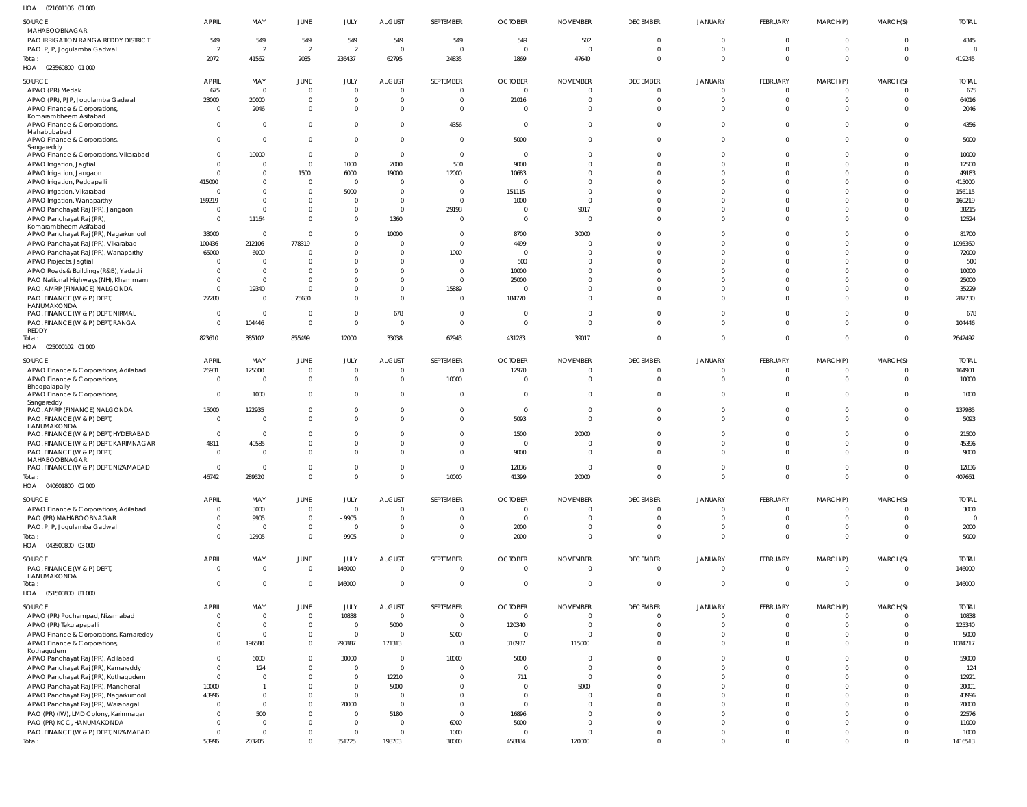021601106 01 000 HOA

| SOURCE<br>MAHABOOBNAGAR                                                       | <b>APRIL</b>                   | MAY                        | JUNE                             | JULY                       | <b>AUGUST</b>                             | SEPTEMBER                        | <b>OCTOBER</b>                   | <b>NOVEMBER</b>                   | <b>DECEMBER</b>                   | JANUARY                        | FEBRUARY                         | MARCH(P)                   | MARCH(S)                         | <b>TOTAL</b>           |
|-------------------------------------------------------------------------------|--------------------------------|----------------------------|----------------------------------|----------------------------|-------------------------------------------|----------------------------------|----------------------------------|-----------------------------------|-----------------------------------|--------------------------------|----------------------------------|----------------------------|----------------------------------|------------------------|
| PAO IRRIGATION RANGA REDDY DISTRICT                                           | 549                            | 549                        | 549                              | 549                        | 549                                       | 549                              | 549                              | 502                               | $\overline{0}$                    | $\overline{0}$                 | $\overline{0}$                   | $\Omega$                   | $\overline{\mathbf{0}}$          | 4345                   |
| PAO, PJP, Jogulamba Gadwal<br>Total:                                          | 2<br>2072                      | $\overline{2}$<br>41562    | $\overline{2}$<br>2035           | $\overline{2}$<br>236437   | $\overline{0}$<br>62795                   | $\overline{0}$<br>24835          | $\overline{\mathbf{0}}$<br>1869  | $\Omega$<br>47640                 | $\overline{0}$<br>$\overline{0}$  | $\mathbf{0}$<br>$\mathbf 0$    | $\overline{0}$<br>$\overline{0}$ | $\Omega$<br>$\Omega$       | $\overline{0}$<br>$\overline{0}$ | -8<br>419245           |
| HOA  023560800  01  000                                                       |                                |                            |                                  |                            |                                           |                                  |                                  |                                   |                                   |                                |                                  |                            |                                  |                        |
| SOURCE                                                                        | <b>APRIL</b>                   | MAY                        | <b>JUNE</b>                      | JULY                       | AUGUST                                    | SEPTEMBER                        | <b>OCTOBER</b>                   | <b>NOVEMBER</b>                   | <b>DECEMBER</b>                   | <b>JANUARY</b>                 | FEBRUARY                         | MARCH(P)                   | MARCH(S)                         | <b>TOTAL</b>           |
| APAO (PR) Medak                                                               | 675                            | $\overline{0}$             | $\mathbf 0$                      | $\Omega$                   | $\overline{0}$                            | $\overline{0}$                   | $\overline{0}$                   | $\overline{0}$                    | $\overline{0}$                    | $\mathbf{0}$                   | $\overline{0}$                   | $\Omega$                   | $\overline{0}$                   | 675                    |
| APAO (PR), PJP, Jogulamba Gadwal                                              | 23000                          | 20000                      | $\overline{0}$                   | $\Omega$                   | $\overline{0}$                            | $\overline{0}$                   | 21016                            | $\mathbf{0}$                      | $\overline{0}$                    | $\mathbf{0}$                   | $\overline{0}$                   | $\Omega$                   | $\overline{0}$                   | 64016                  |
| APAO Finance & Corporations,<br>Komarambheem Asifabad                         | $\overline{0}$                 | 2046                       | $\overline{0}$                   | $\Omega$                   | $\overline{0}$                            | $\overline{0}$                   | $\overline{0}$                   | $\mathbf{0}$                      | $\overline{0}$                    | $\mathbf{0}$                   | $\overline{0}$                   | $\Omega$                   | $\overline{0}$                   | 2046                   |
| APAO Finance & Corporations,                                                  | $\mathbf 0$                    | $\mathbf 0$                | $\overline{0}$                   | $\Omega$                   | $\Omega$                                  | 4356                             | $\overline{0}$                   | $\mathbf 0$                       | $\overline{0}$                    | $\mathbf{0}$                   | $\Omega$                         | $\Omega$                   | $\overline{0}$                   | 4356                   |
| Mahabubabad<br>APAO Finance & Corporations,                                   | $\Omega$                       | $\mathbf 0$                | $\overline{0}$                   | $\Omega$                   | $\overline{0}$                            | $\overline{0}$                   | 5000                             | $\overline{0}$                    | $\overline{0}$                    | $\overline{0}$                 | $\overline{0}$                   | $\Omega$                   | $\overline{\mathbf{0}}$          | 5000                   |
| Sangareddy                                                                    |                                |                            |                                  |                            |                                           |                                  |                                  |                                   |                                   |                                |                                  |                            |                                  |                        |
| APAO Finance & Corporations, Vikarabad                                        | $\mathbf 0$                    | 10000                      | $\overline{0}$                   | $\overline{0}$             | $\overline{0}$                            | $\mathbf 0$                      | $\overline{0}$                   | $\Omega$                          | $\mathbf{0}$                      | $\mathbf 0$                    | $\overline{0}$                   | $\Omega$                   | $\overline{0}$                   | 10000                  |
| APAO Irrigation, Jagtial<br>APAO Irrigation, Jangaon                          | $\Omega$<br>$\Omega$           | $\mathbf 0$<br>$\mathbf 0$ | $\overline{0}$<br>1500           | 1000<br>6000               | 2000<br>19000                             | 500<br>12000                     | 9000<br>10683                    | $\Omega$<br>$\mathbf{0}$          | $\mathbf 0$<br>$\overline{0}$     | $\Omega$<br>$\Omega$           | $\Omega$<br>$\overline{0}$       | $\Omega$<br>$\Omega$       | $\overline{0}$<br>$\overline{0}$ | 12500<br>49183         |
| APAO Irrigation, Peddapalli                                                   | 415000                         | $\Omega$                   | $\mathbf 0$                      | $\Omega$                   | $\overline{0}$                            | $\overline{0}$                   | $\overline{0}$                   | $\Omega$                          | $\Omega$                          | $\Omega$                       | $\Omega$                         | $\Omega$                   | $\overline{0}$                   | 415000                 |
| APAO Irrigation, Vikarabad                                                    | $\overline{0}$                 | $\mathbf 0$                | $\mathbf 0$                      | 5000                       | $\overline{0}$                            | $\overline{0}$                   | 151115                           | $\overline{0}$                    | $\mathbf 0$                       | $\Omega$                       | $\Omega$                         | $\Omega$                   | $\overline{0}$                   | 156115                 |
| APAO Irrigation, Wanaparthy                                                   | 159219                         | $\mathbf 0$                | $\overline{0}$                   | $\Omega$                   | $\overline{0}$                            | $\overline{0}$                   | 1000                             | $\overline{0}$                    | $\Omega$                          | $\Omega$                       | $\Omega$                         | $\Omega$                   | $\overline{0}$                   | 160219                 |
| APAO Panchayat Raj (PR), Jangaon                                              | $\Omega$                       | $\mathbf 0$                | $\mathbf 0$                      | $\Omega$<br>$\Omega$       | $\overline{0}$                            | 29198                            | $\overline{0}$                   | 9017                              | $\overline{0}$                    | $\mathbf{0}$                   | $\overline{0}$                   | $\Omega$                   | $\overline{0}$                   | 38215                  |
| APAO Panchayat Raj (PR),<br>Komarambheem Asifabad                             | $\overline{0}$                 | 11164                      | $\overline{0}$                   |                            | 1360                                      | $\overline{0}$                   | $\overline{0}$                   | $\overline{0}$                    | $\overline{0}$                    | $\mathbf 0$                    | $\overline{0}$                   | $\Omega$                   | $\overline{0}$                   | 12524                  |
| APAO Panchayat Raj (PR), Nagarkurnool                                         | 33000                          | $\overline{0}$             | $\mathbf{0}$                     | $\Omega$                   | 10000                                     | $\overline{0}$                   | 8700                             | 30000                             | $\overline{0}$                    | $\overline{0}$                 | $\overline{0}$                   | $\Omega$                   | $\overline{0}$                   | 81700                  |
| APAO Panchayat Raj (PR), Vikarabad                                            | 100436                         | 212106                     | 778319                           | $\Omega$<br>$\Omega$       | $\overline{0}$<br>$\overline{0}$          | $\overline{0}$                   | 4499<br>$\overline{0}$           | $\Omega$<br>$\Omega$              | $\mathbf 0$                       | $\Omega$                       | $\Omega$<br>$\Omega$             | $\Omega$<br>$\Omega$       | $\overline{0}$                   | 1095360                |
| APAO Panchayat Raj (PR), Wanaparthy<br>APAO Projects, Jagtial                 | 65000<br>$\overline{0}$        | 6000<br>$\mathbf 0$        | $\overline{0}$<br>$\overline{0}$ | $\Omega$                   | $\Omega$                                  | 1000<br>$\overline{0}$           | 500                              | $\mathbf{0}$                      | $\overline{0}$<br>$\mathbf 0$     | $\mathbf 0$<br>$\Omega$        | $\Omega$                         | $\Omega$                   | $\overline{0}$<br>$\Omega$       | 72000<br>500           |
| APAO Roads & Buildings (R&B), Yadadri                                         | $\Omega$                       | $\overline{0}$             | $\overline{0}$                   | $\Omega$                   | $\overline{0}$                            | $\overline{0}$                   | 10000                            | $\Omega$                          | $\mathbf{0}$                      | $\Omega$                       | $\Omega$                         | $\Omega$                   | $\overline{0}$                   | 10000                  |
| PAO National Highways (NH), Khammam                                           | $\Omega$                       | $\mathbf 0$                | $\overline{0}$                   | $\Omega$                   | $\overline{0}$                            | $\overline{0}$                   | 25000                            | $\Omega$                          | $\mathbf 0$                       | $\Omega$                       | $\Omega$                         | $\Omega$                   | $\overline{0}$                   | 25000                  |
| PAO, AMRP (FINANCE) NALGONDA                                                  | $\mathbf 0$                    | 19340                      | $\overline{0}$                   | $\Omega$                   | $\overline{0}$                            | 15889                            | $\overline{0}$                   | $\Omega$                          | $\overline{0}$                    | $\mathbf 0$                    | $\Omega$                         | $\Omega$                   | $\overline{0}$                   | 35229                  |
| PAO, FINANCE (W & P) DEPT,<br>HANUMAKONDA                                     | 27280                          | $\mathbf 0$                | 75680                            | $\Omega$                   | $\overline{0}$                            | $\mathbf{0}$                     | 184770                           | $\overline{0}$                    | $\mathbf 0$                       | $\overline{0}$                 | $\overline{0}$                   | $\Omega$                   | $\overline{0}$                   | 287730                 |
| PAO, FINANCE (W & P) DEPT, NIRMAL                                             | $\overline{0}$                 | $\overline{\mathbf{0}}$    | $\mathbf 0$                      | $\Omega$                   | 678                                       | $\overline{0}$                   | $\overline{\mathbf{0}}$          | $\overline{0}$                    | $\overline{0}$                    | $\overline{0}$                 | $\overline{0}$                   | $\Omega$                   | $\overline{0}$                   | 678                    |
| PAO, FINANCE (W & P) DEPT, RANGA                                              | $\Omega$                       | 104446                     | $\mathbf 0$                      | $\Omega$                   | $\overline{0}$                            | $\overline{0}$                   | $\overline{0}$                   | $\overline{0}$                    | $\overline{0}$                    | $\overline{0}$                 | $\overline{0}$                   | $\Omega$                   | $\overline{0}$                   | 104446                 |
| REDDY<br>Total:                                                               | 823610                         | 385102                     | 855499                           | 12000                      | 33038                                     | 62943                            | 431283                           | 39017                             | $\overline{0}$                    | $\overline{0}$                 | $\overline{0}$                   | $\Omega$                   | $\overline{0}$                   | 2642492                |
| HOA  025000102  01 000                                                        |                                |                            |                                  |                            |                                           |                                  |                                  |                                   |                                   |                                |                                  |                            |                                  |                        |
| SOURCE                                                                        | <b>APRIL</b>                   | MAY                        | JUNE                             | JULY                       | <b>AUGUST</b>                             | SEPTEMBER                        | <b>OCTOBER</b>                   | <b>NOVEMBER</b>                   | <b>DECEMBER</b>                   | JANUARY                        | <b>FEBRUARY</b>                  | MARCH(P)                   | MARCH(S)                         | <b>TOTAL</b>           |
| APAO Finance & Corporations, Adilabad                                         | 26931                          | 125000                     | $\mathbf 0$                      | $\overline{0}$             | $\overline{0}$                            | $\overline{0}$                   | 12970                            | $\mathbf 0$                       | $\mathbf 0$                       | $\overline{0}$                 | $\overline{0}$                   | $\Omega$                   | $\overline{0}$                   | 164901                 |
| APAO Finance & Corporations,                                                  | $\overline{0}$                 | $\mathbf 0$                | $\overline{0}$                   | $\Omega$                   | $\Omega$                                  | 10000                            | $\overline{0}$                   | $\mathbf 0$                       | $\overline{0}$                    | $\overline{0}$                 | $\overline{0}$                   | $\Omega$                   | $\overline{0}$                   | 10000                  |
| Bhoopalapally<br>APAO Finance & Corporations,                                 | $\overline{0}$                 | 1000                       | $\overline{0}$                   | $\Omega$                   | $\Omega$                                  | $\overline{0}$                   | $\overline{0}$                   | $\mathbf 0$                       | $\overline{0}$                    | $\overline{0}$                 | $\Omega$                         | $\Omega$                   | $\overline{0}$                   | 1000                   |
| Sangareddy                                                                    |                                |                            |                                  |                            |                                           |                                  |                                  |                                   |                                   |                                |                                  |                            |                                  |                        |
| PAO, AMRP (FINANCE) NALGONDA<br>PAO, FINANCE (W & P) DEPT,                    | 15000<br>$\overline{0}$        | 122935<br>$\mathbf 0$      | $\overline{0}$<br>$\overline{0}$ | $\overline{0}$<br>$\Omega$ | $\overline{0}$<br>$\overline{0}$          | $\mathbf{0}$<br>$\Omega$         | $\overline{0}$<br>5093           | $\overline{0}$<br>$\Omega$        | $\mathbf 0$<br>$\Omega$           | $\mathbf 0$<br>$\overline{0}$  | $\overline{0}$<br>$\Omega$       | $\Omega$<br>$\Omega$       | $\overline{0}$<br>$\Omega$       | 137935<br>5093         |
| HANUMAKONDA                                                                   |                                |                            |                                  |                            |                                           |                                  |                                  |                                   |                                   |                                |                                  |                            |                                  |                        |
| PAO, FINANCE (W & P) DEPT, HYDERABAD<br>PAO, FINANCE (W & P) DEPT, KARIMNAGAR | $\overline{0}$                 | $\mathbf 0$                | $\overline{0}$                   | $\Omega$<br>$\Omega$       | $\overline{\mathbf{0}}$<br>$\overline{0}$ | $\mathbf{0}$                     | 1500<br>$\overline{0}$           | 20000<br>$\Omega$                 | $^{\circ}$<br>$\mathbf 0$         | $\Omega$<br>$\Omega$           | $\overline{0}$<br>$\overline{0}$ | $\Omega$<br>$\Omega$       | $\overline{0}$<br>$\Omega$       | 21500                  |
| PAO, FINANCE (W & P) DEPT,                                                    | 4811<br>$\Omega$               | 40585<br>$\Omega$          | $\overline{0}$<br>$\overline{0}$ | $\Omega$                   | $\Omega$                                  | $\mathbf{0}$<br>$\Omega$         | 9000                             | $\Omega$                          | $\Omega$                          | $\Omega$                       | $\Omega$                         | $\Omega$                   | $\Omega$                         | 45396<br>9000          |
| MAHABOOBNAGAR                                                                 |                                |                            |                                  |                            |                                           |                                  |                                  |                                   |                                   |                                |                                  |                            |                                  |                        |
| PAO, FINANCE (W & P) DEPT, NIZAMABAD                                          | $\overline{0}$<br>46742        | $\overline{0}$             | $\mathbf 0$                      | $\mathbf 0$<br>$\Omega$    | $\overline{0}$<br>$\overline{0}$          | $\mathbf{0}$                     | 12836                            | $\mathbf{0}$                      | $\cap$<br>$\overline{0}$          | $\mathbf{0}$<br>$\mathbf{0}$   | $\overline{0}$                   | $\overline{0}$<br>$\Omega$ | $\overline{0}$<br>$\overline{0}$ | 12836                  |
| Total:<br>HOA  040601800  02  000                                             |                                | 289520                     | $\mathbf 0$                      |                            |                                           | 10000                            | 41399                            | 20000                             |                                   |                                |                                  |                            |                                  | 407661                 |
|                                                                               | <b>APRIL</b>                   |                            | JUNE                             |                            |                                           | SEPTEMBER                        | <b>OCTOBER</b>                   |                                   | <b>DECEMBER</b>                   | JANUARY                        |                                  |                            | MARCH(S)                         | <b>TOTAL</b>           |
| SOURCE<br>APAO Finance & Corporations, Adilabad                               | $\overline{0}$                 | MAY<br>3000                | $\mathbf 0$                      | JULY<br>$\overline{0}$     | <b>AUGUST</b><br>$\overline{0}$           | 0                                | $\overline{\mathbf{0}}$          | <b>NOVEMBER</b><br>$\mathbf 0$    | $\overline{0}$                    | $\overline{0}$                 | FEBRUARY<br>$\overline{0}$       | MARCH(P)<br>$\Omega$       | $\overline{0}$                   | 3000                   |
| PAO (PR) MAHABOOBNAGAR                                                        | $\mathbf 0$                    | 9905                       | $\mathbf 0$                      | $-9905$                    | $\overline{0}$                            | $\mathbf{0}$                     | $\overline{\mathbf{0}}$          | $\overline{0}$                    | $\overline{0}$                    | $\overline{0}$                 | $\mathbf 0$                      | $\Omega$                   | $\overline{0}$                   | $\mathbf 0$            |
| PAO, PJP, Jogulamba Gadwal                                                    | $\mathbf 0$                    | $\overline{0}$             | $\mathbf 0$                      | $\overline{0}$             | $\overline{0}$                            | $\overline{0}$                   | 2000                             | $\mathbf 0$                       | $\overline{0}$                    | $\overline{0}$                 | $\overline{0}$                   | $\Omega$                   | $\overline{0}$                   | 2000                   |
| Total:                                                                        | $\Omega$                       | 12905                      | $\mathbf 0$                      | $-9905$                    | $\overline{0}$                            | $\mathbf{0}$                     | 2000                             | $\overline{0}$                    | $\overline{0}$                    | $\overline{0}$                 | $\overline{0}$                   | $\Omega$                   | $\overline{0}$                   | 5000                   |
| HOA  043500800  03  000                                                       |                                |                            |                                  |                            |                                           |                                  |                                  |                                   |                                   |                                |                                  |                            |                                  |                        |
| SOURCE                                                                        | <b>APRIL</b><br>$\overline{0}$ | MAY<br>$\mathbf 0$         | JUNE                             | JULY                       | <b>AUGUST</b><br>$\overline{0}$           | SEPTEMBER<br>$\mathbf 0$         | <b>OCTOBER</b><br>$\overline{0}$ | <b>NOVEMBER</b><br>$\overline{0}$ | <b>DECEMBER</b><br>$\overline{0}$ | <b>JANUARY</b><br>$\mathbf{0}$ | FEBRUARY<br>$\mathbf 0$          | MARCH(P)<br>$\Omega$       | MARCH(S)<br>$\Omega$             | <b>TOTAL</b><br>146000 |
| PAO, FINANCE (W & P) DEPT,<br>HANUMAKONDA                                     |                                |                            | $\mathbf 0$                      | 146000                     |                                           |                                  |                                  |                                   |                                   |                                |                                  |                            |                                  |                        |
| Total:                                                                        | $\Omega$                       | $\mathbf 0$                | $\mathbf 0$                      | 146000                     | $\overline{0}$                            | $\overline{0}$                   | $\overline{0}$                   | $\mathbf 0$                       | $\overline{0}$                    | $\overline{0}$                 | $\overline{0}$                   | $\Omega$                   | $\overline{0}$                   | 146000                 |
| HOA  051500800  81 000                                                        |                                |                            |                                  |                            |                                           |                                  |                                  |                                   |                                   |                                |                                  |                            |                                  |                        |
| SOURCE                                                                        | <b>APRIL</b>                   | MAY                        | <b>JUNE</b>                      | JULY                       | <b>AUGUST</b>                             | SEPTEMBER                        | <b>OCTOBER</b>                   | <b>NOVEMBER</b>                   | <b>DECEMBER</b>                   | JANUARY                        | <b>FEBRUARY</b>                  | MARCH(P)                   | MARCH(S)                         | <b>TOTAL</b>           |
| APAO (PR) Pochampad, Nizamabad                                                | $\overline{0}$<br>$\mathbf 0$  | $\mathbf 0$<br>$\mathbf 0$ | $\mathbf 0$                      | 10838<br>$\overline{0}$    | $\overline{0}$                            | $\overline{0}$<br>$\overline{0}$ | $\overline{\mathbf{0}}$          | $\overline{0}$<br>$\overline{0}$  | $\overline{0}$<br>$\overline{0}$  | $\mathbf{0}$<br>$\overline{0}$ | $\overline{0}$<br>$\overline{0}$ | $\Omega$<br>$\Omega$       | $\overline{0}$<br>$\overline{0}$ | 10838                  |
| APAO (PR) Tekulapapalli<br>APAO Finance & Corporations, Kamareddy             | $\overline{0}$                 | $\mathbf 0$                | $\mathbf 0$<br>$\mathbf 0$       | $\overline{0}$             | 5000<br>$\overline{0}$                    | 5000                             | 120340<br>$\overline{0}$         | $\overline{0}$                    | $\overline{0}$                    | $\overline{0}$                 | $\overline{0}$                   | $\Omega$                   | $\overline{0}$                   | 125340<br>5000         |
| APAO Finance & Corporations,                                                  | $\mathbf 0$                    | 196580                     | $\overline{0}$                   | 290887                     | 171313                                    | $\overline{0}$                   | 310937                           | 115000                            | $\overline{0}$                    | $\overline{0}$                 | $\overline{0}$                   | $\Omega$                   | $\overline{0}$                   | 1084717                |
| Kothagudem<br>APAO Panchayat Raj (PR), Adilabad                               | $\Omega$                       | 6000                       | $\overline{0}$                   | 30000                      | $\overline{0}$                            | 18000                            | 5000                             | $\overline{0}$                    | $\overline{0}$                    | $\mathbf 0$                    | $\Omega$                         | $\Omega$                   | $\overline{0}$                   | 59000                  |
| APAO Panchayat Raj (PR), Kamareddy                                            | $\mathbf 0$                    | 124                        | $\mathbf 0$                      | $\Omega$                   | $\overline{0}$                            | $\overline{0}$                   | $\overline{0}$                   | $\overline{0}$                    | $\overline{0}$                    | $\mathbf{0}$                   | $\overline{0}$                   | $\Omega$                   | $\overline{0}$                   | 124                    |
| APAO Panchayat Raj (PR), Kothagudem                                           | $\overline{0}$                 | $\mathbf 0$                | $\overline{0}$                   | $\mathbf{0}$               | 12210                                     | $\overline{0}$                   | 711                              | $\overline{0}$                    | $\overline{0}$                    | $\mathbf 0$                    | $\overline{0}$                   | $\Omega$                   | $\overline{0}$                   | 12921                  |
| APAO Panchayat Raj (PR), Mancherial                                           | 10000                          |                            | $\overline{0}$                   | $\mathbf{0}$               | 5000                                      | $\mathbf{0}$                     | $\overline{0}$                   | 5000                              | $\overline{0}$                    | $\mathbf 0$                    | $\Omega$                         | $\Omega$                   | $\overline{0}$                   | 20001                  |
| APAO Panchayat Raj (PR), Nagarkurnool                                         | 43996                          | $\mathbf 0$<br>$\mathbf 0$ | $\mathbf{0}$<br>$\overline{0}$   | $\overline{0}$             | $\overline{0}$<br>$\overline{0}$          | $\overline{0}$<br>$\overline{0}$ | $\overline{0}$<br>$\overline{0}$ | $\overline{0}$<br>$\Omega$        | $\mathbf 0$<br>$\overline{0}$     | $\Omega$<br>$\mathbf 0$        | $\Omega$<br>$\Omega$             | $\Omega$<br>$\Omega$       | $\overline{0}$<br>$\overline{0}$ | 43996                  |
| APAO Panchayat Raj (PR), Waranagal<br>PAO (PR) (IW), LMD Colony, Karimnagar   | $\Omega$                       | 500                        | $\overline{0}$                   | 20000<br>$\Omega$          | 5180                                      | $\overline{0}$                   | 16896                            | $\overline{0}$                    | $\mathbf 0$                       | $\Omega$                       | $\Omega$                         | $\Omega$                   | $\overline{0}$                   | 20000<br>22576         |
| PAO (PR) KCC, HANUMAKONDA                                                     | $\Omega$                       | $\mathbf 0$                | $\overline{0}$                   | $\mathbf{0}$               | $\overline{0}$                            | 6000                             | 5000                             | $\overline{0}$                    | $\overline{0}$                    | $\mathbf 0$                    | $\overline{0}$                   | $\Omega$                   | $\overline{0}$                   | 11000                  |
| PAO, FINANCE (W & P) DEPT, NIZAMABAD                                          | $^{\circ}$                     | $\mathbf 0$                | $\overline{0}$                   | $\mathbf{0}$               | $\overline{0}$                            | 1000                             | $\overline{0}$                   | $\overline{0}$                    | $\overline{0}$                    | $\overline{0}$                 | $\overline{0}$                   | $\Omega$                   | $\overline{0}$                   | 1000                   |
| Total:                                                                        | 53996                          | 203205                     | $\mathbf{0}$                     | 351725                     | 198703                                    | 30000                            | 458884                           | 120000                            | $\overline{0}$                    | $\overline{0}$                 | $\overline{0}$                   | $\Omega$                   | $\overline{0}$                   | 1416513                |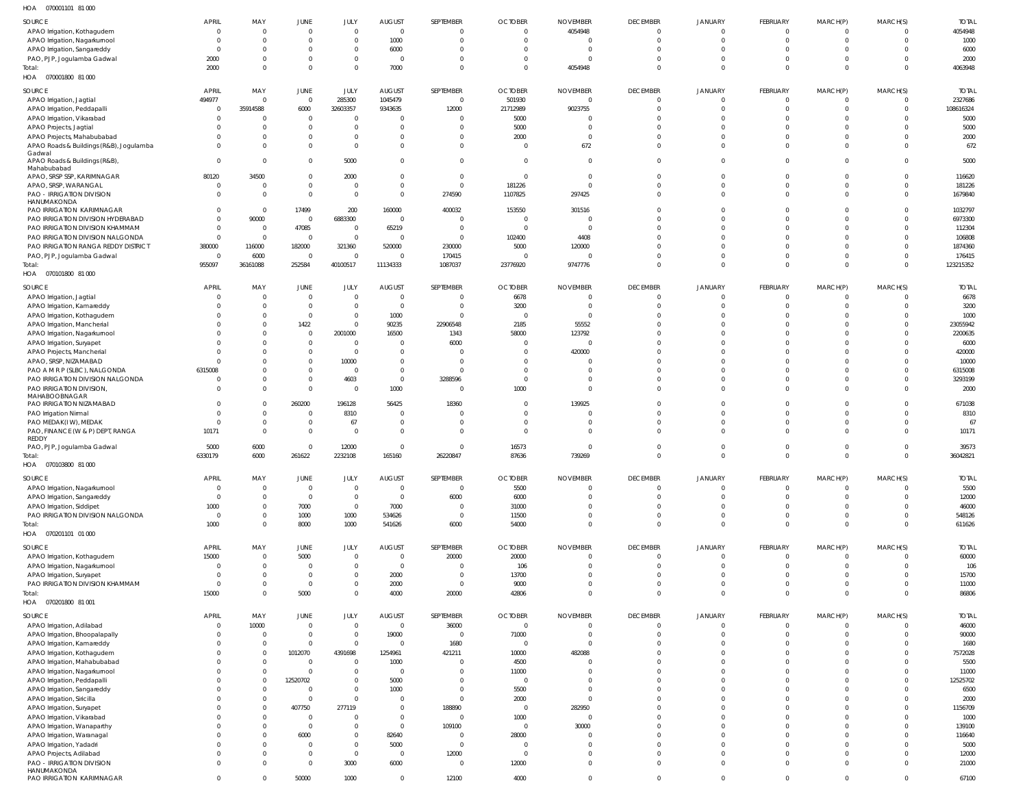| HOA<br>070001101 81 000                                   |                    |                                  |                            |                                  |                |                            |                |                             |                         |                            |                         |                    |                      |              |
|-----------------------------------------------------------|--------------------|----------------------------------|----------------------------|----------------------------------|----------------|----------------------------|----------------|-----------------------------|-------------------------|----------------------------|-------------------------|--------------------|----------------------|--------------|
| SOURCE                                                    | <b>APRIL</b>       | MAY                              | JUNE                       | JULY                             | <b>AUGUST</b>  | SEPTEMBER                  | <b>OCTOBER</b> | <b>NOVEMBER</b>             | <b>DECEMBER</b>         | <b>JANUARY</b>             | FEBRUARY                | MARCH(P)           | MARCH(S)             | <b>TOTAL</b> |
| APAO Irrigation, Kothagudem                               | $\Omega$           | $\Omega$                         | $\overline{0}$             | $\overline{0}$                   | $\Omega$       | $\mathbf 0$                | $\mathbf{0}$   | 4054948                     | $\mathbf 0$             | $\overline{0}$             | $\mathbf{0}$            | $\Omega$           | $\mathbf 0$          | 4054948      |
| APAO Irrigation, Nagarkurnool                             | $\Omega$           | $\Omega$                         | $\overline{0}$             | $\overline{0}$                   | 1000           | $\mathbf 0$                | $\Omega$       | $\Omega$                    | $\mathbf 0$             | $\overline{0}$             | $\mathbf 0$             | $\Omega$           | $\Omega$             | 1000         |
| APAO Irrigation, Sangareddy                               | $\Omega$           | $\Omega$                         | $\mathbf 0$                | $\overline{0}$                   | 6000           | $\Omega$                   |                | $\Omega$                    | $\Omega$                | $\overline{0}$             | $\Omega$                | - 0                | $\Omega$             | 6000         |
| PAO, PJP, Jogulamba Gadwal                                | 2000               | $\Omega$                         | $\overline{0}$             | $\overline{0}$                   | - 0            | $\Omega$                   | $\Omega$       | $\Omega$                    | $\Omega$                | $\overline{0}$             | $\Omega$                | $\Omega$           | $\Omega$             | 2000         |
| Total:                                                    | 2000               | $\overline{0}$                   | $\overline{0}$             | $\overline{0}$                   | 7000           | $\mathbf 0$                | $\Omega$       | 4054948                     | $\Omega$                | $\overline{0}$             | $\Omega$                | $\Omega$           | $\Omega$             | 4063948      |
| HOA  070001800  81 000                                    |                    |                                  |                            |                                  |                |                            |                |                             |                         |                            |                         |                    |                      |              |
| SOURCE                                                    | <b>APRIL</b>       | MAY                              | JUNE                       | JULY                             | <b>AUGUST</b>  | SEPTEMBER                  | <b>OCTOBER</b> | <b>NOVEMBER</b>             | <b>DECEMBER</b>         | <b>JANUARY</b>             | FEBRUARY                | MARCH(P)           | MARCH(S)             | <b>TOTAL</b> |
| APAO Irrigation, Jagtial                                  | 494977             | $\overline{0}$                   | $\overline{0}$             | 285300                           | 1045479        | $\mathbf 0$                | 501930         | $\overline{0}$              | $\overline{0}$          | $\overline{0}$             | $\mathbf 0$             |                    | 0                    | 2327686      |
| APAO Irrigation, Peddapalli                               | $\mathbf 0$        | 35914588                         | 6000                       | 32603357                         | 9343635        | 12000                      | 21712989       | 9023755                     | $\overline{0}$          | $\overline{0}$             | $\overline{0}$          | $\Omega$           | $\mathbf 0$          | 108616324    |
| APAO Irrigation, Vikarabad                                | $\Omega$           | $\Omega$                         | $\overline{0}$             | $\overline{0}$                   |                | $\mathbf 0$                | 5000           | $\Omega$                    | $\Omega$                | $\Omega$                   | $\Omega$                | $\cap$             | $\Omega$             | 5000         |
| APAO Projects, Jagtial                                    | $\Omega$           | $\Omega$                         | $\overline{0}$             | $\overline{0}$                   |                | $\mathbf 0$                | 5000           | $\Omega$                    | $\Omega$                | $\overline{0}$             | $\Omega$                |                    | $\Omega$             | 5000         |
| APAO Projects, Mahabubabad                                | $\cap$             | $\Omega$                         | $\overline{0}$             | 0                                |                | $\mathbf 0$                | 2000           | $\overline{0}$              | $\Omega$                | $\Omega$                   | $\Omega$                |                    | $\Omega$             | 2000         |
| APAO Roads & Buildings (R&B), Jogulamba                   | $\cap$             | $\Omega$                         | $\overline{0}$             | $\overline{0}$                   |                | $\mathbf 0$                | $\overline{0}$ | 672                         | $\Omega$                | $\overline{0}$             | $\Omega$                | $\Omega$           | $\Omega$             | 672          |
| Gadwal<br>APAO Roads & Buildings (R&B),                   | $\Omega$           | $\Omega$                         | $\overline{0}$             | 5000                             |                | $\mathbf 0$                | $\Omega$       | $\overline{0}$              | $\Omega$                | $\overline{0}$             | $\Omega$                | $\Omega$           | $\Omega$             | 5000         |
| Mahabubabad                                               |                    |                                  |                            |                                  |                |                            |                |                             |                         |                            |                         |                    |                      |              |
| APAO, SRSP SSP, KARIMNAGAR                                | 80120              | 34500                            | $\overline{0}$             | 2000                             | - 0            | $\mathbf 0$                | $\overline{0}$ | $\overline{0}$              | $\Omega$                | $\overline{0}$             | $\Omega$                | $\cap$             | $\Omega$             | 116620       |
| APAO, SRSP, WARANGAL                                      | $\Omega$           | $\overline{0}$                   | $\overline{0}$             | $\overline{0}$                   |                | $\mathbf 0$                | 181226         | $\mathbf 0$                 | $\Omega$                | $\overline{0}$             | $\Omega$                | $\cap$             | $\Omega$             | 181226       |
| PAO - IRRIGATION DIVISION                                 | $\Omega$           | $\overline{0}$                   | $\overline{0}$             | $\overline{0}$                   |                | 274590                     | 1107825        | 297425                      | $\Omega$                | $\overline{0}$             | $\Omega$                | $\Omega$           | $\mathbf 0$          | 1679840      |
| HANUMAKONDA<br>PAO IRRIGATION KARIMNAGAR                  | $\Omega$           | $\overline{0}$                   | 17499                      | 200                              | 160000         | 400032                     | 153550         | 301516                      | $\mathbf 0$             | $\overline{0}$             | $\Omega$                | $\cap$             | $\Omega$             | 1032797      |
| PAO IRRIGATION DIVISION HYDERABAD                         | $\Omega$           | 90000                            | $\overline{0}$             | 6883300                          | $\overline{0}$ | $\Omega$                   | $\overline{0}$ | $\overline{0}$              | $\Omega$                | $\overline{0}$             | $\Omega$                |                    | $\Omega$             | 6973300      |
| PAO IRRIGATION DIVISION KHAMMAM                           | $\Omega$           | $\overline{0}$                   | 47085                      | $\overline{0}$                   | 65219          | $\mathbf 0$                | $\Omega$       | $\Omega$                    | $\Omega$                | $\overline{0}$             | $\Omega$                | $\cap$             | $\Omega$             | 112304       |
| PAO IRRIGATION DIVISION NALGONDA                          | $\Omega$           | $\overline{0}$                   | $\overline{0}$             | $\overline{0}$                   | - 0            | $\mathbf 0$                | 102400         | 4408                        | $\Omega$                | $\Omega$                   | $\Omega$                |                    | $\Omega$             | 106808       |
| PAO IRRIGATION RANGA REDDY DISTRICT                       | 380000             | 116000                           | 182000                     | 321360                           | 520000         | 230000                     | 5000           | 120000                      | $\Omega$                | $\Omega$                   | $\Omega$                |                    | $\Omega$             | 1874360      |
| PAO, PJP, Jogulamba Gadwal                                | $\overline{0}$     | 6000                             | $\overline{0}$             | $\overline{0}$                   | - 0            | 170415                     | $\mathbf{0}$   | $\mathbf 0$                 | $^{\circ}$              | $\overline{0}$             | $\mathbf 0$             |                    | $\Omega$             | 176415       |
| Total:                                                    | 955097             | 36161088                         | 252584                     | 40100517                         | 11134333       | 1087037                    | 23776920       | 9747776                     | $\Omega$                | $\Omega$                   | $\Omega$                | $\Omega$           | $\Omega$             | 123215352    |
| 070101800 81 000<br>HOA                                   |                    |                                  |                            |                                  |                |                            |                |                             |                         |                            |                         |                    |                      |              |
| SOURCE                                                    | APRIL              | MAY                              | JUNE                       | JULY                             | <b>AUGUST</b>  | SEPTEMBER                  | <b>OCTOBER</b> | <b>NOVEMBER</b>             | <b>DECEMBER</b>         | JANUARY                    | FEBRUARY                | MARCH(P)           | MARCH(S)             | <b>TOTAL</b> |
| APAO Irrigation, Jagtial                                  | $\Omega$           | $\Omega$                         | $\overline{0}$             | $\overline{0}$                   | - 0            | 0                          | 6678           | $\mathbf 0$                 | $\Omega$                | $\Omega$                   | $\Omega$                | $\Omega$           | $\Omega$             | 6678         |
| APAO Irrigation, Kamareddy                                | $\Omega$           | $\Omega$                         | $\overline{0}$             | $\overline{0}$                   | $\overline{0}$ | $\mathbf 0$                | 3200           | $\overline{0}$              | $\mathbf 0$             | $\overline{0}$             | $\Omega$                | $\Omega$           | $\mathbf 0$          | 3200         |
| APAO Irrigation, Kothagudem                               |                    | $\Omega$                         | $\overline{0}$             | $\overline{0}$                   | 1000           | $\Omega$                   | $\Omega$       | $\Omega$                    | $\Omega$                | $\Omega$                   | $\Omega$                |                    | $\Omega$             | 1000         |
| APAO Irrigation, Mancherial                               |                    | $\Omega$                         | 1422                       | $\mathbf{0}$                     | 90235          | 22906548                   | 2185           | 55552                       | $\Omega$                | $\Omega$                   | $\Omega$                |                    | $\Omega$             | 23055942     |
| APAO Irrigation, Nagarkurnool                             |                    | $\Omega$                         | $\overline{0}$             | 2001000                          | 16500          | 1343                       | 58000          | 123792                      | $\Omega$                | $\Omega$                   | $\Omega$                |                    | $\Omega$             | 2200635      |
| APAO Irrigation, Suryapet                                 |                    | $\Omega$                         | $\overline{0}$             | $\overline{0}$                   | - 0            | 6000                       | $\Omega$       | $\overline{0}$              | $\Omega$                | $\Omega$                   | $\Omega$                |                    |                      | 6000         |
| APAO Projects, Mancherial                                 | $\cap$             | $\Omega$                         | $\overline{0}$             | $\overline{0}$                   | $\Omega$       |                            | $\Omega$       | 420000                      | $\Omega$                | $\Omega$                   | $\Omega$                | $\cap$             | $\Omega$             | 420000       |
| APAO, SRSP, NIZAMABAD                                     | $\Omega$           | $\Omega$                         | $\mathbf 0$                | 10000                            | $\Omega$       | $\mathbf 0$                |                | $\Omega$                    | $\Omega$                | $\Omega$                   | $\Omega$                |                    | $\Omega$             | 10000        |
| PAO A M R P (SLBC), NALGONDA                              | 6315008            | $\Omega$                         | $\overline{0}$             | $\overline{0}$                   | $\Omega$       | $\Omega$                   |                | $\Omega$                    | $\Omega$                | $\Omega$                   | $\Omega$                | $\cap$             | $\Omega$             | 6315008      |
| PAO IRRIGATION DIVISION NALGONDA                          | - 0                | $\overline{0}$                   | $\overline{0}$             | 4603                             | $\mathbf{0}$   | 3288596                    | $\mathbf{0}$   | $\overline{0}$              | $\mathbf 0$             | $\overline{0}$             | $\Omega$                | $\Omega$           | $\Omega$             | 3293199      |
| PAO IRRIGATION DIVISION,                                  | $\cap$             | $\overline{0}$                   | $\overline{0}$             | $\overline{0}$                   | 1000           | $\Omega$                   | 1000           | $\Omega$                    | $\Omega$                | $\Omega$                   | $\Omega$                | $\cap$             | $\Omega$             | 2000         |
| MAHABOOBNAGAR<br>PAO IRRIGATION NIZAMABAD                 | $\Omega$           | $\overline{0}$                   | 260200                     | 196128                           | 56425          | 18360                      |                | 139925                      | $\Omega$                | $\Omega$                   | $\Omega$                | $\Omega$           | $\Omega$             | 671038       |
| PAO Irrigation Nirmal                                     | $\Omega$           | $\overline{0}$                   | $\overline{0}$             | 8310                             | $\Omega$       |                            | <sup>0</sup>   | $\Omega$                    | $\Omega$                | $\Omega$                   | $\Omega$                | $\cap$             | $\Omega$             | 8310         |
| PAO MEDAK(IW), MEDAK                                      | $\Omega$           | $\overline{0}$                   | $\overline{0}$             | 67                               | 0              | 0                          | $\mathbf{0}$   | $\Omega$                    | $\mathbf 0$             | $\overline{0}$             | $\mathbf 0$             | $\Omega$           | $\Omega$             | 67           |
| PAO, FINANCE (W & P) DEPT, RANGA                          | 10171              | $\overline{0}$                   | $\overline{0}$             | $\overline{0}$                   | $\Omega$       | $\Omega$                   | $\Omega$       | $\Omega$                    | $\Omega$                | $\Omega$                   | $\Omega$                | $\Omega$           | $\Omega$             | 10171        |
| REDDY                                                     |                    |                                  |                            |                                  |                |                            |                |                             |                         |                            |                         |                    |                      |              |
| PAO, PJP, Jogulamba Gadwal                                | 5000               | 6000                             | $\overline{0}$             | 12000                            |                |                            | 16573          |                             | $\Omega$                | $^{\circ}$                 | $\Omega$                |                    |                      | 39573        |
| Total:                                                    | 6330179            | 6000                             | 261622                     | 2232108                          | 165160         | 26220847                   | 87636          | 739269                      | $\Omega$                | $\Omega$                   | $\Omega$                | $\Omega$           | $\Omega$             | 36042821     |
| 070103800 81 000<br>HOA                                   |                    |                                  |                            |                                  |                |                            |                |                             |                         |                            |                         |                    |                      |              |
| SOURCE                                                    | <b>APRIL</b>       | MAY                              | JUNE                       | JULY                             | <b>AUGUST</b>  | SEPTEMBER                  | <b>OCTOBER</b> | <b>NOVEMBER</b>             | <b>DECEMBER</b>         | <b>JANUARY</b>             | <b>FEBRUARY</b>         | MARCH(P)           | MARCH(S)             | <b>TOTAL</b> |
| APAO Irrigation, Nagarkurnool                             | $\overline{0}$     | $\overline{0}$                   | $\overline{0}$             | $\overline{0}$                   | $\Omega$       | $\pmb{0}$                  | 5500           | $\mathbf{0}$                | $\overline{0}$          | $\overline{0}$             | $\mathbf 0$             | $\Omega$           | $\mathbf 0$          | 5500         |
| APAO Irrigation, Sangareddy                               | $\overline{0}$     | $\overline{0}$                   | $\overline{0}$             | $\overline{0}$                   | $\overline{0}$ | 6000                       | 6000           | $\mathbf 0$                 | $\overline{0}$          | $\overline{0}$             | $\mathbf 0$             | $\Omega$           | $\mathbf 0$          | 12000        |
| APAO Irrigation, Siddipet                                 | 1000               | $\overline{0}$                   | 7000                       | $\mathbf 0$                      | 7000           | $\pmb{0}$                  | 31000          | $\mathbf 0$                 | $\overline{0}$          | $\overline{0}$             | $\mathbf 0$             | $\Omega$           | $\mathbf 0$          | 46000        |
| PAO IRRIGATION DIVISION NALGONDA                          | $\overline{0}$     | $\overline{0}$                   | 1000                       | 1000                             | 534626         | $\mathbf 0$                | 11500          | $\mathbf 0$                 | $\overline{0}$          | $\overline{0}$             | $\mathbf 0$             | $\Omega$           | $\Omega$             | 548126       |
| Total:                                                    | 1000               | $\Omega$                         | 8000                       | 1000                             | 541626         | 6000                       | 54000          | $\mathbf 0$                 | $\overline{0}$          | $\overline{0}$             | $\overline{0}$          | $\Omega$           | $\mathbf 0$          | 611626       |
| HOA  070201101  01  000                                   |                    |                                  |                            |                                  |                |                            |                |                             |                         |                            |                         |                    |                      |              |
| SOURCE                                                    | <b>APRIL</b>       | MAY                              | JUNE                       | JULY                             | <b>AUGUST</b>  | SEPTEMBER                  | <b>OCTOBER</b> | <b>NOVEMBER</b>             | <b>DECEMBER</b>         | <b>JANUARY</b>             | FEBRUARY                | MARCH(P)           | MARCH(S)             | <b>TOTAL</b> |
| APAO Irrigation, Kothagudem                               | 15000              | $\overline{0}$                   | 5000                       | $\overline{0}$                   | $\overline{0}$ | 20000                      | 20000          | $\mathbf 0$                 | $\overline{0}$          | $\overline{0}$             | $\overline{0}$          | $\Omega$           | $\Omega$             | 60000        |
| APAO Irrigation, Nagarkurnool                             | $\overline{0}$     | $\overline{0}$                   | $\overline{0}$             | $\mathbf{0}$                     | $\overline{0}$ | 0                          | 106            | $\mathbf 0$                 | $\mathbf 0$             | $\overline{0}$             | $\mathbf 0$             | $\Omega$           | $\Omega$             | 106          |
| APAO Irrigation, Suryapet                                 | $\Omega$           | $\Omega$                         | $\overline{0}$             | $\overline{0}$                   | 2000           | $\mathbf 0$                | 13700          | $\overline{0}$              | $\overline{0}$          | $\overline{0}$             | $\mathbf{0}$            | $\Omega$           | $\Omega$             | 15700        |
| PAO IRRIGATION DIVISION KHAMMAM                           | $\Omega$           | $\Omega$                         | $\overline{0}$             | $\mathbf{0}$                     | 2000           | $\mathbf 0$                | 9000           | $\mathbf 0$                 | $\mathbf 0$             | $\overline{0}$             | $\mathbf 0$             | $\Omega$           | $\Omega$             | 11000        |
| Total:                                                    | 15000              | $\overline{0}$                   | 5000                       | $\overline{0}$                   | 4000           | 20000                      | 42806          | $\mathbf{0}$                | $\Omega$                | $\overline{0}$             | $\Omega$                | $\Omega$           | $\Omega$             | 86806        |
| HOA  070201800  81  001                                   |                    |                                  |                            |                                  |                |                            |                |                             |                         |                            |                         |                    |                      |              |
| SOURCE                                                    | <b>APRIL</b>       | MAY                              | JUNE                       | JULY                             | <b>AUGUST</b>  | SEPTEMBER                  | <b>OCTOBER</b> | <b>NOVEMBER</b>             | <b>DECEMBER</b>         | <b>JANUARY</b>             | FEBRUARY                | MARCH(P)           | MARCH(S)             | <b>TOTAL</b> |
| APAO Irrigation, Adilabad                                 | $\mathbf{0}$       | 10000                            | $\overline{0}$             | $\overline{0}$                   | $\overline{0}$ | 36000                      | $\overline{0}$ | $\mathbf 0$                 | $\overline{0}$          | $\overline{0}$             | $\overline{0}$          | $\Omega$           | 0                    | 46000        |
| APAO Irrigation, Bhoopalapally                            | $\Omega$           | $\overline{0}$                   | $\overline{0}$             | $\overline{0}$                   | 19000          | $\mathbf 0$                | 71000          | $\mathbf{0}$                | $\overline{0}$          | $\overline{0}$             | $\mathbf{0}$            | $\Omega$           | $\mathbf 0$          | 90000        |
| APAO Irrigation, Kamareddy                                | $\Omega$           | $\overline{0}$                   | $\overline{0}$             | $\overline{0}$                   | $\mathsf{C}$   | 1680                       | $\overline{0}$ | $\mathbf 0$                 | $\Omega$                | $\overline{0}$             | $\Omega$                | $\Omega$           | $\Omega$             | 1680         |
| APAO Irrigation, Kothagudem                               | $\Omega$           | $\overline{0}$                   | 1012070                    | 4391698                          | 1254961        | 421211                     | 10000          | 482088                      | $\mathbf 0$             | $\overline{0}$             | $\mathbf 0$             | $\Omega$           | $\Omega$             | 7572028      |
| APAO Irrigation, Mahabubabad                              | $\cap$             | $\overline{0}$                   | $\overline{0}$             | $\mathbf 0$                      | 1000           | 0                          | 4500           | $\mathbf 0$                 | $\mathbf 0$             | $\overline{0}$             | $\Omega$                | $\cap$             | $\Omega$             | 5500         |
| APAO Irrigation, Nagarkurnool                             | $\Omega$<br>$\cap$ | $\overline{0}$                   | $\overline{0}$             | $\overline{0}$                   | - 0            | $\mathbf 0$                | 11000          | $\mathbf 0$                 | $\mathbf 0$             | $\overline{0}$             | $\Omega$                | $\Omega$<br>$\cap$ | $\Omega$             | 11000        |
| APAO Irrigation, Peddapalli                               | $\Omega$           | $\overline{0}$<br>$\overline{0}$ | 12520702<br>$\overline{0}$ | $\overline{0}$<br>$\overline{0}$ | 5000           | $\mathbf 0$<br>$\mathbf 0$ | $\overline{0}$ | $\mathbf 0$<br>$\mathbf{0}$ | $\Omega$<br>$\mathbf 0$ | $\Omega$<br>$\overline{0}$ | $\Omega$<br>$\mathbf 0$ | $\Omega$           | $\Omega$<br>$\Omega$ | 12525702     |
| APAO Irrigation, Sangareddy<br>APAO Irrigation, Siricilla | $\cap$             | $\overline{0}$                   | $\overline{0}$             | $\overline{0}$                   | 1000<br>- 0    | $\mathbf 0$                | 5500<br>2000   | $\mathbf{0}$                | $\Omega$                | $\overline{0}$             | $\Omega$                | $\Omega$           | $\Omega$             | 6500<br>2000 |
| APAO Irrigation, Suryapet                                 |                    | $\overline{0}$                   | 407750                     | 277119                           | $\Omega$       | 188890                     | $\overline{0}$ | 282950                      | $\mathbf 0$             | $\overline{0}$             | $\Omega$                | $\cap$             | $\Omega$             | 1156709      |
| APAO Irrigation, Vikarabad                                | $\cap$             | $\overline{0}$                   | $\overline{0}$             | $\overline{0}$                   | $\Omega$       | $\mathbf 0$                | 1000           | $\overline{0}$              | $\Omega$                | $\Omega$                   | $\Omega$                | $\Omega$           | $\Omega$             | 1000         |
| APAO Irrigation, Wanaparthy                               | $\Omega$           | $\Omega$                         | $\overline{0}$             | $\overline{0}$                   | $\Omega$       | 109100                     | $\overline{0}$ | 30000                       | $\mathbf 0$             | $\Omega$                   | $\mathbf 0$             | $\cap$             | $\Omega$             | 139100       |
| APAO Irrigation, Waranagal                                | $\cap$             | $\overline{0}$                   | 6000                       | $\overline{0}$                   | 82640          | $\mathbf 0$                | 28000          | $\mathbf 0$                 | $\mathbf 0$             | $\overline{0}$             | $\Omega$                | $\cap$             | $\Omega$             | 116640       |
| APAO Irrigation, Yadadri                                  |                    | $\Omega$                         | $\overline{0}$             | $\overline{0}$                   | 5000           | $\mathbf 0$                | $\overline{0}$ | $\overline{0}$              | $\mathbf 0$             | $\overline{0}$             | $\mathbf 0$             | $\Omega$           | $\Omega$             | 5000         |
| APAO Projects, Adilabad                                   | $\cap$             | $\Omega$                         | $\overline{0}$             | $\overline{0}$                   | $\overline{0}$ | 12000                      | $\overline{0}$ | $\overline{0}$              | $\Omega$                | $\Omega$                   | $\Omega$                | $\cap$             | $\Omega$             | 12000        |
| PAO - IRRIGATION DIVISION                                 | $\Omega$           | $\Omega$                         | $\overline{0}$             | 3000                             | 6000           | $\pmb{0}$                  | 12000          | $\mathbf{0}$                | $\overline{0}$          | $\overline{0}$             | $\mathbf 0$             | $\Omega$           | $\mathbf 0$          | 21000        |
| HANUMAKONDA                                               |                    |                                  |                            |                                  |                |                            |                |                             |                         |                            |                         |                    |                      |              |
| PAO IRRIGATION KARIMNAGAR                                 | $\Omega$           | $\overline{0}$                   | 50000                      | 1000                             | $\mathbf{0}$   | 12100                      | 4000           | $\mathbf{0}$                | $\overline{0}$          | $\overline{0}$             | $\mathbf{0}$            | $\Omega$           | $\mathbf 0$          | 67100        |
|                                                           |                    |                                  |                            |                                  |                |                            |                |                             |                         |                            |                         |                    |                      |              |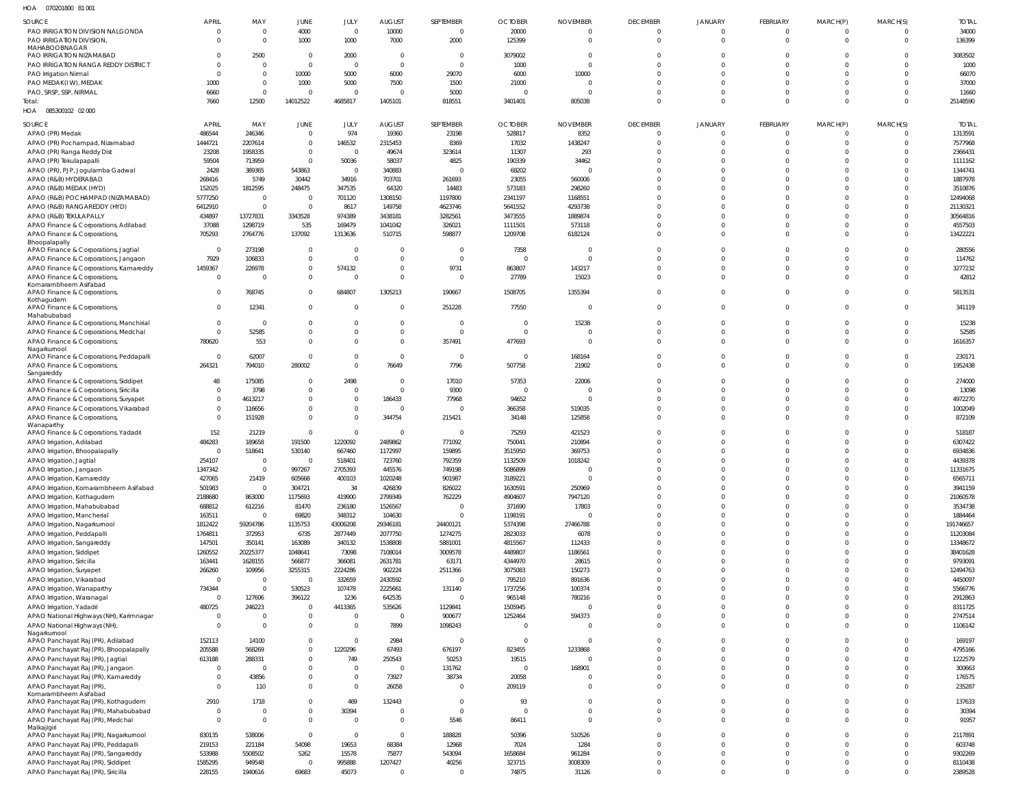| HOA  070201800  81  001                    |                |                |                |                |                          |                |                |                 |                 |                |          |                |          |              |
|--------------------------------------------|----------------|----------------|----------------|----------------|--------------------------|----------------|----------------|-----------------|-----------------|----------------|----------|----------------|----------|--------------|
| SOURCE                                     | <b>APRIL</b>   | MAY            | JUNE           | JULY           | <b>AUGUST</b>            | SEPTEMBER      | <b>OCTOBER</b> | <b>NOVEMBER</b> | <b>DECEMBER</b> | <b>JANUARY</b> | FEBRUARY | MARCH(P)       | MARCH(S) | <b>TOTAL</b> |
| PAO IRRIGATION DIVISION NALGONDA           | $^{\circ}$     | $\Omega$       | 4000           | $\overline{0}$ | 10000                    | $\overline{0}$ | 20000          | - 0             | $\overline{0}$  | $\Omega$       | $\Omega$ | $\overline{0}$ | $\Omega$ | 34000        |
| PAO IRRIGATION DIVISION.                   | $\Omega$       | $\Omega$       | 1000           | 1000           | 7000                     | 2000           | 125399         | $\Omega$        | $\Omega$        | $\Omega$       | $\Omega$ | $\overline{0}$ | $\Omega$ | 136399       |
| MAHABOOBNAGAR                              |                |                |                |                |                          |                |                |                 |                 |                |          |                |          |              |
| PAO IRRIGATION NIZAMABAD                   |                | 2500           | $\overline{0}$ | 2000           | - 0                      | $\Omega$       | 3079002        | - 0             | $\Omega$        | $\Omega$       | $\Omega$ | $\Omega$       |          | 3083502      |
| PAO IRRIGATION RANGA REDDY DISTRICT        | $\Omega$       | $\Omega$       | $\overline{0}$ | $\overline{0}$ | $\overline{0}$           | $\Omega$       | 1000           |                 | $\Omega$        | $\Omega$       | $\Omega$ | $\Omega$       |          | 1000         |
| PAO Irrigation Nirmal                      | $\Omega$       | $\Omega$       | 10000          | 5000           | 6000                     | 29070          | 6000           | 10000           | $\Omega$        | $\Omega$       | $\Omega$ | $\Omega$       |          | 66070        |
| PAO MEDAK(IW), MEDAK                       | 1000           | $\Omega$       | 1000           | 5000           | 7500                     | 1500           | 21000          | - 0             | $\Omega$        | $\Omega$       | $\Omega$ | $\Omega$       | $\Omega$ | 37000        |
| PAO, SRSP, SSP, NIRMAL                     | 6660           | $\Omega$       | $\overline{0}$ | $\Omega$       | $\overline{0}$           | 5000           | $\Omega$       |                 | $\Omega$        | $\Omega$       | $\Omega$ | $\Omega$       | $\Omega$ | 11660        |
| Total:                                     | 7660           | 12500          | 14012522       | 4685817        | 1405101                  | 818551         | 3401401        | 805038          | $\Omega$        | $\Omega$       | $\Omega$ | $\Omega$       | $\Omega$ | 25148590     |
| HOA  085300102  02  000                    |                |                |                |                |                          |                |                |                 |                 |                |          |                |          |              |
|                                            |                |                |                |                |                          |                |                |                 |                 |                |          |                |          |              |
| SOURCE                                     | APRIL          | MAY            | JUNE           | JULY           | <b>AUGUST</b>            | SEPTEMBER      | <b>OCTOBER</b> | <b>NOVEMBER</b> | <b>DECEMBER</b> | <b>JANUARY</b> | FEBRUARY | MARCH(P)       | MARCH(S) | <b>TOTAL</b> |
| APAO (PR) Medak                            | 486544         | 246346         | $\overline{0}$ | 974            | 19360                    | 23198          | 528817         | 8352            | $\Omega$        | $\Omega$       | $\Omega$ | $\overline{0}$ | $\Omega$ | 1313591      |
| APAO (PR) Pochampad, Nizamabad             | 1444721        | 2207614        | $\overline{0}$ | 146532         | 2315453                  | 8369           | 17032          | 1438247         | $\Omega$        | $\Omega$       | $\Omega$ | $\overline{0}$ |          | 7577968      |
| APAO (PR) Ranga Reddy Dist                 | 23208          | 1958335        | $\overline{0}$ | $\overline{0}$ | 49674                    | 323614         | 11307          | 293             | $\Omega$        | $\Omega$       | $\Omega$ | $\overline{0}$ |          | 2366431      |
| APAO (PR) Tekulapapalli                    | 59504          | 713959         | $\overline{0}$ | 50036          | 58037                    | 4825           | 190339         | 34462           | $\Omega$        | $\Omega$       | $\Omega$ | $\Omega$       |          | 1111162      |
| APAO (PR), PJP, Jogulamba Gadwal           | 2428           | 389365         | 543863         | $\overline{0}$ | 340883                   |                | 68202          | $\sqrt{ }$      | $\Omega$        | $\Omega$       | $\Omega$ | $\Omega$       |          | 1344741      |
| APAO (R&B) HYDERABAD                       | 268416         | 5749           | 30442          | 34916          | 703701                   | 261693         | 23055          | 560006          | $\Omega$        | $\Omega$       | $\Omega$ | $\Omega$       |          | 1887978      |
| APAO (R&B) MEDAK (HYD)                     | 152025         | 1812595        | 248475         | 347535         | 64320                    | 14483          | 573183         | 298260          | $\Omega$        | $\Omega$       | $\Omega$ | $\Omega$       |          | 3510876      |
| APAO (R&B) POCHAMPAD (NIZAMABAD)           | 5777250        | $\overline{0}$ | $\overline{0}$ | 701120         | 1308150                  | 1197800        | 2341197        | 1168551         | $\Omega$        | $\Omega$       | $\Omega$ | $\Omega$       |          | 12494068     |
| APAO (R&B) RANGAREDDY (HYD)                | 6412910        | $\Omega$       | $\overline{0}$ | 8617           | 149758                   | 4623746        | 5641552        | 4293738         | $\Omega$        | $\Omega$       | $\Omega$ | $\Omega$       |          | 21130321     |
| APAO (R&B) TEKULAPALLY                     | 434897         | 13727831       | 3343528        | 974389         | 3438181                  | 3282561        | 3473555        | 1889874         | $\Omega$        | $\Omega$       | $\Omega$ | $\Omega$       |          | 30564816     |
| APAO Finance & Corporations, Adilabad      | 37088          | 1298719        | 535            | 169479         | 1041042                  | 326021         | 1111501        | 573118          | $\Omega$        | $\Omega$       | $\Omega$ | $\Omega$       |          | 4557503      |
| APAO Finance & Corporations,               | 705293         | 2764776        | 137092         | 1313636        | 510715                   | 598877         | 1209708        | 6182124         | $\Omega$        | $\Omega$       | $\Omega$ | $\Omega$       |          | 13422221     |
| Bhoopalapally                              |                |                |                |                |                          |                |                |                 |                 |                |          |                |          |              |
| APAO Finance & Corporations, Jagtial       | $\overline{0}$ | 273198         | $\overline{0}$ | $\Omega$       | 0                        |                | 7358           | $\sqrt{ }$      | $\Omega$        | $\Omega$       | $\Omega$ | $\Omega$       |          | 280556       |
| APAO Finance & Corporations, Jangaon       | 7929           | 106833         | $\overline{0}$ | $\overline{0}$ | $\Omega$                 | $\Omega$       | $\Omega$       |                 | $\Omega$        | $\Omega$       | $\Omega$ | $\Omega$       |          | 114762       |
| APAO Finance & Corporations, Kamareddy     | 1459367        | 226978         | $\overline{0}$ | 574132         | $\overline{0}$           | 9731           | 863807         | 143217          | $\Omega$        | $\Omega$       | $\Omega$ | $\mathbf 0$    |          | 3277232      |
| APAO Finance & Corporations,               | $\mathbf 0$    | $\Omega$       | $\overline{0}$ | $\Omega$       | $\Omega$                 | $\Omega$       | 27789          | 15023           | $\Omega$        | $\Omega$       | $\Omega$ | $\Omega$       |          | 42812        |
| Komarambheem Asifabad                      |                |                |                |                |                          |                |                |                 |                 |                |          |                |          |              |
| APAO Finance & Corporations,               | $\mathbf 0$    | 768745         | $\overline{0}$ | 684807         | 1305213                  | 190667         | 1508705        | 1355394         | $\Omega$        | $\Omega$       | $\Omega$ | $\overline{0}$ | $\Omega$ | 5813531      |
| Kothagudem<br>APAO Finance & Corporations, | $\mathbf 0$    | 12341          | $\overline{0}$ | $\Omega$       | $\Omega$                 | 251228         | 77550          | - 0             | $\overline{0}$  | $\Omega$       | $\Omega$ | $\Omega$       |          | 341119       |
| Mahabubabad                                |                |                |                |                |                          |                |                |                 |                 |                |          |                |          |              |
| APAO Finance & Corporations, Manchirial    | $\Omega$       | $\Omega$       | $\overline{0}$ | $\mathbf 0$    | $\overline{0}$           | $\Omega$       | $\Omega$       | 15238           | $\Omega$        | $\Omega$       | $\Omega$ | $\Omega$       |          | 15238        |
| APAO Finance & Corporations, Medchal       | $\mathbf 0$    | 52585          | $\overline{0}$ | $\mathbf 0$    | $\overline{0}$           | $\Omega$       | $\Omega$       |                 | $\Omega$        | $\Omega$       | $\Omega$ | $\Omega$       |          | 52585        |
| APAO Finance & Corporations,               | 780620         | 553            | $\overline{0}$ | $\mathbf 0$    | $\Omega$                 | 357491         | 477693         | - 0             | $\Omega$        | $\Omega$       | $\Omega$ | $\overline{0}$ |          | 1616357      |
| Nagarkurnool                               |                |                |                |                |                          |                |                |                 |                 |                |          |                |          |              |
| APAO Finance & Corporations, Peddapalli    | $\overline{0}$ | 62007          | $\overline{0}$ | $\mathbf 0$    | $\overline{0}$           | $\Omega$       | - 0            | 168164          | $\Omega$        | $\Omega$       | $\Omega$ | $\mathbf{0}$   |          | 230171       |
| APAO Finance & Corporations,               | 264321         | 794010         | 280002         | $\mathbf 0$    | 76649                    | 7796           | 507758         | 21902           | $\Omega$        | $\Omega$       | $\Omega$ | $\Omega$       |          | 1952438      |
| Sangareddy                                 |                |                |                |                |                          |                |                |                 |                 |                |          |                |          |              |
| APAO Finance & Corporations, Siddipet      | 48             | 175085         | $\overline{0}$ | 2498           | $\overline{\mathbf{0}}$  | 17010          | 57353          | 22006           | $\Omega$        | $\Omega$       | $\Omega$ | $\Omega$       |          | 274000       |
| APAO Finance & Corporations, Siricilla     | $\mathbf 0$    | 3798           | $\overline{0}$ | $\overline{0}$ | $\overline{0}$           | 9300           | $\Omega$       |                 | $\Omega$        | $\Omega$       | $\Omega$ | $\Omega$       |          | 13098        |
| APAO Finance & Corporations, Suryapet      | $\mathbf{0}$   | 4613217        | $\overline{0}$ | $\overline{0}$ | 186433                   | 77968          | 94652          | $\sqrt{ }$      | $\Omega$        | $\Omega$       | $\Omega$ | $\Omega$       |          | 4972270      |
| APAO Finance & Corporations, Vikarabad     | $\mathbf{0}$   | 116656         | $\overline{0}$ | $\mathbf{0}$   | $\overline{0}$           |                | 366358         | 519035          | $\Omega$        | $\Omega$       | $\Omega$ | $\Omega$       |          | 1002049      |
| APAO Finance & Corporations,               | $\Omega$       | 151928         | $\overline{0}$ | $\mathbf{0}$   | 344754                   | 215421         | 34148          | 125858          | $\Omega$        | $\Omega$       | $\Omega$ | $\Omega$       |          | 872109       |
| Wanaparthy                                 |                |                |                |                |                          |                |                |                 |                 |                |          |                |          |              |
| APAO Finance & Corporations, Yadadri       | 152            | 21219          | $\overline{0}$ | $\overline{0}$ | $\overline{\mathbf{0}}$  | $\cap$         | 75293          | 421523          | $\Omega$        | $\Omega$       | $\Omega$ | $\Omega$       |          | 518187       |
| APAO Irrigation, Adilabad                  | 484283         | 189658         | 191500         | 1220092        | 2489862                  | 771092         | 750041         | 210894          | $\Omega$        | $\Omega$       | $\Omega$ | $\Omega$       |          | 6307422      |
| APAO Irrigation, Bhoopalapally             | $\mathbf 0$    | 518641         | 530140         | 667460         | 1172997                  | 159895         | 3515950        | 369753          | $\Omega$        | $\Omega$       | $\Omega$ | $\Omega$       |          | 6934836      |
| APAO Irrigation, Jagtial                   | 254107         | $\Omega$       | $\Omega$       | 518401         | 723760                   | 792359         | 1132509        | 1018242         | $\Omega$        | $\cap$         | $\Omega$ | $\Omega$       |          | 4439378      |
| APAO Irrigation, Jangaon                   | 1347342        | $\Omega$       | 997267         | 2705393        | 445576                   | 749198         | 5086899        | $\Omega$        | $\overline{0}$  | $\Omega$       | $\Omega$ | $\Omega$       |          | 11331675     |
| APAO Irrigation, Kamareddy                 | 427065         | 21419          | 605668         | 400103         | 1020248                  | 901987         | 3189221        | $\Omega$        | $\overline{0}$  | $\Omega$       | $\Omega$ | $\overline{0}$ |          | 6565711      |
| APAO Irrigation, Komarambheem Asifabad     | 501983         | $\overline{0}$ | 304721         | 34             | 426839                   | 826022         | 1630591        | 250969          | $\overline{0}$  | $\Omega$       | $\Omega$ | $\Omega$       |          | 3941159      |
| APAO Irrigation, Kothagudem                | 2188680        | 863000         | 1175693        | 419900         | 2799349                  | 762229         | 4904607        | 7947120         | $\Omega$        | $\Omega$       | $\Omega$ | $\overline{0}$ |          | 21060578     |
| APAO Irrigation, Mahabubabad               | 688812         | 612216         | 81470          | 236180         | 1526567                  | $\Omega$       | 371690         | 17803           | $\mathbf{0}$    | $\Omega$       | $\Omega$ | $\overline{0}$ |          | 3534738      |
| APAO Irrigation, Mancherial                | 163511         | $\Omega$       | 69820          | 348312         | 104630                   | $\Omega$       | 1198191        |                 | $\Omega$        | $\Omega$       | $\Omega$ | $\overline{0}$ |          | 1884464      |
| APAO Irrigation, Nagarkurnool              | 1812422        | 59204786       | 1135753        | 43006208       | 29346181                 | 24400121       | 5374398        | 27466788        | $\mathbf 0$     | $\Omega$       | $\Omega$ | $\overline{0}$ |          | 191746657    |
| APAO Irrigation, Peddapalli                | 1764811        | 372953         | 6735           | 2877449        | 2077750                  | 1274275        | 2823033        | 6078            | $\mathbf 0$     | $\Omega$       | $\Omega$ | $\overline{0}$ |          | 11203084     |
| APAO Irrigation, Sangareddy                | 147501         | 350141         | 163089         | 340132         | 1538808                  | 5881001        | 4815567        | 112433          | $\mathbf 0$     | $\Omega$       | $\Omega$ | $\overline{0}$ |          | 13348672     |
| APAO Irrigation, Siddipet                  | 1260552        | 20225377       | 1048641        | 73098          | 7108014                  | 3009578        | 4489807        | 1186561         | $\mathbf 0$     | $\Omega$       | $\Omega$ | $\overline{0}$ |          | 38401628     |
| APAO Irrigation, Siricilla                 | 163441         | 1628155        | 566877         | 366081         | 2631781                  | 63171          | 4344970        | 28615           | $\Omega$        | $\Omega$       | $\Omega$ | $\overline{0}$ |          | 9793091      |
| APAO Irrigation, Suryapet                  | 266260         | 109956         | 3255315        | 2224286        | 902224                   | 2511366        | 3075083        | 150273          | $\overline{0}$  | $\Omega$       | $\Omega$ | $\overline{0}$ |          | 12494763     |
| APAO Irrigation, Vikarabad                 | $\overline{0}$ | $\overline{0}$ | $\overline{0}$ | 332659         | 2430592                  | $\overline{0}$ | 795210         | 891636          | $\mathbf 0$     | $\Omega$       | $\Omega$ | $\overline{0}$ |          | 4450097      |
| APAO Irrigation, Wanaparthy                | 734344         | $\overline{0}$ | 530523         | 107478         | 2225661                  | 131140         | 1737256        | 100374          | $\Omega$        | $\Omega$       | $\Omega$ | $\overline{0}$ |          | 5566776      |
| APAO Irrigation, Waranagal                 | $\overline{0}$ | 127606         | 396122         | 1236           | 642535                   | $\Omega$       | 965148         | 780216          | $\mathbf 0$     | $\Omega$       | $\Omega$ | $\overline{0}$ |          | 2912863      |
| APAO Irrigation, Yadadri                   | 480725         | 246223         | $\overline{0}$ | 4413365        | 535626                   | 1129841        | 1505945        | $\Omega$        | $\Omega$        | $\Omega$       | $\Omega$ | $\overline{0}$ |          | 8311725      |
| APAO National Highways (NH), Karimnagar    | $\mathbf 0$    | $\Omega$       | $\overline{0}$ | $\overline{0}$ | $\overline{\phantom{0}}$ | 900677         | 1252464        | 594373          | $\mathbf 0$     | $\Omega$       | $\Omega$ | $\overline{0}$ |          | 2747514      |
| APAO National Highways (NH),               | $\mathbf 0$    | $\Omega$       | $\overline{0}$ | $\overline{0}$ | 7899                     | 1098243        | $\Omega$       | $\Omega$        | $\overline{0}$  | $\Omega$       | $\Omega$ | $\Omega$       |          | 1106142      |
| Nagarkurnool                               |                |                |                |                |                          |                |                |                 |                 |                |          |                |          |              |
| APAO Panchayat Raj (PR), Adilabad          | 152113         | 14100          | $\overline{0}$ | $\mathbf 0$    | 2984                     | $\Omega$       | $\overline{0}$ | $\Omega$        | $\mathbf 0$     | $\Omega$       | $\Omega$ | $\Omega$       |          | 169197       |
| APAO Panchayat Raj (PR), Bhoopalapally     | 205588         | 568269         | $\overline{0}$ | 1220296        | 67493                    | 676197         | 823455         | 1233868         | $\overline{0}$  | $\Omega$       | $\Omega$ | $\mathbf 0$    |          | 4795166      |
| APAO Panchayat Raj (PR), Jagtial           | 613188         | 288331         | $\,0\,$        | 749            | 250543                   | 50253          | 19515          | $\Omega$        | $\Omega$        | $\Omega$       | $\Omega$ | $\mathbf{0}$   |          | 1222579      |
| APAO Panchayat Raj (PR), Jangaon           | $\mathbf 0$    | $\Omega$       | $\,0\,$        | $\overline{0}$ | $\overline{\phantom{0}}$ | 131762         | $\overline{0}$ | 168901          | $\mathbf 0$     | $\Omega$       | $\Omega$ | $\overline{0}$ |          | 300663       |
| APAO Panchayat Raj (PR), Kamareddy         | $\mathbf 0$    | 43856          | $\,0\,$        | $\overline{0}$ | 73927                    | 38734          | 20058          | - 0             | $\mathbf 0$     | $\Omega$       | $\Omega$ | $\overline{0}$ |          | 176575       |
| APAO Panchayat Raj (PR),                   | $\Omega$       | 110            | $\overline{0}$ | $\overline{0}$ | 26058                    | $\Omega$       | 209119         | $\Omega$        | $\Omega$        | $\Omega$       | $\Omega$ | $\Omega$       | $\Omega$ | 235287       |
| Komarambheem Asifabad                      |                |                |                |                |                          |                |                |                 |                 |                |          |                |          |              |
| APAO Panchayat Raj (PR), Kothagudem        | 2910           | 1718           | $\overline{0}$ | 469            | 132443                   | $\mathbf 0$    | 93             | $\Omega$        | $\mathbf{0}$    | $\Omega$       | $\Omega$ | $\overline{0}$ | $\Omega$ | 137633       |
| APAO Panchayat Raj (PR), Mahabubabad       | $\overline{0}$ | $\Omega$       | $\,0\,$        | 30394          | $\overline{0}$           | $\overline{0}$ | $\Omega$       | $\Omega$        | $\overline{0}$  | $\mathbf{0}$   | $\Omega$ | $\mathbf{0}$   | $\Omega$ | 30394        |
| APAO Panchayat Raj (PR), Medchal           | $\mathbf 0$    | $\Omega$       | $\,0\,$        | $\overline{0}$ | $\overline{0}$           | 5546           | 86411          | $\Omega$        | $\overline{0}$  | $\mathbf{0}$   | $\Omega$ | $\overline{0}$ | $\Omega$ | 91957        |
| Malkajigiri                                |                |                |                |                |                          |                |                |                 |                 |                |          |                |          |              |
| APAO Panchayat Raj (PR), Nagarkurnool      | 830135         | 538006         | $\overline{0}$ | $\overline{0}$ | $\overline{0}$           | 188828         | 50396          | 510526          | $\overline{0}$  | $\Omega$       | $\Omega$ | $\mathbf 0$    |          | 2117891      |
| APAO Panchayat Raj (PR), Peddapalli        | 219153         | 221184         | 54098          | 19653          | 68384                    | 12968          | 7024           | 1284            | $\mathbf{0}$    | $\Omega$       | $\Omega$ | $\Omega$       | $\Omega$ | 603748       |
| APAO Panchayat Raj (PR), Sangareddy        | 533988         | 5508502        | 5262           | 15578          | 75877                    | 543094         | 1658684        | 961284          | $\mathbf{0}$    | $\Omega$       | $\Omega$ | $\overline{0}$ |          | 9302269      |
| APAO Panchayat Raj (PR), Siddipet          | 1585295        | 949548         | $\overline{0}$ | 995888         | 1207427                  | 40256          | 323715         | 3008309         | $\mathbf{0}$    | $\mathbf{0}$   | $\Omega$ | $\overline{0}$ | $\Omega$ | 8110438      |
| APAO Panchayat Raj (PR), Siricilla         | 228155         | 1940616        | 69683          | 45073          | $\overline{0}$           |                | 74875          | 31126           | $\mathbf 0$     | $\Omega$       | $\Omega$ | $\mathbf{0}$   |          | 2389528      |
|                                            |                |                |                |                |                          |                |                |                 |                 |                |          |                |          |              |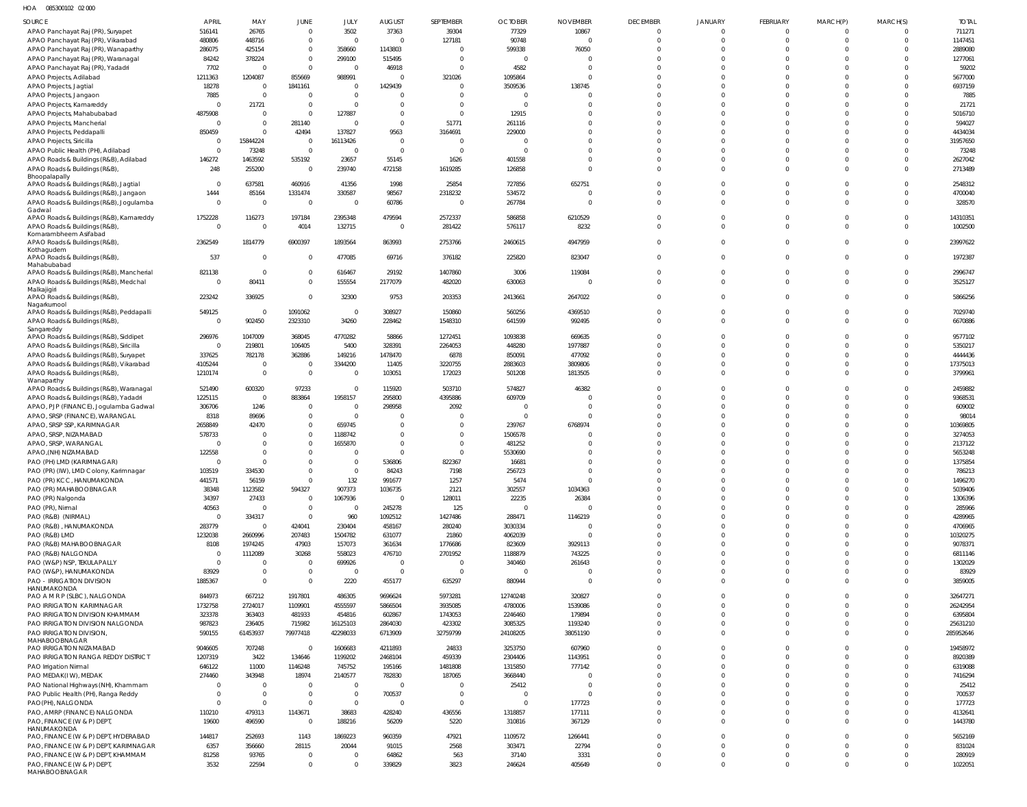HOA 085300102 02 000

| <b>SOURCE</b>                                                                    | APRIL                | MAY                      | JUNE                             | JULY                      | <b>AUGUST</b>                    | SEPTEMBER                          | <b>OCTOBER</b>           | <b>NOVEMBER</b>      | <b>DECEMBER</b>            | <b>JANUARY</b>             | FEBRUARY                   | MARCH(P)             | MARCH(S)                         | <b>TOTAL</b>        |
|----------------------------------------------------------------------------------|----------------------|--------------------------|----------------------------------|---------------------------|----------------------------------|------------------------------------|--------------------------|----------------------|----------------------------|----------------------------|----------------------------|----------------------|----------------------------------|---------------------|
| APAO Panchayat Raj (PR), Suryapet                                                | 516141               | 26765                    | $\overline{0}$                   | 3502                      | 37363                            | 39304                              | 77329                    | 10867                | $\mathbf 0$                | $\Omega$                   | $\mathbf 0$                |                      | $\Omega$                         | 711271              |
| APAO Panchayat Raj (PR), Vikarabad                                               | 480806               | 448716                   | $\overline{0}$                   | $\Omega$                  | $\Omega$                         | 127181                             | 90748                    |                      | $\mathbf 0$                | $\Omega$                   | $\Omega$                   | $\Omega$             | $\overline{0}$                   | 1147451             |
| APAO Panchayat Raj (PR), Wanaparthy                                              | 286075               | 425154                   | $\mathbf{0}$                     | 358660                    | 1143803                          | $\Omega$                           | 599338                   | 76050                | $\Omega$                   | $\Omega$                   | $\Omega$                   | $\Omega$             | $\Omega$                         | 2889080             |
| APAO Panchayat Raj (PR), Waranagal                                               | 84242                | 378224                   | $\overline{0}$                   | 299100                    | 515495                           | $\Omega$                           | $\Omega$                 |                      | $\Omega$                   | $\cup$                     | $\Omega$                   | $\Omega$             | $\Omega$                         | 1277061             |
| APAO Panchayat Raj (PR), Yadadri                                                 | 7702                 |                          | $\overline{0}$                   | $\overline{0}$            | 46918                            | $\Omega$                           | 4582                     |                      | $\Omega$                   | $\cup$                     | $\Omega$                   | $\cap$               | $\Omega$                         | 59202               |
| APAO Projects, Adilabad                                                          | 1211363              | 1204087                  | 855669                           | 988991                    | $\Omega$                         | 321026                             | 1095864                  | $\Omega$             | $\Omega$                   | $\Omega$                   | $\Omega$                   | $\Omega$             | $\Omega$                         | 5677000             |
| APAO Projects, Jagtial                                                           | 18278                | $\Omega$                 | 1841161                          | $\mathbf{0}$              | 1429439                          | $\Omega$                           | 3509536                  | 138745               | $\Omega$                   | $\Omega$                   | $\Omega$                   | $\Omega$             | $\Omega$                         | 6937159             |
| APAO Projects, Jangaon                                                           | 7885                 | $\Omega$<br>21721        | $\overline{0}$<br>$\overline{0}$ | $\Omega$<br>$\Omega$      | $\Omega$<br>$\Omega$             | $\Omega$<br>$\Omega$               | $\Omega$<br>$\Omega$     |                      | $\Omega$<br>$\Omega$       | $\sqrt{ }$<br>$\Omega$     | $\Omega$<br>$\Omega$       | $\cap$<br>$\Omega$   | $\Omega$<br>$\Omega$             | 7885<br>21721       |
| APAO Projects, Kamareddy<br>APAO Projects, Mahabubabad                           | 4875908              | $\Omega$                 | $\overline{0}$                   | 127887                    | $\Omega$                         | $\overline{0}$                     | 12915                    |                      | $\Omega$                   | $\Omega$                   | $\Omega$                   | $\Omega$             | $\Omega$                         | 5016710             |
| APAO Projects, Mancherial                                                        |                      | $\Omega$                 | 281140                           | $\Omega$                  | $\Omega$                         | 51771                              | 261116                   |                      | $\Omega$                   | $\Omega$                   | $\Omega$                   | $\Omega$             | $\Omega$                         | 594027              |
| APAO Projects, Peddapalli                                                        | 850459               |                          | 42494                            | 137827                    | 9563                             | 3164691                            | 229000                   |                      | $\Omega$                   | $\Omega$                   | $\Omega$                   | $\cap$               | $\Omega$                         | 4434034             |
| <b>APAO Projects, Siricilla</b>                                                  |                      | 15844224                 | $\overline{0}$                   | 16113426                  | $\mathbf{0}$                     | $\Omega$                           | $\Omega$                 |                      | $\Omega$                   | $\Omega$                   | $\Omega$                   | $\cap$               | $\Omega$                         | 31957650            |
| APAO Public Health (PH), Adilabad                                                |                      | 73248                    | $\overline{0}$                   | $\overline{0}$            | $\Omega$                         | $\overline{0}$                     | $\Omega$                 | $\Omega$             | $\Omega$                   | $\Omega$                   | $\Omega$                   | $\Omega$             | $\Omega$                         | 73248               |
| APAO Roads & Buildings (R&B), Adilabad                                           | 146272               | 1463592                  | 535192                           | 23657                     | 55145                            | 1626                               | 401558                   | $\Omega$             | $\Omega$                   | $\Omega$                   | $\Omega$                   | $\Omega$             | $\Omega$                         | 2627042             |
| APAO Roads & Buildings (R&B),                                                    | 248                  | 255200                   | $\overline{0}$                   | 239740                    | 472158                           | 1619285                            | 126858                   | $\Omega$             | $\Omega$                   | $\Omega$                   | $\Omega$                   | $\Omega$             | $\Omega$                         | 2713489             |
| Bhoopalapally<br>APAO Roads & Buildings (R&B), Jagtial                           | $\Omega$             | 637581                   | 460916                           | 41356                     | 1998                             | 25854                              | 727856                   | 652751               | $\Omega$                   | $\Omega$                   | $\Omega$                   | $\Omega$             | $\Omega$                         | 2548312             |
| APAO Roads & Buildings (R&B), Jangaon                                            | 1444                 | 85164                    | 1331474                          | 330587                    | 98567                            | 2318232                            | 534572                   |                      | $\Omega$                   | $\Omega$                   | $\Omega$                   | $\Omega$             | $\overline{0}$                   | 4700040             |
| APAO Roads & Buildings (R&B), Jogulamba                                          | $\Omega$             | $\overline{0}$           | $\overline{\mathbf{0}}$          | $\overline{0}$            | 60786                            | $\overline{\phantom{0}}$           | 267784                   |                      | $\Omega$                   | $\Omega$                   | $\Omega$                   | $\Omega$             | $\Omega$                         | 328570              |
| Gadwal                                                                           |                      |                          |                                  |                           |                                  |                                    |                          |                      |                            |                            |                            |                      |                                  |                     |
| APAO Roads & Buildings (R&B), Kamareddy<br>APAO Roads & Buildings (R&B),         | 1752228<br>$\Omega$  | 116273<br>$\Omega$       | 197184<br>4014                   | 2395348                   | 479594<br>$^{\circ}$             | 2572337<br>281422                  | 586858<br>576117         | 6210529<br>8232      | $\Omega$<br>$\Omega$       | $\Omega$<br>$\Omega$       | $\Omega$<br>$\Omega$       | $\cap$<br>$\Omega$   | $\Omega$<br>$\Omega$             | 14310351<br>1002500 |
| Komarambheem Asifabad                                                            |                      |                          |                                  | 132715                    |                                  |                                    |                          |                      |                            |                            |                            |                      |                                  |                     |
| APAO Roads & Buildings (R&B),                                                    | 2362549              | 1814779                  | 6900397                          | 1893564                   | 863993                           | 2753766                            | 2460615                  | 4947959              | $\Omega$                   | $\Omega$                   | $\Omega$                   | $\Omega$             | $\overline{0}$                   | 23997622            |
| Kothagudem                                                                       |                      |                          |                                  |                           |                                  |                                    |                          |                      |                            | $\Omega$                   | $\Omega$                   | $\Omega$             |                                  |                     |
| APAO Roads & Buildings (R&B),<br>Mahabubabad                                     | 537                  | $\Omega$                 | $\overline{0}$                   | 477085                    | 69716                            | 376182                             | 225820                   | 823047               | $\mathbf 0$                |                            |                            |                      | $\overline{0}$                   | 1972387             |
| APAO Roads & Buildings (R&B), Mancherial                                         | 821138               | $\Omega$                 | $\overline{0}$                   | 616467                    | 29192                            | 1407860                            | 3006                     | 119084               | $\mathbf 0$                | $\Omega$                   | $\Omega$                   | $\Omega$             | $\overline{0}$                   | 2996747             |
| APAO Roads & Buildings (R&B), Medchal                                            | $\Omega$             | 80411                    | $\overline{0}$                   | 155554                    | 2177079                          | 482020                             | 630063                   |                      | $\Omega$                   | $\Omega$                   | $\Omega$                   | $\Omega$             | $\Omega$                         | 3525127             |
| Malkajigiri                                                                      | 223242               | 336925                   | $\overline{0}$                   | 32300                     | 9753                             | 203353                             | 2413661                  | 2647022              | $\Omega$                   | $\Omega$                   | $\Omega$                   | $\Omega$             | $\Omega$                         | 5866256             |
| APAO Roads & Buildings (R&B),<br>Nagarkurnool                                    |                      |                          |                                  |                           |                                  |                                    |                          |                      |                            |                            |                            |                      |                                  |                     |
| APAO Roads & Buildings (R&B), Peddapalli                                         | 549125               | $\Omega$                 | 1091062                          | $\overline{0}$            | 308927                           | 150860                             | 560256                   | 4369510              | $\Omega$                   | $\Omega$                   | $\Omega$                   | $\Omega$             | $\overline{0}$                   | 7029740             |
| APAO Roads & Buildings (R&B),                                                    | $\Omega$             | 902450                   | 2323310                          | 34260                     | 228462                           | 1548310                            | 641599                   | 992495               | $\Omega$                   | $\Omega$                   | $\Omega$                   | $\Omega$             | $\overline{0}$                   | 6670886             |
| Sangareddy<br>APAO Roads & Buildings (R&B), Siddipet                             | 296976               | 1047009                  | 368045                           | 4770282                   | 58866                            | 1272451                            | 1093838                  | 669635               | $\mathbf 0$                | $\Omega$                   | $\mathbf 0$                | $\Omega$             | $\overline{0}$                   | 9577102             |
| APAO Roads & Buildings (R&B), Siricilla                                          | $\Omega$             | 219801                   | 106405                           | 5400                      | 328391                           | 2264053                            | 448280                   | 1977887              | $\Omega$                   | $\Omega$                   | $\Omega$                   | $\Omega$             | $\overline{0}$                   | 5350217             |
| APAO Roads & Buildings (R&B), Suryapet                                           | 337625               | 782178                   | 362886                           | 149216                    | 1478470                          | 6878                               | 850091                   | 477092               | $\Omega$                   | $\Omega$                   | $\Omega$                   | $\cap$               | $\overline{0}$                   | 4444436             |
| APAO Roads & Buildings (R&B), Vikarabad                                          | 4105244              | $\overline{0}$           | $\overline{0}$                   | 3344200                   | 11405                            | 3220755                            | 2883603                  | 3809806              | $\Omega$                   | $\Omega$                   | $\Omega$                   | $\Omega$             | $\overline{0}$                   | 17375013            |
| APAO Roads & Buildings (R&B),                                                    | 1210174              | $\overline{0}$           | $\overline{0}$                   | $\overline{0}$            | 103051                           | 172023                             | 501208                   | 1813505              | $\Omega$                   | $\Omega$                   | $\Omega$                   | $\Omega$             | $\overline{0}$                   | 3799961             |
| Wanaparthy                                                                       | 521490               | 600320                   | 97233                            | $\overline{0}$            | 115920                           | 503710                             | 574827                   | 46382                | $\Omega$                   | $\Omega$                   | $\Omega$                   | $\Omega$             | $\Omega$                         | 2459882             |
| APAO Roads & Buildings (R&B), Waranagal<br>APAO Roads & Buildings (R&B), Yadadri | 1225115              | $\Omega$                 | 883864                           | 1958157                   | 295800                           | 4395886                            | 609709                   |                      | $\Omega$                   | $\Omega$                   | $\Omega$                   | $\Omega$             | $\Omega$                         | 9368531             |
| APAO, PJP (FINANCE), Jogulamba Gadwal                                            | 306706               | 1246                     | $\overline{0}$                   | $\overline{0}$            | 298958                           | 2092                               | $\overline{0}$           | $\Omega$             | $\Omega$                   | $\Omega$                   | $\Omega$                   | $\Omega$             | $\overline{0}$                   | 609002              |
| APAO, SRSP (FINANCE), WARANGAL                                                   | 8318                 | 89696                    | $\overline{0}$                   | $\overline{0}$            | $\Omega$                         | $\Omega$                           | $\overline{0}$           |                      | $\Omega$                   | $\Omega$                   | $\Omega$                   | $\Omega$             | $\Omega$                         | 98014               |
| APAO, SRSP SSP, KARIMNAGAR                                                       | 2658849              | 42470                    | $\overline{0}$                   | 659745                    | $\Omega$                         | $\overline{0}$                     | 239767                   | 6768974              | $\Omega$                   | $\sqrt{ }$                 | $\Omega$                   | $\Omega$             | $\overline{0}$                   | 10369805            |
| APAO, SRSP, NIZAMABAD                                                            | 578733               | $\Omega$                 | $\overline{0}$                   | 1188742                   | $\Omega$                         | $\overline{0}$                     | 1506578                  |                      | $\Omega$                   | $\Omega$                   | $\Omega$                   | $\Omega$             | $\Omega$                         | 3274053             |
| APAO, SRSP, WARANGAL                                                             | - 0                  | $\Omega$                 | $\mathbf 0$                      | 1655870                   | $\Omega$                         | $\overline{0}$                     | 481252                   |                      | $\Omega$                   | $\Omega$                   | $\Omega$                   | $\Omega$             | $\Omega$                         | 2137122             |
| APAO, (NH) NIZAMABAD                                                             | 122558               |                          | $\mathbf 0$                      | $\Omega$                  | $\Omega$                         | $\Omega$                           | 5530690                  |                      | $\Omega$                   | $\Omega$                   | $\Omega$                   | $\Omega$             | $\Omega$                         | 5653248             |
| PAO (PH) LMD (KARIMNAGAR)                                                        | $\cap$               | $\Omega$                 | $\mathbf 0$                      | $\mathbf{0}$              | 536806                           | 822367                             | 16681                    | $\Omega$             | $\Omega$                   | $\Omega$                   | $\Omega$                   | $\Omega$             | $\Omega$                         | 1375854             |
| PAO (PR) (IW), LMD Colony, Karimnagar                                            | 103519               | 334530<br>56159          | $\overline{0}$<br>$\overline{0}$ | $\mathbf 0$<br>132        | 84243<br>991677                  | 7198                               | 256723                   | $\Omega$             | $\Omega$<br>$\mathbf 0$    | $\Omega$                   | $\mathbf 0$                | $\Omega$             | - 0<br>$\overline{0}$            | 786213<br>1496270   |
| PAO (PR) KCC, HANUMAKONDA<br>PAO (PR) MAHABOOBNAGAR                              | 441571<br>38348      | 1123582                  | 594327                           | 907373                    | 1036735                          | 1257<br>2121                       | 5474<br>302557           | 1034363              | $\mathbf 0$                | $\mathbf 0$                | $\mathbf 0$                | $\Omega$             | $\overline{0}$                   | 5039406             |
| PAO (PR) Nalgonda                                                                | 34397                | 27433                    | $\overline{0}$                   | 1067936                   | $\overline{0}$                   | 128011                             | 22235                    | 26384                | $\mathbf 0$                | $\Omega$                   | $\Omega$                   | $\Omega$             | $\overline{0}$                   | 1306396             |
| PAO (PR), Nirmal                                                                 | 40563                | $\Omega$                 | $\overline{0}$                   | $\overline{0}$            | 245278                           | 125                                | $\overline{0}$           |                      | $\mathbf 0$                | $\Omega$                   | $\Omega$                   | $\Omega$             | $\Omega$                         | 285966              |
| PAO (R&B) (NIRMAL)                                                               | $\Omega$             | 334317                   | $\overline{0}$                   | 960                       | 1092512                          | 1427486                            | 288471                   | 1146219              | $\mathbf 0$                | $\Omega$                   | $\Omega$                   | $\Omega$             | $\overline{0}$                   | 4289965             |
| PAO (R&B), HANUMAKONDA                                                           | 283779               | $\Omega$                 | 424041                           | 230404                    | 458167                           | 280240                             | 3030334                  |                      | $\mathbf 0$                | $\Omega$                   | $\Omega$                   | $\Omega$             | $\overline{0}$                   | 4706965             |
| PAO (R&B) LMD                                                                    | 1232038              | 2660996                  | 207483                           | 1504782                   | 631077                           | 21860                              | 4062039                  | $\Omega$             | $\mathbf 0$                | $\Omega$                   | $\Omega$                   | $\Omega$             | $\overline{0}$                   | 10320275            |
| PAO (R&B) MAHABOOBNAGAR                                                          | 8108                 | 1974245                  | 47903                            | 157073                    | 361634                           | 1776686                            | 823609                   | 3929113              | $\mathbf 0$                | $\mathbf 0$                | $\Omega$                   | $\Omega$             | $\overline{0}$                   | 9078371             |
| PAO (R&B) NALGONDA                                                               | $\Omega$<br>$\Omega$ | 1112089<br>$\Omega$      | 30268<br>$\overline{0}$          | 558023                    | 476710                           | 2701952<br>$\overline{\mathbf{0}}$ | 1188879                  | 743225               | $\Omega$<br>$\mathbf 0$    | $\Omega$<br>$\mathbf 0$    | $\Omega$<br>$\Omega$       | $\Omega$<br>$\Omega$ | $\overline{0}$<br>$\overline{0}$ | 6811146             |
| PAO (W&P) NSP, TEKULAPALLY<br>PAO (W&P), HANUMAKONDA                             | 83929                | $\Omega$                 | $\overline{0}$                   | 699926<br>$\overline{0}$  | $\overline{0}$<br>$\overline{0}$ | $\overline{\phantom{0}}$           | 340460<br>$\overline{0}$ | 261643               | $\mathbf 0$                | $\mathbf 0$                | $\mathbf 0$                | $\Omega$             | $\overline{0}$                   | 1302029<br>83929    |
| PAO - IRRIGATION DIVISION                                                        | 1885367              | $\Omega$                 | $\overline{0}$                   | 2220                      | 455177                           | 635297                             | 880944                   | $\Omega$             | $\mathbf 0$                | $\Omega$                   | $\Omega$                   | $\Omega$             | $\overline{0}$                   | 3859005             |
| HANUMAKONDA                                                                      |                      |                          |                                  |                           |                                  |                                    |                          |                      |                            |                            |                            |                      |                                  |                     |
| PAO A M R P (SLBC), NALGONDA                                                     | 844973               | 667212                   | 1917801                          | 486305                    | 9696624                          | 5973281                            | 12740248                 | 320827               | $\mathbf 0$                | $\Omega$                   | $\Omega$                   | $\Omega$             | $\overline{0}$                   | 32647271            |
| PAO IRRIGATION KARIMNAGAR                                                        | 1732758              | 2724017                  | 1109901                          | 4555597                   | 5866504                          | 3935085                            | 4780006                  | 1539086              | $\mathbf 0$                | $\mathbf 0$                | $\mathbf 0$                | $\Omega$             | $\overline{0}$                   | 26242954            |
| PAO IRRIGATION DIVISION KHAMMAM<br>PAO IRRIGATION DIVISION NALGONDA              | 323378<br>987823     | 363403<br>236405         | 481933<br>715982                 | 454816<br>16125103        | 602867                           | 1743053<br>423302                  | 2246460<br>3085325       | 179894<br>1193240    | $\mathbf 0$<br>$\mathbf 0$ | $\mathbf 0$<br>$\mathbf 0$ | $\mathbf 0$<br>$\mathbf 0$ | $\Omega$<br>$\Omega$ | $\overline{0}$<br>$\overline{0}$ | 6395804<br>25631210 |
| PAO IRRIGATION DIVISION,                                                         | 590155               | 61453937                 | 79977418                         | 42298033                  | 2864030<br>6713909               | 32759799                           | 24108205                 | 38051190             | $\mathbf 0$                | $\mathbf 0$                | $\mathbf 0$                | $\Omega$             | $\overline{0}$                   | 285952646           |
| MAHABOOBNAGAR                                                                    |                      |                          |                                  |                           |                                  |                                    |                          |                      |                            |                            |                            |                      |                                  |                     |
| PAO IRRIGATION NIZAMABAD                                                         | 9046605              | 707248                   | $\overline{0}$                   | 1606683                   | 4211893                          | 24833                              | 3253750                  | 607960               | $\mathbf 0$                | $\mathbf 0$                | $\mathbf 0$                | $\Omega$             | $\overline{0}$                   | 19458972            |
| PAO IRRIGATION RANGA REDDY DISTRICT                                              | 1207319              | 3422                     | 134646                           | 1199202                   | 2468104                          | 459339                             | 2304406                  | 1143951              | $\mathbf 0$                | $\Omega$                   | $\mathbf 0$                | $\Omega$             | $\overline{0}$                   | 8920389             |
| PAO Irrigation Nirmal                                                            | 646122               | 11000                    | 1146248                          | 745752                    | 195166                           | 1481808                            | 1315850                  | 777142               | $\mathbf 0$                | $\mathbf 0$                | $\mathbf 0$                | $\Omega$             | $\overline{0}$                   | 6319088             |
| PAO MEDAK(IW), MEDAK                                                             | 274460<br>$\Omega$   | 343948<br>$\overline{0}$ | 18974<br>$\overline{\mathbf{0}}$ | 2140577<br>$\overline{0}$ | 782830                           | 187065<br>0                        | 3668440                  | $\Omega$<br>$\Omega$ | $\mathbf 0$<br>$\mathbf 0$ | $\Omega$<br>$\Omega$       | $\Omega$<br>$\Omega$       | $\Omega$<br>$\Omega$ | $\overline{0}$<br>$\overline{0}$ | 7416294             |
| PAO National Highways (NH), Khammam<br>PAO Public Health (PH), Ranga Reddy       |                      | $\Omega$                 | $\overline{0}$                   | $\mathbf{0}$              | $\overline{0}$<br>700537         | $\overline{\phantom{0}}$           | 25412<br>$\overline{0}$  | $\Omega$             | $\mathbf 0$                | $\Omega$                   | $\Omega$                   | $\Omega$             | $\overline{0}$                   | 25412<br>700537     |
| PAO(PH), NALGONDA                                                                | $\Omega$             | $\overline{0}$           | $\overline{0}$                   | $\overline{0}$            | $\overline{0}$                   | $\overline{0}$                     | $\overline{0}$           | 177723               | $\mathbf 0$                | $\Omega$                   | $\Omega$                   | $\Omega$             | $\overline{0}$                   | 177723              |
| PAO, AMRP (FINANCE) NALGONDA                                                     | 110210               | 479313                   | 1143671                          | 38683                     | 428240                           | 436556                             | 1318857                  | 177111               | $\mathbf 0$                | $\mathbf 0$                | $\mathbf 0$                | $\Omega$             | $\overline{0}$                   | 4132641             |
| PAO, FINANCE (W & P) DEPT,                                                       | 19600                | 496590                   | $\overline{0}$                   | 188216                    | 56209                            | 5220                               | 310816                   | 367129               | $\mathbf 0$                | $\mathbf 0$                | $\mathbf 0$                | $\Omega$             | $\overline{0}$                   | 1443780             |
| HANUMAKONDA                                                                      |                      |                          |                                  |                           |                                  |                                    |                          |                      |                            |                            |                            |                      |                                  |                     |
| PAO, FINANCE (W & P) DEPT, HYDERABAD                                             | 144817<br>6357       | 252693                   | 1143<br>28115                    | 1869223                   | 960359                           | 47921                              | 1109572                  | 1266441              | $\mathbf 0$<br>$\mathbf 0$ | $\Omega$<br>$\mathbf 0$    | $\Omega$<br>$\Omega$       | $\Omega$<br>$\Omega$ | $\overline{0}$<br>$\overline{0}$ | 5652169             |
| PAO, FINANCE (W & P) DEPT, KARIMNAGAR<br>PAO, FINANCE (W & P) DEPT, KHAMMAM      | 81258                | 356660<br>93765          | $\overline{0}$                   | 20044<br>$\overline{0}$   | 91015<br>64862                   | 2568<br>563                        | 303471<br>37140          | 22794<br>3331        | $\mathbf 0$                | $\mathbf 0$                | $\mathbf 0$                | $\Omega$             | $\overline{0}$                   | 831024<br>280919    |
| PAO, FINANCE (W & P) DEPT,                                                       | 3532                 | 22594                    | $\overline{0}$                   | $\mathbf 0$               | 339829                           | 3823                               | 246624                   | 405649               | $\mathbf 0$                | $\mathbf 0$                | $\mathbf 0$                | $\Omega$             | $\overline{0}$                   | 1022051             |
| MAHABOOBNAGAR                                                                    |                      |                          |                                  |                           |                                  |                                    |                          |                      |                            |                            |                            |                      |                                  |                     |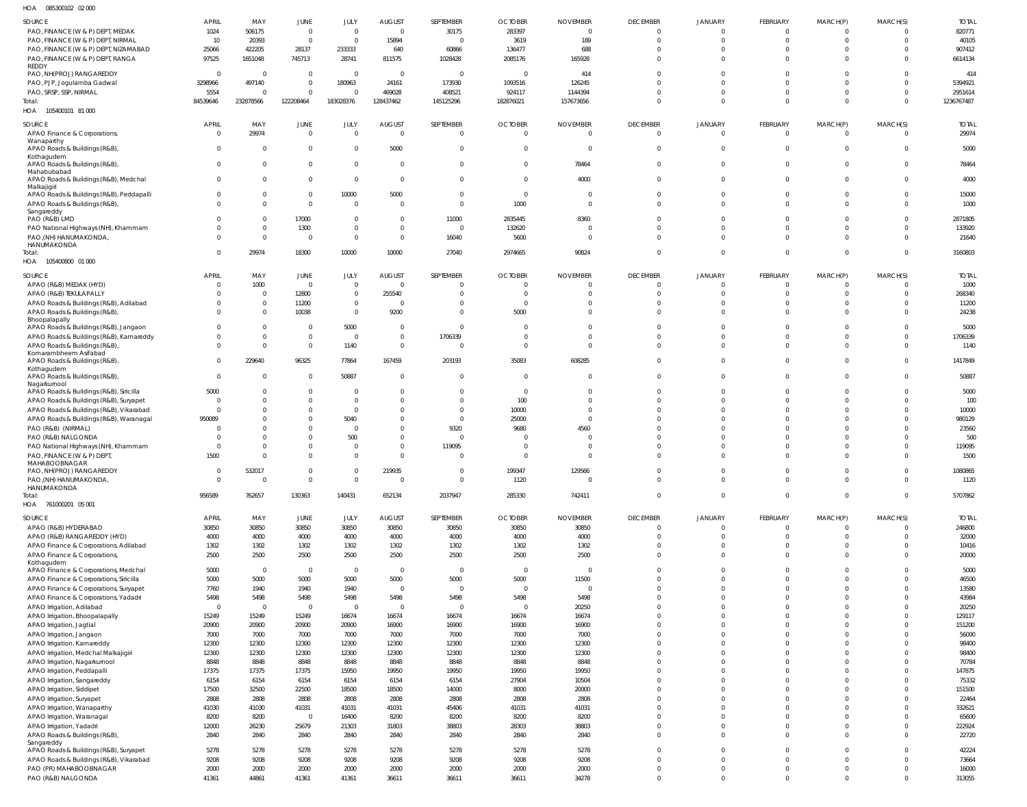085300102 02 000 HOA

| $\cdots$<br><b>OUUUUU IUL ULUU</b>                                               |                |               |                         |                |                          |                |                |                 |                          |                      |                      |                      |                      |                 |
|----------------------------------------------------------------------------------|----------------|---------------|-------------------------|----------------|--------------------------|----------------|----------------|-----------------|--------------------------|----------------------|----------------------|----------------------|----------------------|-----------------|
| SOURCE                                                                           | APRIL          | MAY           | JUNE                    | JULY           | AUGUST                   | SEPTEMBER      | <b>OCTOBER</b> | <b>NOVEMBER</b> | <b>DECEMBER</b>          | <b>JANUARY</b>       | FEBRUARY             | MARCH(P)             | MARCH(S)             | <b>TOTAL</b>    |
| PAO, FINANCE (W & P) DEPT, MEDAK                                                 | 1024           | 506175        | $\overline{0}$          | $\mathbf{0}$   | $\Omega$                 | 30175          | 283397         | $\Omega$        | $\Omega$                 | $\Omega$             | $\Omega$             |                      | $\Omega$             | 820771          |
| PAO, FINANCE (W & P) DEPT, NIRMAL                                                | 10             | 20393         | $\overline{0}$          | $\overline{0}$ | 15894                    | $\Omega$       | 3619           | 189             | $\Omega$                 | $\Omega$             | $\Omega$             |                      | $\Omega$             | 40105           |
| PAO, FINANCE (W & P) DEPT, NIZAMABAD                                             | 25066          | 422205        | 28137                   | 233333         | 640                      | 60866          | 136477         | 688             | $\Omega$                 | $\Omega$             | $\Omega$             |                      |                      | 907412          |
| PAO, FINANCE (W & P) DEPT, RANGA                                                 | 97525          | 1651048       | 745713                  | 28741          | 811575                   | 1028428        | 2085176        | 165928          | $\Omega$                 | $\Omega$             | $\Omega$             |                      | $\Omega$             | 6614134         |
| REDDY<br>PAO, NH(PROJ) RANGAREDDY                                                | $\Omega$       | $\bigcap$     | $\overline{0}$          | $\Omega$       | $\Omega$                 | $\Omega$       | $\Omega$       | 414             | $\Omega$                 | $\Omega$             |                      |                      |                      | 414             |
| PAO, PJP, Jogulamba Gadwal                                                       | 3298966        | 497140        | $\overline{0}$          | 180963         | 24161                    | 173930         | 1093516        | 126245          | $\Omega$                 | $\Omega$             |                      |                      |                      | 5394921         |
| PAO, SRSP, SSP, NIRMAL                                                           | 5554           |               | $\Omega$                | $\Omega$       | 469028                   | 408521         | 924117         | 1144394         | $\Omega$                 | $\Omega$             | $\Omega$             |                      | $\Omega$             | 2951614         |
| Total:                                                                           | 84539646       | 232878566     | 122208464               | 183028376      | 128437462                | 145125296      | 182876021      | 157673656       | $\Omega$                 | $\Omega$             | $\Omega$             | $\Omega$             | $\Omega$             | 1236767487      |
| HOA 105400101 81 000                                                             |                |               |                         |                |                          |                |                |                 |                          |                      |                      |                      |                      |                 |
|                                                                                  |                |               |                         |                |                          |                |                |                 |                          |                      |                      |                      |                      |                 |
| SOURCE                                                                           | <b>APRIL</b>   | MAY           | JUNE                    | JULY           | <b>AUGUST</b>            | SEPTEMBER      | <b>OCTOBER</b> | <b>NOVEMBER</b> | <b>DECEMBER</b>          | JANUARY              | FEBRUARY<br>$\Omega$ | MARCH(P)             | MARCH(S)             | <b>TOTAL</b>    |
| APAO Finance & Corporations,<br>Wanaparthy                                       | $\overline{0}$ | 29974         | $\overline{0}$          | $\overline{0}$ | $\overline{0}$           | $\overline{0}$ | $\overline{0}$ | $\Omega$        | $\overline{0}$           | $\overline{0}$       |                      | $\Omega$             | $\Omega$             | 29974           |
| APAO Roads & Buildings (R&B),                                                    | $\mathbf{0}$   | $\Omega$      | $\overline{0}$          | $\mathbf 0$    | 5000                     | $\overline{0}$ | $\Omega$       | $\Omega$        | $\overline{0}$           | $\overline{0}$       | $\Omega$             | $\Omega$             | $\mathbf 0$          | 5000            |
| Kothagudem                                                                       |                |               |                         |                |                          |                |                |                 |                          |                      |                      |                      |                      |                 |
| APAO Roads & Buildings (R&B),                                                    | $\Omega$       | $\Omega$      | $\overline{0}$          | $\mathbf 0$    | $\overline{0}$           | $\overline{0}$ | $\Omega$       | 78464           | $\overline{0}$           | $\mathbf 0$          | $\Omega$             | $\Omega$             | $\mathbf 0$          | 78464           |
| Mahabubabad<br>APAO Roads & Buildings (R&B), Medchal                             | $\Omega$       | $\Omega$      | $\overline{0}$          | $\mathbf 0$    | $\overline{0}$           | $\overline{0}$ | $\Omega$       | 4000            | $\Omega$                 | $\Omega$             | $\Omega$             | $\Omega$             | $\Omega$             | 4000            |
| Malkajigiri                                                                      |                |               |                         |                |                          |                |                |                 |                          |                      |                      |                      |                      |                 |
| APAO Roads & Buildings (R&B), Peddapalli                                         | $\overline{0}$ | $\Omega$      | $\overline{0}$          | 10000          | 5000                     | $\overline{0}$ | $\Omega$       | - 0             | $\mathbf 0$              | $\mathbf 0$          | $\Omega$             | $\Omega$             | $\mathbf 0$          | 15000           |
| APAO Roads & Buildings (R&B)                                                     | $\Omega$       | $\Omega$      | $\overline{0}$          | $\mathbf 0$    | $\overline{0}$           | $\mathbf{0}$   | 1000           | $\Omega$        | $\Omega$                 | $\Omega$             | $\Omega$             | $\Omega$             | $\mathbf 0$          | 1000            |
| Sangareddy<br>PAO (R&B) LMD                                                      | $\Omega$       | $\Omega$      | 17000                   | $\mathbf 0$    | $\overline{0}$           | 11000          | 2835445        | 8360            | $\Omega$                 | $\mathbf 0$          | $\Omega$             |                      | $\Omega$             | 2871805         |
| PAO National Highways (NH), Khammam                                              | $\Omega$       | $\Omega$      | 1300                    | $\mathbf 0$    | $\overline{0}$           | $\overline{0}$ | 132620         |                 | $\Omega$                 | $\Omega$             | $\Omega$             |                      | $\Omega$             | 133920          |
| PAO, (NH) HANUMAKONDA                                                            | $\Omega$       | $\Omega$      | $\overline{0}$          | $\mathbf{0}$   | $\Omega$                 | 16040          | 5600           | $\Omega$        | $\Omega$                 | $\Omega$             | $\Omega$             | $\Omega$             | $\Omega$             | 21640           |
| HANUMAKONDA                                                                      |                |               |                         |                |                          |                |                |                 |                          |                      |                      |                      |                      |                 |
| Total:                                                                           | $\Omega$       | 29974         | 18300                   | 10000          | 10000                    | 27040          | 2974665        | 90824           | $\mathbf 0$              | $\mathbf 0$          | $\Omega$             | $\Omega$             | $\mathbf{0}$         | 3160803         |
| HOA  105400800  01 000                                                           |                |               |                         |                |                          |                |                |                 |                          |                      |                      |                      |                      |                 |
| <b>SOURCE</b>                                                                    | <b>APRIL</b>   | MAY           | JUNE                    | JULY           | <b>AUGUST</b>            | SEPTEMBER      | <b>OCTOBER</b> | <b>NOVEMBER</b> | <b>DECEMBER</b>          | JANUARY              | FEBRUARY             | MARCH(P)             | MARCH(S)             | <b>TOTAL</b>    |
| APAO (R&B) MEDAK (HYD)                                                           | $\Omega$       | 1000          | $\overline{0}$          | $\mathbf{0}$   | $\overline{0}$           | $\overline{0}$ | $\Omega$       | $\Omega$        | $\Omega$                 | $\Omega$             | $\Omega$             |                      | $\Omega$             | 1000            |
| APAO (R&B) TEKULAPALLY                                                           | $\Omega$       | $\Omega$      | 12800                   | $\mathbf 0$    | 255540                   | $\Omega$       | $\Omega$       |                 | $\Omega$                 | $\Omega$             | $\Omega$             |                      | $\Omega$             | 268340          |
| APAO Roads & Buildings (R&B), Adilabad                                           | $\Omega$       | $\Omega$      | 11200                   | $\mathbf 0$    | $\Omega$                 | $\Omega$       | $\Omega$       |                 | $\Omega$                 | $\mathbf 0$          | $\Omega$             |                      |                      | 11200           |
| APAO Roads & Buildings (R&B),                                                    | $\Omega$       | $\Omega$      | 10038                   | $\mathbf{0}$   | 9200                     | $\Omega$       | 5000           |                 | $\Omega$                 | $\Omega$             | $\Omega$             |                      | $\Omega$             | 24238           |
| Bhoopalapally                                                                    |                |               | $\Omega$                | 5000           | $\Omega$                 | $\Omega$       |                |                 |                          |                      |                      |                      |                      |                 |
| APAO Roads & Buildings (R&B), Jangaon<br>APAO Roads & Buildings (R&B), Kamareddy | $\Omega$       |               | $\overline{0}$          | $\Omega$       | $\overline{0}$           | 1706339        |                |                 |                          |                      |                      |                      |                      | 5000<br>1706339 |
| APAO Roads & Buildings (R&B),                                                    | $\Omega$       | $\Omega$      | $\Omega$                | 1140           | $\Omega$                 | $\Omega$       | $\Omega$       | $\Omega$        | $\Omega$                 | $\Omega$             | $\Omega$             |                      | $\Omega$             | 1140            |
| Komarambheem Asifabad                                                            |                |               |                         |                |                          |                |                |                 |                          |                      |                      |                      |                      |                 |
| APAO Roads & Buildings (R&B)                                                     | $\Omega$       | 229640        | 96325                   | 77864          | 167459                   | 203193         | 35083          | 608285          | $\Omega$                 | $\Omega$             | $\Omega$             |                      | $\Omega$             | 1417849         |
| Kothagudem                                                                       | $\Omega$       |               |                         |                |                          |                |                |                 |                          |                      |                      |                      |                      |                 |
| APAO Roads & Buildings (R&B)<br>Nagarkurnool                                     |                |               | $\overline{0}$          | 50887          | $\overline{0}$           | $\Omega$       | $\Omega$       |                 | $\Omega$                 | $\Omega$             | U                    |                      |                      | 50887           |
| APAO Roads & Buildings (R&B), Siricilla                                          | 5000           |               | $\overline{0}$          | $\Omega$       | $\Omega$                 | $\Omega$       | $\Omega$       |                 | $\Omega$                 | $\Omega$             | U                    |                      | $\Omega$             | 5000            |
| APAO Roads & Buildings (R&B), Suryapet                                           | $\Omega$       |               | $\Omega$                | $\Omega$       | $\Omega$                 | $\Omega$       | 100            |                 | $\Omega$                 |                      |                      |                      |                      | 100             |
| APAO Roads & Buildings (R&B), Vikarabad                                          | $\Omega$       |               | $\Omega$                | $\mathbf 0$    | $\Omega$                 | $\Omega$       | 10000          |                 |                          |                      |                      |                      |                      | 10000           |
| APAO Roads & Buildings (R&B), Waranagal                                          | 950089         |               | $\Omega$                | 5040           | $\Omega$                 | $\Omega$       | 25000          |                 |                          |                      |                      |                      |                      | 980129          |
| PAO (R&B) (NIRMAL)                                                               |                |               | $\Omega$                | $\Omega$       | $\Omega$                 | 9320           | 9680           | 4560            |                          |                      |                      |                      |                      | 23560           |
| PAO (R&B) NALGONDA                                                               |                |               | $\Omega$                | 500            | $\Omega$                 | $\Omega$       |                |                 |                          |                      |                      |                      |                      | 500             |
| PAO National Highways (NH), Khammam                                              | $\Omega$       |               | $\Omega$                | $\Omega$       | $\Omega$                 | 119095         |                |                 | $\Omega$                 |                      |                      |                      |                      | 119095          |
| PAO, FINANCE (W & P) DEPT,<br>MAHABOOBNAGAR                                      | 1500           |               | $\Omega$                | $\Omega$       | $\Omega$                 | $\Omega$       | $\Omega$       | $\Omega$        | $\Omega$                 | $\Omega$             | $\Omega$             |                      | $\Omega$             | 1500            |
| PAO, NH(PROJ) RANGAREDDY                                                         | 0              | 532017        | $\overline{0}$          | 0              | 219935                   | 0              | 199347         | 129566          | $\Omega$                 | $\Omega$             | $\Omega$             |                      | $\Omega$             | 1080865         |
| PAO, (NH) HANUMAKONDA,                                                           | $\Omega$       | $\Omega$      | $\overline{0}$          | $\Omega$       | $\overline{0}$           | $\mathbf 0$    | 1120           |                 | $\Omega$                 | $\Omega$             | $\Omega$             |                      | $\Omega$             | 1120            |
| HANUMAKONDA                                                                      |                |               |                         |                |                          |                |                |                 |                          |                      |                      |                      |                      |                 |
| Total:                                                                           | 956589         | 762657        | 130363                  | 140431         | 652134                   | 2037947        | 285330         | 742411          | $\Omega$                 | $\mathbf{0}$         | $\Omega$             | $\Omega$             | $\Omega$             | 5707862         |
| HOA 761000201 05 001                                                             |                |               |                         |                |                          |                |                |                 |                          |                      |                      |                      |                      |                 |
| SOURCE                                                                           | <b>APRIL</b>   | MAY           | JUNE                    | JULY           | <b>AUGUST</b>            | SEPTEMBER      | <b>OCTOBER</b> | NOVEMBER        | <b>DECEMBER</b>          | JANUARY              | FEBRUARY             | MARCH(P)             | MARCH(S)             | <b>TOTAL</b>    |
| APAO (R&B) HYDERABAD                                                             | 30850          | 30850         | 30850                   | 30850          | 30850                    | 30850          | 30850          | 30850           | $\mathbf{0}$             | $\mathbf{0}$         | $\mathbf 0$          | $\Omega$             | $\mathbf 0$          | 246800          |
| APAO (R&B) RANGAREDDY (HYD)                                                      | 4000           | 4000          | 4000                    | 4000           | 4000                     | 4000           | 4000           | 4000            | $\mathbf 0$              | $\mathbf 0$          | $\overline{0}$       | $\Omega$             | $\mathbf 0$          | 32000           |
| APAO Finance & Corporations, Adilabad                                            | 1302           | 1302          | 1302                    | 1302           | 1302                     | 1302           | 1302           | 1302            | $\mathbf 0$              | $\mathbf 0$          | $\mathbf 0$          | $\Omega$             | 0                    | 10416           |
| APAO Finance & Corporations,                                                     | 2500           | 2500          | 2500                    | 2500           | 2500                     | 2500           | 2500           | 2500            | $\mathbf{0}$             | $\Omega$             | $\Omega$             | $\Omega$             | $\Omega$             | 20000           |
| Kothagudem<br>APAO Finance & Corporations, Medchal                               | 5000           | $\Omega$      | $\overline{0}$          | $\overline{0}$ | $\overline{\phantom{0}}$ | $\overline{0}$ | $\overline{0}$ | $\Omega$        | $\mathbf 0$              | $\Omega$             | $\Omega$             | $\Omega$             | $\Omega$             | 5000            |
| APAO Finance & Corporations, Siricilla                                           | 5000           | 5000          | 5000                    | 5000           | 5000                     | 5000           | 5000           | 11500           | $\mathbf{0}$             | $\mathbf 0$          | $\overline{0}$       | $\Omega$             | 0                    | 46500           |
| APAO Finance & Corporations, Suryapet                                            | 7760           | 1940          | 1940                    | 1940           | $\overline{\phantom{0}}$ | $\overline{0}$ | $\overline{0}$ | $\Omega$        | $\Omega$                 | $\Omega$             | $\Omega$             | $\Omega$             | $\Omega$             | 13580           |
| APAO Finance & Corporations, Yadadri                                             | 5498           | 5498          | 5498                    | 5498           | 5498                     | 5498           | 5498           | 5498            | $\mathbf 0$              | $\Omega$             | $\Omega$             | $\Omega$             | $\Omega$             | 43984           |
| APAO Irrigation, Adilabad                                                        | $\overline{0}$ | $\Omega$      | $\overline{0}$          | $\overline{0}$ | $\overline{\phantom{0}}$ | $\overline{0}$ | $\overline{0}$ | 20250           | $\Omega$                 | $\Omega$             | $\mathbf 0$          | $\Omega$             | $\Omega$             | 20250           |
| APAO Irrigation, Bhoopalapally                                                   | 15249          | 15249         | 15249                   | 16674          | 16674                    | 16674          | 16674          | 16674           | $\Omega$                 | $\Omega$             | $\Omega$             | $\Omega$             | $\Omega$             | 129117          |
| APAO Irrigation, Jagtial                                                         | 20900          | 20900         | 20900                   | 20900          | 16900                    | 16900          | 16900          | 16900           | $\mathbf 0$              | $\Omega$             | $\mathbf 0$          | $\Omega$             | $\Omega$             | 151200          |
| APAO Irrigation, Jangaon                                                         | 7000           | 7000          | 7000                    | 7000           | 7000                     | 7000           | 7000           | 7000            | $\Omega$                 | $\Omega$             | $\Omega$             | $\Omega$             | $\Omega$             | 56000           |
| APAO Irrigation, Kamareddy                                                       | 12300          | 12300         | 12300                   | 12300          | 12300                    | 12300          | 12300          | 12300           | $\mathbf 0$              | $\Omega$             | $\Omega$             | $\Omega$             | $\Omega$             | 98400           |
| APAO Irrigation, Medchal Malkajigiri                                             | 12300          | 12300         | 12300                   | 12300          | 12300                    | 12300          | 12300          | 12300           | $\mathbf{0}$             | $\Omega$             | $\Omega$             | $\Omega$             | $\Omega$             | 98400           |
| APAO Irrigation, Nagarkurnool                                                    | 8848           | 8848          | 8848                    | 8848           | 8848                     | 8848           | 8848           | 8848            | $\Omega$                 | $\Omega$             | $\Omega$             | $\Omega$             | $\Omega$             | 70784           |
| APAO Irrigation, Peddapalli                                                      | 17375          | 17375         | 17375                   | 15950          | 19950                    | 19950          | 19950          | 19950           | $\mathbf{0}$             | $\Omega$             | $\Omega$             | $\Omega$             | $\Omega$             | 147875          |
| APAO Irrigation, Sangareddy                                                      | 6154           | 6154          | 6154                    | 6154           | 6154                     | 6154           | 27904          | 10504           | $\Omega$                 | $\Omega$             | $\Omega$             | $\Omega$             | $\Omega$             | 75332           |
| APAO Irrigation, Siddipet                                                        | 17500          | 32500         | 22500                   | 18500          | 18500                    | 14000          | 8000           | 20000           | $\mathbf 0$              | $\Omega$             | $\Omega$             | $\Omega$             | $\Omega$             | 151500          |
| APAO Irrigation, Suryapet                                                        | 2808           | 2808          | 2808                    | 2808           | 2808                     | 2808           | 2808           | 2808            | $\Omega$<br>$\mathbf{0}$ | $\Omega$<br>$\Omega$ | $\Omega$<br>$\Omega$ | $\Omega$<br>$\Omega$ | $\Omega$<br>$\Omega$ | 22464           |
| APAO Irrigation, Wanaparthy<br>APAO Irrigation, Waranagal                        | 41030<br>8200  | 41030<br>8200 | 41031<br>$\overline{0}$ | 41031<br>16400 | 41031<br>8200            | 45406<br>8200  | 41031<br>8200  | 41031<br>8200   | $\mathbf 0$              | $\mathbf 0$          | $\mathbf 0$          | $\Omega$             | $\Omega$             | 332621<br>65600 |
| APAO Irrigation, Yadadri                                                         | 12000          | 26230         | 25679                   | 21303          | 31803                    | 38803          | 28303          | 38803           | $\mathbf{0}$             | $\mathbf{0}$         | $\mathbf 0$          | $\Omega$             | $\Omega$             | 222924          |
| APAO Roads & Buildings (R&B),                                                    | 2840           | 2840          | 2840                    | 2840           | 2840                     | 2840           | 2840           | 2840            | $\mathbf 0$              | $\mathbf 0$          | $\overline{0}$       | $\Omega$             | $\mathbf 0$          | 22720           |
| Sangareddy                                                                       |                |               |                         |                |                          |                |                |                 |                          |                      |                      |                      |                      |                 |
| APAO Roads & Buildings (R&B), Suryapet                                           | 5278           | 5278          | 5278                    | 5278           | 5278                     | 5278           | 5278           | 5278            | $\mathbf 0$              | $\mathbf 0$          | $\Omega$             | $\Omega$             | $\mathbf 0$          | 42224           |
| APAO Roads & Buildings (R&B), Vikarabad                                          | 9208           | 9208          | 9208                    | 9208           | 9208                     | 9208           | 9208           | 9208            | $\Omega$                 | $\Omega$             | $\overline{0}$       | $\Omega$             | $\Omega$             | 73664           |
| PAO (PR) MAHABOOBNAGAR                                                           | 2000           | 2000          | 2000                    | 2000           | 2000                     | 2000           | 2000           | 2000            | $\mathbf 0$              | $\mathbf 0$          | $\pmb{0}$            | $\Omega$             | $\mathbf 0$          | 16000           |
| PAO (R&B) NALGONDA                                                               | 41361          | 44861         | 41361                   | 41361          | 36611                    | 36611          | 36611          | 34278           | $\mathbf 0$              | $\mathbf{0}$         | $\mathbf 0$          | $\Omega$             | $\mathbf 0$          | 313055          |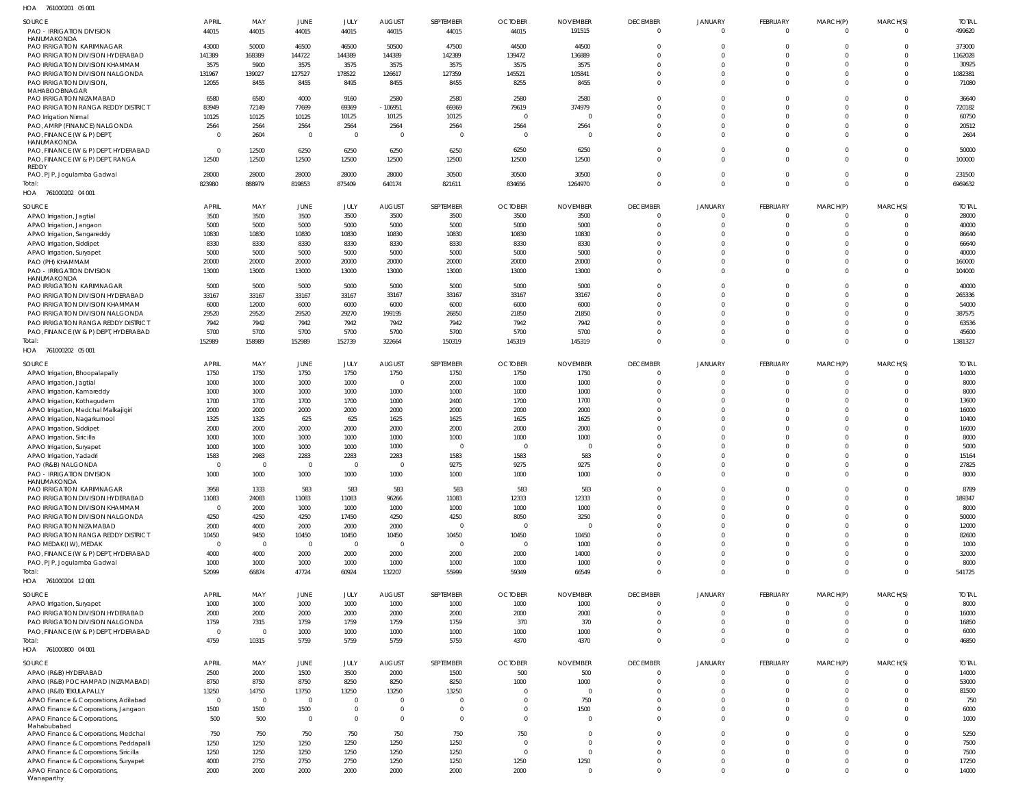761000201 05 001 HOA

| <b>SOURCE</b>                                   | <b>APRIL</b>   | MAY            | JUNE           | JULY           | <b>AUGUST</b>  | SEPTEMBER      | <b>OCTOBER</b> | <b>NOVEMBER</b> | <b>DECEMBER</b>      | <b>JANUARY</b>       | FEBRUARY             | MARCH(P)                   | MARCH(S)             | <b>TOTAL</b> |
|-------------------------------------------------|----------------|----------------|----------------|----------------|----------------|----------------|----------------|-----------------|----------------------|----------------------|----------------------|----------------------------|----------------------|--------------|
| PAO - IRRIGATION DIVISION                       | 44015          | 44015          | 44015          | 44015          | 44015          | 44015          | 44015          | 191515          | $\Omega$             | $\Omega$             | $\Omega$             | $\overline{0}$             | $\Omega$             | 499620       |
| HANUMAKONDA                                     |                |                |                |                |                |                |                |                 |                      |                      |                      |                            |                      |              |
| <b>PAO IRRIGATION KARIMNAGAR</b>                | 43000          | 50000          | 46500          | 46500          | 50500          | 47500          | 44500          | 44500           | $\Omega$             | $\Omega$             | $\Omega$             | $\Omega$                   | $\Omega$             | 373000       |
| PAO IRRIGATION DIVISION HYDERABAD               | 141389         | 168389         | 144722         | 144389         | 144389         | 142389         | 139472         | 136889          |                      | $\Omega$             | $\Omega$             | $\Omega$                   |                      | 1162028      |
| PAO IRRIGATION DIVISION KHAMMAM                 | 3575           | 5900           | 3575           | 3575           | 3575           | 3575           | 3575           | 3575            | $\Omega$             | $\Omega$             | $\Omega$             | $\Omega$                   |                      | 30925        |
| PAO IRRIGATION DIVISION NALGONDA                | 131967         | 139027         | 127527         | 178522         | 126617         | 127359         | 145521         | 105841          | $\Omega$             | $\Omega$             | $\Omega$             | 0                          |                      | 1082381      |
| PAO IRRIGATION DIVISION,                        | 12055          | 8455           | 8455           | 8495           | 8455           | 8455           | 8255           | 8455            | $\Omega$             | $\Omega$             | $\Omega$             | $\mathbf 0$                |                      | 71080        |
| MAHABOOBNAGAR                                   |                |                |                |                |                |                |                |                 |                      |                      |                      |                            |                      |              |
| PAO IRRIGATION NIZAMABAD                        | 6580           | 6580           | 4000           | 9160           | 2580           | 2580           | 2580           | 2580            | $\Omega$<br>$\Omega$ | $\Omega$<br>$\Omega$ | $\Omega$<br>$\Omega$ | $\mathbf 0$                | $\Omega$             | 36640        |
| PAO IRRIGATION RANGA REDDY DISTRICT             | 83949          | 72149          | 77699          | 69369          | $-106951$      | 69369          | 79619          | 374979          |                      |                      |                      | $\Omega$                   | $\Omega$             | 720182       |
| PAO Irrigation Nirmal                           | 10125          | 10125          | 10125          | 10125          | 10125          | 10125          | $\mathbf 0$    | $\Omega$        |                      | $\Omega$             | $\Omega$             | 0                          |                      | 60750        |
| PAO, AMRP (FINANCE) NALGONDA                    | 2564           | 2564           | 2564           | 2564           | 2564           | 2564           | 2564           | 2564            | $\Omega$             | $\Omega$             | $\Omega$             | 0                          |                      | 20512        |
| PAO, FINANCE (W & P) DEPT<br><b>HANUMAKONDA</b> | $\Omega$       | 2604           | $\mathbf 0$    | $\Omega$       | $\overline{0}$ | $\Omega$       | 0              | $\overline{0}$  | $\Omega$             | $\Omega$             | $\Omega$             | $\Omega$                   | $\Omega$             | 2604         |
| PAO, FINANCE (W & P) DEPT, HYDERABAD            | $\Omega$       | 12500          | 6250           | 6250           | 6250           | 6250           | 6250           | 6250            | $\Omega$             | $\Omega$             | $\Omega$             | $\overline{0}$             | $\Omega$             | 50000        |
| PAO, FINANCE (W & P) DEPT, RANGA                | 12500          | 12500          | 12500          | 12500          | 12500          | 12500          | 12500          | 12500           | $\Omega$             | $\Omega$             | $\Omega$             | $\mathbf{0}$               | $\Omega$             | 100000       |
| REDDY                                           |                |                |                |                |                |                |                |                 |                      |                      |                      |                            |                      |              |
| PAO, PJP, Jogulamba Gadwal                      | 28000          | 28000          | 28000          | 28000          | 28000          | 30500          | 30500          | 30500           | $\Omega$             | $\Omega$             | $\Omega$             | $\overline{0}$             | $\Omega$             | 231500       |
| Total:                                          | 823980         | 888979         | 819853         | 875409         | 640174         | 821611         | 834656         | 1264970         | $\Omega$             | $\overline{0}$       | $\Omega$             | $\overline{0}$             | $\Omega$             | 6969632      |
| HOA 761000202 04 001                            |                |                |                |                |                |                |                |                 |                      |                      |                      |                            |                      |              |
|                                                 | APRIL          |                |                |                |                |                |                |                 | <b>DECEMBER</b>      | <b>JANUARY</b>       | FEBRUARY             | MARCH(P)                   |                      | <b>TOTAL</b> |
| SOURCE                                          |                | MAY            | JUNE           | JULY           | <b>AUGUST</b>  | SEPTEMBER      | <b>OCTOBER</b> | <b>NOVEMBER</b> | $\Omega$             | $\Omega$             | $\Omega$             | $\Omega$                   | MARCH(S)<br>$\Omega$ |              |
| APAO Irrigation, Jagtial                        | 3500           | 3500           | 3500           | 3500           | 3500           | 3500           | 3500           | 3500            | $\Omega$             | $\Omega$             | $\Omega$             |                            | $\Omega$             | 28000        |
| APAO Irrigation, Jangaon                        | 5000           | 5000           | 5000           | 5000           | 5000           | 5000           | 5000           | 5000            | $\Omega$             | $\Omega$             | $\Omega$             | $\overline{0}$<br>$\Omega$ | $\Omega$             | 40000        |
| APAO Irrigation, Sangareddy                     | 10830          | 10830          | 10830          | 10830          | 10830          | 10830          | 10830          | 10830           |                      |                      |                      |                            |                      | 86640        |
| APAO Irrigation, Siddipet                       | 8330           | 8330           | 8330           | 8330           | 8330           | 8330           | 8330           | 8330            | $\Omega$             | $\Omega$             | $\Omega$             | $\Omega$                   | $\Omega$             | 66640        |
| APAO Irrigation, Suryapet                       | 5000           | 5000           | 5000           | 5000           | 5000           | 5000           | 5000           | 5000            | $\Omega$             | $\Omega$             | $\Omega$             | $\Omega$                   | $\Omega$             | 40000        |
| PAO (PH) KHAMMAM                                | 20000          | 20000          | 20000          | 20000          | 20000          | 20000          | 20000          | 20000           | $\Omega$             | $\Omega$             | $\Omega$             | $\mathbf 0$                | $\Omega$             | 160000       |
| <b>PAO - IRRIGATION DIVISION</b>                | 13000          | 13000          | 13000          | 13000          | 13000          | 13000          | 13000          | 13000           | $\Omega$             | $\Omega$             | $\Omega$             | $\Omega$                   | $\Omega$             | 104000       |
| HANUMAKONDA<br>PAO IRRIGATION KARIMNAGAR        | 5000           | 5000           | 5000           | 5000           | 5000           | 5000           | 5000           | 5000            | $\Omega$             | $\Omega$             | $\Omega$             | $\mathbf 0$                | $\Omega$             | 40000        |
| PAO IRRIGATION DIVISION HYDERABAD               | 33167          | 33167          | 33167          | 33167          | 33167          | 33167          | 33167          | 33167           | $\Omega$             | $\Omega$             | $\Omega$             | $\Omega$                   | $\Omega$             | 265336       |
| PAO IRRIGATION DIVISION KHAMMAM                 | 6000           | 12000          | 6000           | 6000           | 6000           | 6000           | 6000           | 6000            | $\Omega$             | $\Omega$             | $\Omega$             | $\Omega$                   | $\Omega$             | 54000        |
| PAO IRRIGATION DIVISION NALGONDA                | 29520          | 29520          | 29520          | 29270          | 199195         | 26850          | 21850          | 21850           | $\Omega$             | $\Omega$             | $\Omega$             | $\Omega$                   | $\Omega$             | 387575       |
| PAO IRRIGATION RANGA REDDY DISTRICT             | 7942           | 7942           | 7942           | 7942           | 7942           | 7942           | 7942           | 7942            | $\Omega$             | $\Omega$             | $\Omega$             | $\Omega$                   | $\Omega$             | 63536        |
| PAO, FINANCE (W & P) DEPT, HYDERABAD            | 5700           | 5700           | 5700           | 5700           | 5700           | 5700           | 5700           | 5700            | $\Omega$             | $\Omega$             | $\Omega$             | $\mathbf{0}$               | $\Omega$             | 45600        |
| Total:                                          | 152989         | 158989         | 152989         | 152739         | 322664         | 150319         | 145319         | 145319          | $\Omega$             | $\overline{0}$       | $\Omega$             | $\overline{0}$             | $\Omega$             | 1381327      |
| HOA 761000202 05 001                            |                |                |                |                |                |                |                |                 |                      |                      |                      |                            |                      |              |
|                                                 |                |                |                |                |                |                |                |                 |                      |                      |                      |                            |                      |              |
| SOURCE                                          | <b>APRIL</b>   | MAY            | JUNE           | JULY           | <b>AUGUST</b>  | SEPTEMBER      | <b>OCTOBER</b> | <b>NOVEMBER</b> | <b>DECEMBER</b>      | <b>JANUARY</b>       | FEBRUARY             | MARCH(P)                   | MARCH(S)             | <b>TOTAL</b> |
| APAO Irrigation, Bhoopalapally                  | 1750           | 1750           | 1750           | 1750           | 1750           | 1750           | 1750           | 1750            | $\Omega$             | $\Omega$             | $\Omega$             | 0                          |                      | 14000        |
| APAO Irrigation, Jagtial                        | 1000           | 1000           | 1000           | 1000           | $\overline{0}$ | 2000           | 1000           | 1000            | $\Omega$             | $\Omega$             | $\Omega$             | $\overline{0}$             | $\Omega$             | 8000         |
| APAO Irrigation, Kamareddy                      | 1000           | 1000           | 1000           | 1000           | 1000           | 1000           | 1000           | 1000            | $\Omega$             | $\Omega$             | $\Omega$             | 0                          |                      | 8000         |
| APAO Irrigation, Kothagudem                     | 1700           | 1700           | 1700           | 1700           | 1000           | 2400           | 1700           | 1700            | $\Omega$             | $\Omega$             | $\Omega$             | $\Omega$                   |                      | 13600        |
| APAO Irrigation, Medchal Malkajigiri            | 2000           | 2000           | 2000           | 2000           | 2000           | 2000           | 2000           | 2000            | $\Omega$             | $\Omega$             | $\Omega$             | $\Omega$                   |                      | 16000        |
| APAO Irrigation, Nagarkurnool                   | 1325           | 1325           | 625            | 625            | 1625           | 1625           | 1625           | 1625            | $\Omega$             | $\Omega$             | $\Omega$             | $\Omega$                   |                      | 10400        |
| APAO Irrigation, Siddipet                       | 2000           | 2000           | 2000           | 2000           | 2000           | 2000           | 2000           | 2000            | $\Omega$             | $\Omega$             | $\Omega$             | $\Omega$                   | 0                    | 16000        |
| APAO Irrigation, Siricilla                      | 1000           | 1000           | 1000           | 1000           | 1000           | 1000           | 1000           | 1000            |                      | $\Omega$             | $\Omega$             | $\Omega$                   |                      | 8000         |
| APAO Irrigation, Suryapet                       | 1000           | 1000           | 1000           | 1000           | 1000           | $\Omega$       | - 0            | $\Omega$        | $\Omega$             | $\Omega$             | $\Omega$             | $\Omega$                   |                      | 5000         |
| APAO Irrigation, Yadadri                        | 1583           | 2983           | 2283           | 2283           | 2283           | 1583           | 1583           | 583             | $\Omega$             | $\Omega$             | $\Omega$             | $\Omega$                   |                      | 15164        |
| PAO (R&B) NALGONDA                              | $\Omega$       | $\Omega$       | $\overline{0}$ | $\Omega$       | $\Omega$       | 9275           | 9275           | 9275            |                      | $\cap$               | $\Omega$             | $\Omega$                   | $\Omega$             | 27825        |
| <b>PAO - IRRIGATION DIVISION</b>                | 1000           | 1000           | 1000           | 1000           | 1000           | 1000           | 1000           | 1000            | $\mathbf{0}$         | $\Omega$             | $\Omega$             | $\mathbf 0$                | $\Omega$             | 8000         |
| HANUMAKONDA                                     |                |                |                |                |                |                |                |                 |                      |                      |                      |                            |                      |              |
| <b>PAO IRRIGATION KARIMNAGAR</b>                | 3958           | 1333           | 583            | 583            | 583            | 583            | 583            | 583             | $\overline{0}$       | $\overline{0}$       | $\Omega$             | $\overline{0}$             | $\Omega$             | 8789         |
| PAO IRRIGATION DIVISION HYDERABAD               | 11083          | 24083          | 11083          | 11083          | 96266          | 11083          | 12333          | 12333           | $\Omega$             | $\Omega$             | $\Omega$             | $\overline{0}$             | $\Omega$             | 189347       |
| PAO IRRIGATION DIVISION KHAMMAM                 | $\Omega$       | 2000           | 1000           | 1000           | 1000           | 1000           | 1000           | 1000            | $\Omega$             | $\Omega$             | $\Omega$             | $\mathbf{0}$               | $\Omega$             | 8000         |
| PAO IRRIGATION DIVISION NALGONDA                | 4250           | 4250           | 4250           | 17450          | 4250           | 4250           | 8050           | 3250            | $\Omega$             | $\Omega$             | $\Omega$             | $\overline{0}$             | $\Omega$             | 50000        |
| PAO IRRIGATION NIZAMABAD                        | 2000           | 4000           | 2000           | 2000           | 2000           | $\overline{0}$ | $\overline{0}$ | $\overline{0}$  | $\Omega$             | $\Omega$             | $\Omega$             | $\overline{0}$             | <sup>0</sup>         | 12000        |
| PAO IRRIGATION RANGA REDDY DISTRICT             | 10450          | 9450           | 10450          | 10450          | 10450          | 10450          | 10450          | 10450           | $\Omega$             | $\Omega$             | $\Omega$             | $\overline{0}$             |                      | 82600        |
| PAO MEDAK(IW), MEDAK                            | $\Omega$       | $\overline{0}$ | $\mathbf{0}$   | $\overline{0}$ | $\overline{0}$ | $\overline{0}$ | $\overline{0}$ | 1000            | $\Omega$             | $\Omega$             | $\Omega$             | $\Omega$                   |                      | 1000         |
| PAO, FINANCE (W & P) DEPT, HYDERABAD            | 4000           | 4000           | 2000           | 2000           | 2000           | 2000           | 2000           | 14000           | $\Omega$             | $\Omega$             | $\Omega$             | $\overline{0}$             | $\Omega$             | 32000        |
| PAO, PJP, Jogulamba Gadwal                      | 1000           | 1000           | 1000           | 1000           | 1000           | 1000           | 1000           | 1000            | $\Omega$             | $\Omega$             | $\Omega$             | $\overline{0}$             | $\Omega$             | 8000         |
| Total:                                          | 52099          | 66874          | 47724          | 60924          | 132207         | 55999          | 59349          | 66549           | $\Omega$             | $\overline{0}$       | $\Omega$             | $\overline{0}$             | $\Omega$             | 541725       |
| HOA 761000204 12001                             |                |                |                |                |                |                |                |                 |                      |                      |                      |                            |                      |              |
| SOURCE                                          | APRIL          | MAY            | JUNE           | JULY           | <b>AUGUST</b>  | SEPTEMBER      | <b>OCTOBER</b> | <b>NOVEMBER</b> | <b>DECEMBER</b>      | <b>JANUARY</b>       | FEBRUARY             | MARCH(P)                   | MARCH(S)             | <b>TOTAL</b> |
| APAO Irrigation, Suryapet                       | 1000           | 1000           | 1000           | 1000           | 1000           | 1000           | 1000           | 1000            | $\Omega$             | $\Omega$             | $\Omega$             | $\overline{0}$             | $\Omega$             | 8000         |
| PAO IRRIGATION DIVISION HYDERABAD               | 2000           | 2000           | 2000           | 2000           | 2000           | 2000           | 2000           | 2000            | $\Omega$             | $\Omega$             | $\Omega$             | $\overline{0}$             | $\Omega$             | 16000        |
| PAO IRRIGATION DIVISION NALGONDA                | 1759           | 7315           | 1759           | 1759           | 1759           | 1759           | 370            | 370             | $\Omega$             | $\Omega$             | $\Omega$             | $\overline{0}$             | $\Omega$             | 16850        |
| PAO, FINANCE (W & P) DEPT, HYDERABAD            | $\Omega$       | $\overline{0}$ | 1000           | 1000           | 1000           | 1000           | 1000           | 1000            | $\Omega$             | $\Omega$             | $\Omega$             | $\mathbf{0}$               | $\Omega$             | 6000         |
|                                                 | 4759           | 10315          |                |                | 5759           |                |                | 4370            | $\Omega$             | $\overline{0}$       | $\Omega$             | $\mathbf 0$                | $\Omega$             | 46850        |
| Total:<br>HOA 761000800 04 001                  |                |                | 5759           | 5759           |                | 5759           | 4370           |                 |                      |                      |                      |                            |                      |              |
|                                                 |                |                |                |                |                |                |                |                 |                      |                      |                      |                            |                      |              |
| <b>SOURCE</b>                                   | <b>APRIL</b>   | MAY            | JUNE           | JULY           | AUGUST         | SEPTEMBER      | <b>OCTOBER</b> | <b>NOVEMBER</b> | <b>DECEMBER</b>      | <b>JANUARY</b>       | FEBRUARY             | MARCH(P)                   | MARCH(S)             | <b>TOTAL</b> |
| APAO (R&B) HYDERABAD                            | 2500           | 2000           | 1500           | 3500           | 2000           | 1500           | 500            | 500             | $\Omega$             | $\Omega$             | $\Omega$             | 0                          |                      | 14000        |
| APAO (R&B) POCHAMPAD (NIZAMABAD)                | 8750           | 8750           | 8750           | 8250           | 8250           | 8250           | 1000           | 1000            | $\Omega$             | $\Omega$             | $\Omega$             | $\overline{0}$             | $\Omega$             | 53000        |
| APAO (R&B) TEKULAPALLY                          | 13250          | 14750          | 13750          | 13250          | 13250          | 13250          | $\mathbf 0$    | $\overline{0}$  | $\Omega$             | $\Omega$             | $\Omega$             | $\overline{0}$             | $\Omega$             | 81500        |
| APAO Finance & Corporations, Adilabad           | $\overline{0}$ | $\Omega$       | $\mathbf{0}$   | $\Omega$       | $\overline{0}$ | $\overline{0}$ | $\mathbf 0$    | 750             | $\Omega$             | $\Omega$             | $\Omega$             | $\overline{0}$             | $\Omega$             | 750          |
| APAO Finance & Corporations, Jangaon            | 1500           | 1500           | 1500           | $\mathbf{0}$   | $\overline{0}$ | $\mathbf 0$    | $\mathbf 0$    | 1500            | $\Omega$             | $\Omega$             | $\Omega$             | $\mathbf{0}$               | $\Omega$             | 6000         |
| APAO Finance & Corporations,                    | 500            | 500            | $\mathbf 0$    | $\Omega$       | $\overline{0}$ | $\overline{0}$ | $\mathbf 0$    | $\overline{0}$  | $\Omega$             | $\Omega$             | $\Omega$             | $\mathbf{0}$               | $\Omega$             | 1000         |
| Mahabubabad                                     |                |                |                |                |                |                |                |                 |                      |                      |                      |                            |                      |              |
| APAO Finance & Corporations, Medchal            | 750            | 750            | 750            | 750            | 750            | 750            | 750            | $\overline{0}$  | $\Omega$             | $\Omega$             | $\Omega$             | $\overline{0}$             | $\Omega$             | 5250         |
| APAO Finance & Corporations, Peddapalli         | 1250           | 1250           | 1250           | 1250           | 1250           | 1250           | $\overline{0}$ | $\overline{0}$  | $\Omega$             | $\Omega$             | $\Omega$             | $\overline{0}$             | $\Omega$             | 7500         |
| APAO Finance & Corporations, Siricilla          | 1250           | 1250           | 1250           | 1250           | 1250           | 1250           | $\overline{0}$ | $\mathbf{0}$    | $\Omega$             | $\Omega$             | $\Omega$             | $\overline{0}$             | $\Omega$             | 7500         |
| APAO Finance & Corporations, Suryapet           | 4000           | 2750           | 2750           | 2750           | 1250           | 1250           | 1250           | 1250            | $\Omega$             | $\Omega$             | $\Omega$             | $\overline{0}$             | $\Omega$             | 17250        |
| APAO Finance & Corporations,<br>Wanaparthy      | 2000           | 2000           | 2000           | 2000           | 2000           | 2000           | 2000           | $\mathbf{0}$    | $\Omega$             | $\Omega$             | $\Omega$             | $\mathbf 0$                | $\Omega$             | 14000        |
|                                                 |                |                |                |                |                |                |                |                 |                      |                      |                      |                            |                      |              |